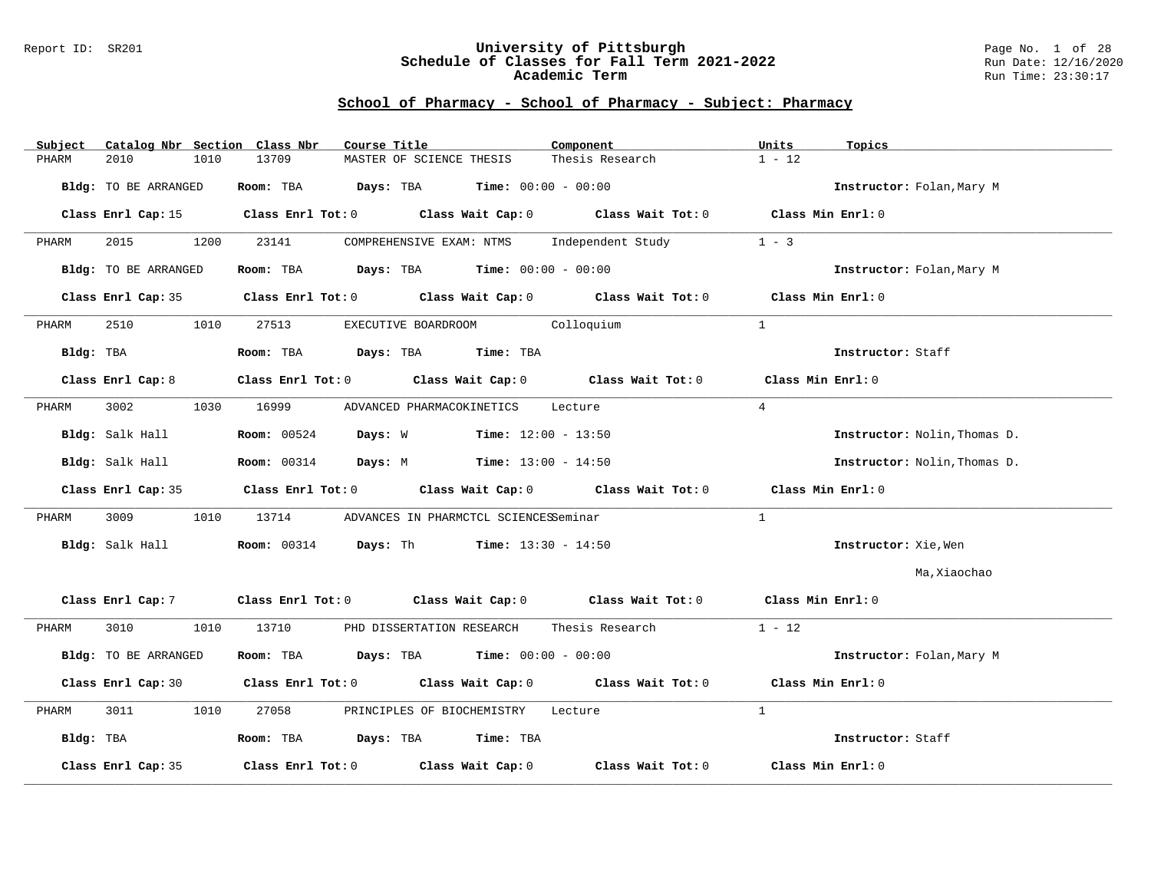#### Report ID: SR201 **University of Pittsburgh** Page No. 1 of 28 **Schedule of Classes for Fall Term 2021-2022** Run Date: 12/16/2020 **Academic Term** Run Time: 23:30:17

| Subject   | Catalog Nbr Section Class Nbr | Course Title                                                                    | Component                    | Units<br>Topics              |
|-----------|-------------------------------|---------------------------------------------------------------------------------|------------------------------|------------------------------|
| PHARM     | 2010<br>1010                  | 13709<br>MASTER OF SCIENCE THESIS                                               | Thesis Research              | $1 - 12$                     |
|           | Bldg: TO BE ARRANGED          | Room: TBA<br><b>Days:</b> TBA <b>Time:</b> $00:00 - 00:00$                      |                              | Instructor: Folan, Mary M    |
|           | Class Enrl Cap: 15            | Class Enrl Tot: $0$ Class Wait Cap: $0$ Class Wait Tot: $0$                     |                              | $Class$ Min Enrl: $0$        |
| PHARM     | 2015<br>1200                  | 23141<br>COMPREHENSIVE EXAM: NTMS                                               | Independent Study            | $1 - 3$                      |
|           | Bldg: TO BE ARRANGED          | Room: TBA $Days:$ TBA $Time: 00:00 - 00:00$                                     |                              | Instructor: Folan, Mary M    |
|           | Class Enrl Cap: 35            | Class Enrl Tot: $0$ Class Wait Cap: $0$ Class Wait Tot: $0$ Class Min Enrl: $0$ |                              |                              |
| PHARM     | 2510<br>1010                  | EXECUTIVE BOARDROOM Colloquium<br>27513                                         |                              | $\mathbf{1}$                 |
| Bldg: TBA |                               | Room: TBA Days: TBA Time: TBA                                                   |                              | Instructor: Staff            |
|           | Class Enrl Cap: 8             | Class Enrl Tot: 0 Class Wait Cap: 0                                             | Class Wait Tot: 0            | Class Min Enrl: 0            |
| PHARM     | 3002<br>1030                  | 16999<br>ADVANCED PHARMACOKINETICS                                              | Lecture                      | $\overline{4}$               |
|           | Bldg: Salk Hall               | <b>Room:</b> 00524<br>Days: W                                                   | <b>Time:</b> $12:00 - 13:50$ | Instructor: Nolin, Thomas D. |
|           | Bldg: Salk Hall               | <b>Room:</b> 00314 <b>Days:</b> M <b>Time:</b> $13:00 - 14:50$                  |                              | Instructor: Nolin, Thomas D. |
|           | Class Enrl Cap: 35            | Class Enrl Tot: $0$ Class Wait Cap: $0$ Class Wait Tot: $0$ Class Min Enrl: $0$ |                              |                              |
| PHARM     | 3009<br>1010                  | 13714<br>ADVANCES IN PHARMCTCL SCIENCESSeminar                                  |                              | $\mathbf{1}$                 |
|           | Bldg: Salk Hall               | <b>Room:</b> 00314 <b>Days:</b> Th <b>Time:</b> 13:30 - 14:50                   |                              | Instructor: Xie, Wen         |
|           |                               |                                                                                 |                              | Ma,Xiaochao                  |
|           | Class Enrl Cap: 7             | Class Enrl Tot: 0 Class Wait Cap: 0                                             | Class Wait Tot: 0            | Class Min Enrl: 0            |
| PHARM     | 3010<br>1010                  | 13710<br>PHD DISSERTATION RESEARCH                                              | Thesis Research              | $1 - 12$                     |
|           | Bldg: TO BE ARRANGED          | Room: TBA $Days:$ TBA $Time: 00:00 - 00:00$                                     |                              | Instructor: Folan, Mary M    |
|           | Class Enrl Cap: 30            | Class Enrl Tot: 0 Class Wait Cap: 0                                             | Class Wait Tot: 0            | Class Min Enrl: 0            |
| PHARM     | 3011<br>1010                  | 27058<br>PRINCIPLES OF BIOCHEMISTRY                                             | Lecture                      | $\mathbf{1}$                 |
| Bldg: TBA |                               | Room: TBA Days: TBA Time: TBA                                                   |                              | Instructor: Staff            |
|           | Class Enrl Cap: 35            | Class Enrl Tot: $0$ Class Wait Cap: $0$                                         | Class Wait Tot: 0            | Class Min Enrl: 0            |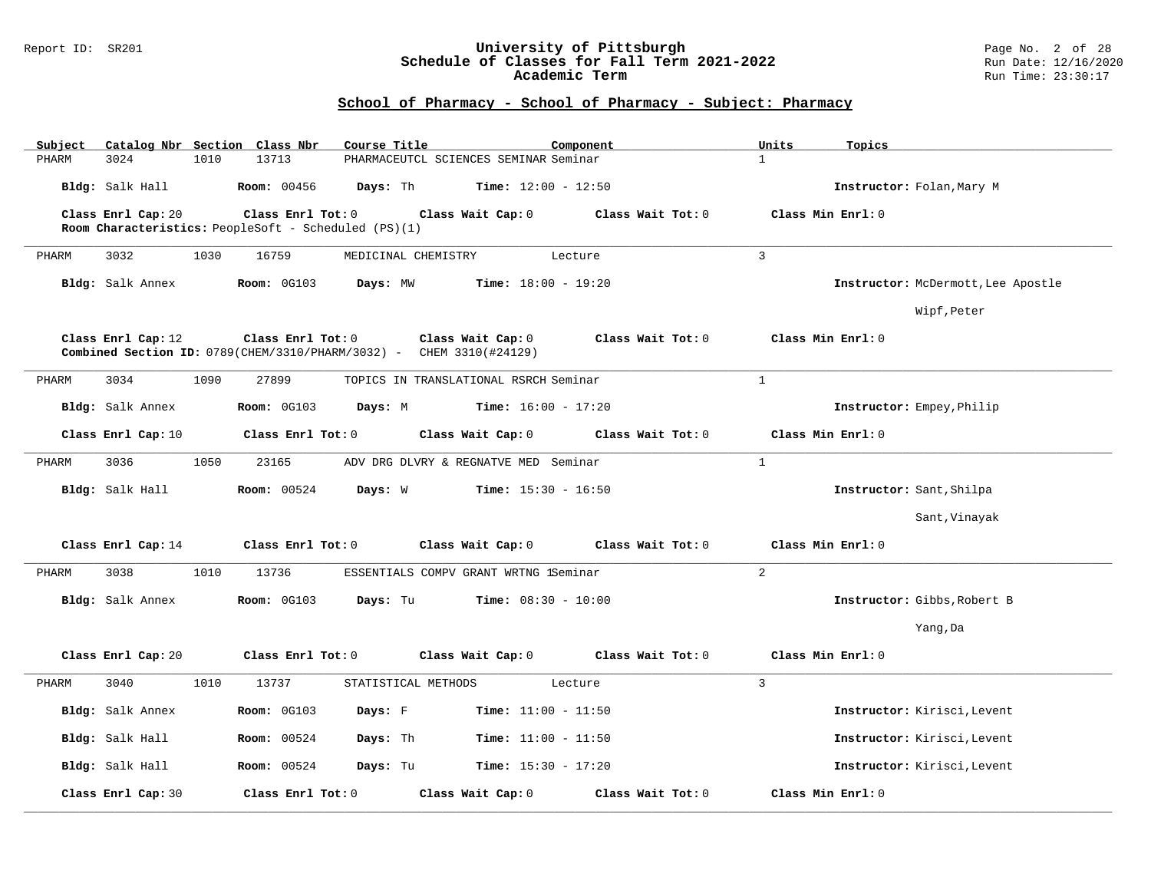#### Report ID: SR201 **University of Pittsburgh** Page No. 2 of 28 **Schedule of Classes for Fall Term 2021-2022** Run Date: 12/16/2020 **Academic Term** Run Time: 23:30:17

| Subject<br>PHARM | 3024                                                                                                                                                       | 1010 | Catalog Nbr Section Class Nbr<br>13713               | Course Title | PHARMACEUTCL SCIENCES SEMINAR Seminar | Component                    |                   | Units<br>$\mathbf{1}$ | Topics                             |
|------------------|------------------------------------------------------------------------------------------------------------------------------------------------------------|------|------------------------------------------------------|--------------|---------------------------------------|------------------------------|-------------------|-----------------------|------------------------------------|
|                  | Bldg: Salk Hall                                                                                                                                            |      | <b>Room: 00456</b>                                   | Days: Th     |                                       | <b>Time:</b> $12:00 - 12:50$ |                   |                       | Instructor: Folan, Mary M          |
|                  | Class Enrl Cap: 20                                                                                                                                         |      | Class Enrl Tot: 0                                    |              | Class Wait Cap: 0                     |                              | Class Wait Tot: 0 |                       | Class Min Enrl: 0                  |
|                  |                                                                                                                                                            |      | Room Characteristics: PeopleSoft - Scheduled (PS)(1) |              |                                       |                              |                   |                       |                                    |
| PHARM            | 3032                                                                                                                                                       | 1030 | 16759                                                |              | MEDICINAL CHEMISTRY                   | Lecture                      |                   | $\overline{3}$        |                                    |
|                  | Bldg: Salk Annex                                                                                                                                           |      | Room: 0G103                                          | Days: MW     |                                       | Time: $18:00 - 19:20$        |                   |                       | Instructor: McDermott, Lee Apostle |
|                  |                                                                                                                                                            |      |                                                      |              |                                       |                              |                   |                       | Wipf, Peter                        |
|                  | Class Enrl Cap: 12<br>Class Enrl Tot: 0<br>Class Wait Cap: 0<br>Class Wait Tot: 0<br>Combined Section ID: 0789 (CHEM/3310/PHARM/3032) - CHEM 3310 (#24129) |      |                                                      |              |                                       |                              |                   |                       | Class Min Enrl: 0                  |
| PHARM            | 3034                                                                                                                                                       | 1090 | 27899                                                |              | TOPICS IN TRANSLATIONAL RSRCH Seminar |                              |                   | $\mathbf{1}$          |                                    |
|                  | Bldg: Salk Annex                                                                                                                                           |      | <b>Room: 0G103</b>                                   | Days: M      |                                       | <b>Time:</b> $16:00 - 17:20$ |                   |                       | Instructor: Empey, Philip          |
|                  | Class Enrl Cap: 10                                                                                                                                         |      | Class Enrl Tot: 0                                    |              | Class Wait Cap: 0                     |                              | Class Wait Tot: 0 |                       | Class Min Enrl: 0                  |
| PHARM            | 3036                                                                                                                                                       | 1050 | 23165                                                |              | ADV DRG DLVRY & REGNATVE MED Seminar  |                              |                   | $\mathbf{1}$          |                                    |
|                  | Bldg: Salk Hall                                                                                                                                            |      | <b>Room: 00524</b>                                   | Days: W      |                                       | <b>Time:</b> $15:30 - 16:50$ |                   |                       | Instructor: Sant, Shilpa           |
|                  |                                                                                                                                                            |      |                                                      |              |                                       |                              |                   |                       | Sant, Vinayak                      |
|                  | Class Enrl Cap: 14                                                                                                                                         |      | Class Enrl Tot: 0                                    |              | Class Wait Cap: 0                     |                              | Class Wait Tot: 0 |                       | Class Min Enrl: 0                  |
| PHARM            | 3038                                                                                                                                                       | 1010 | 13736                                                |              | ESSENTIALS COMPV GRANT WRTNG 1Seminar |                              |                   | $\overline{a}$        |                                    |
|                  | Bldg: Salk Annex                                                                                                                                           |      | <b>Room: 0G103</b>                                   | Days: Tu     |                                       | <b>Time:</b> $08:30 - 10:00$ |                   |                       | Instructor: Gibbs, Robert B        |
|                  |                                                                                                                                                            |      |                                                      |              |                                       |                              |                   |                       | Yang, Da                           |
|                  | Class Enrl Cap: 20                                                                                                                                         |      | Class Enrl Tot: 0                                    |              | Class Wait Cap: 0                     |                              | Class Wait Tot: 0 |                       | Class Min Enrl: 0                  |
| PHARM            | 3040                                                                                                                                                       | 1010 | 13737                                                |              | STATISTICAL METHODS                   | Lecture                      |                   | $\mathbf{3}$          |                                    |
|                  | Bldg: Salk Annex                                                                                                                                           |      | <b>Room: 0G103</b>                                   | Days: F      |                                       | <b>Time:</b> $11:00 - 11:50$ |                   |                       | Instructor: Kirisci, Levent        |
|                  | Bldg: Salk Hall                                                                                                                                            |      | <b>Room: 00524</b>                                   | Days: Th     |                                       | <b>Time:</b> $11:00 - 11:50$ |                   |                       | Instructor: Kirisci, Levent        |
|                  | Bldg: Salk Hall                                                                                                                                            |      | <b>Room:</b> 00524                                   | Days: Tu     |                                       | <b>Time:</b> $15:30 - 17:20$ |                   |                       | Instructor: Kirisci, Levent        |
|                  | Class Enrl Cap: 30                                                                                                                                         |      | Class Enrl Tot: 0                                    |              | Class Wait Cap: 0                     |                              | Class Wait Tot: 0 |                       | Class Min Enrl: 0                  |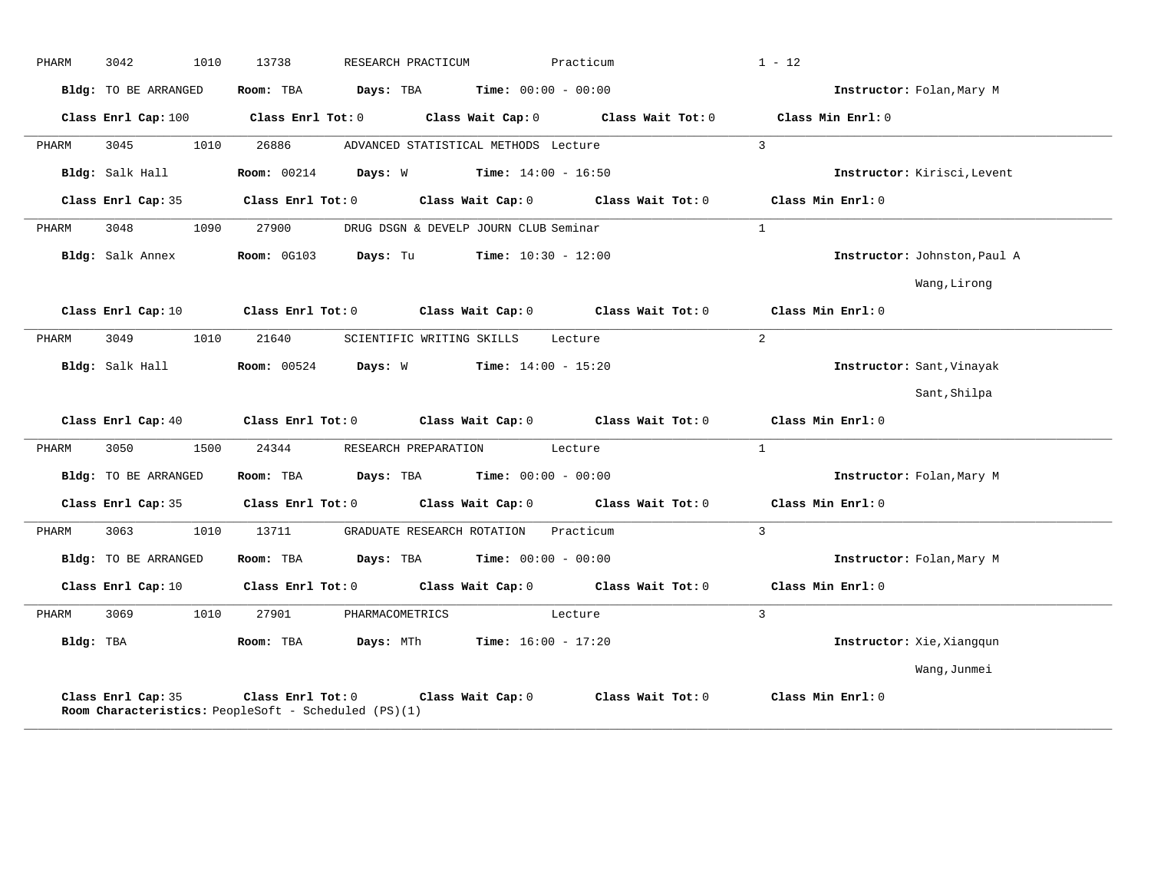| PHARM     | 3042<br>1010         | 13738<br>RESEARCH PRACTICUM                                                                                                    | Practicum         | $1 - 12$                     |
|-----------|----------------------|--------------------------------------------------------------------------------------------------------------------------------|-------------------|------------------------------|
|           | Bldg: TO BE ARRANGED | Room: TBA $Days:$ TBA $Time: 00:00 - 00:00$                                                                                    |                   | Instructor: Folan, Mary M    |
|           |                      | Class Enrl Cap: 100 $\qquad$ Class Enrl Tot: 0 $\qquad$ Class Wait Cap: 0 $\qquad$ Class Wait Tot: 0                           |                   | Class Min Enrl: 0            |
| PHARM     | 3045<br>1010         | 26886<br>ADVANCED STATISTICAL METHODS Lecture                                                                                  |                   | $\mathcal{E}$                |
|           | Bldg: Salk Hall      | <b>Room:</b> 00214 <b>Days:</b> W <b>Time:</b> 14:00 - 16:50                                                                   |                   | Instructor: Kirisci, Levent  |
|           | Class Enrl Cap: 35   | Class Enrl Tot: 0 Class Wait Cap: 0 Class Wait Tot: 0                                                                          |                   | Class Min Enrl: 0            |
| PHARM     | 1090<br>3048         | 27900<br>DRUG DSGN & DEVELP JOURN CLUB Seminar                                                                                 |                   | $\mathbf{1}$                 |
|           | Bldg: Salk Annex     | Room: 0G103 Days: Tu<br>$Time: 10:30 - 12:00$                                                                                  |                   | Instructor: Johnston, Paul A |
|           |                      |                                                                                                                                |                   | Wang, Lirong                 |
|           | Class Enrl Cap: 10   | Class Enrl Tot: 0 $\qquad$ Class Wait Cap: 0 $\qquad$ Class Wait Tot: 0 $\qquad$ Class Min Enrl: 0                             |                   |                              |
| PHARM     | 3049<br>1010         | 21640<br>SCIENTIFIC WRITING SKILLS Lecture                                                                                     |                   | 2                            |
|           | Bldg: Salk Hall      | <b>Room:</b> 00524<br>Days: W<br>$Time: 14:00 - 15:20$                                                                         |                   | Instructor: Sant, Vinayak    |
|           |                      |                                                                                                                                |                   | Sant, Shilpa                 |
|           |                      | Class Enrl Cap: 40 Class Enrl Tot: 0 Class Wait Cap: 0 Class Wait Tot: 0 Class Min Enrl: 0                                     |                   |                              |
| PHARM     | 3050<br>1500         | 24344<br>RESEARCH PREPARATION Lecture                                                                                          |                   | $\mathbf{1}$                 |
|           | Bldg: TO BE ARRANGED | <b>Days:</b> TBA <b>Time:</b> $00:00 - 00:00$<br>Room: TBA                                                                     |                   | Instructor: Folan, Mary M    |
|           | Class Enrl Cap: 35   | Class Enrl Tot: 0 Class Wait Cap: 0                                                                                            | Class Wait Tot: 0 | Class Min Enrl: $0$          |
| PHARM     | 3063<br>1010         | 13711<br>GRADUATE RESEARCH ROTATION                                                                                            | Practicum         | 3                            |
|           | Bldg: TO BE ARRANGED | Room: TBA $\rule{1em}{0.15mm}$ Days: TBA $\rule{1.15mm}]{0.15mm}$ Time: $0.000 - 0.0000$                                       |                   | Instructor: Folan, Mary M    |
|           |                      | Class Enrl Cap: 10 $\qquad$ Class Enrl Tot: 0 $\qquad$ Class Wait Cap: 0 $\qquad$ Class Wait Tot: 0 $\qquad$ Class Min Enrl: 0 |                   |                              |
| PHARM     | 3069<br>1010         | 27901<br>PHARMACOMETRICS                                                                                                       | Lecture           | $\overline{3}$               |
| Bldg: TBA |                      | Room: TBA $Days:$ MTh $Time: 16:00 - 17:20$                                                                                    |                   | Instructor: Xie, Xiangqun    |
|           |                      |                                                                                                                                |                   | Wang, Junmei                 |
|           | Class Enrl Cap: 35   | Class Enrl Tot: $0$ Class Wait Cap: $0$ Class Wait Tot: $0$<br><b>Room Characteristics:</b> PeopleSoft - Scheduled (PS)(1)     |                   | Class Min Enrl: 0            |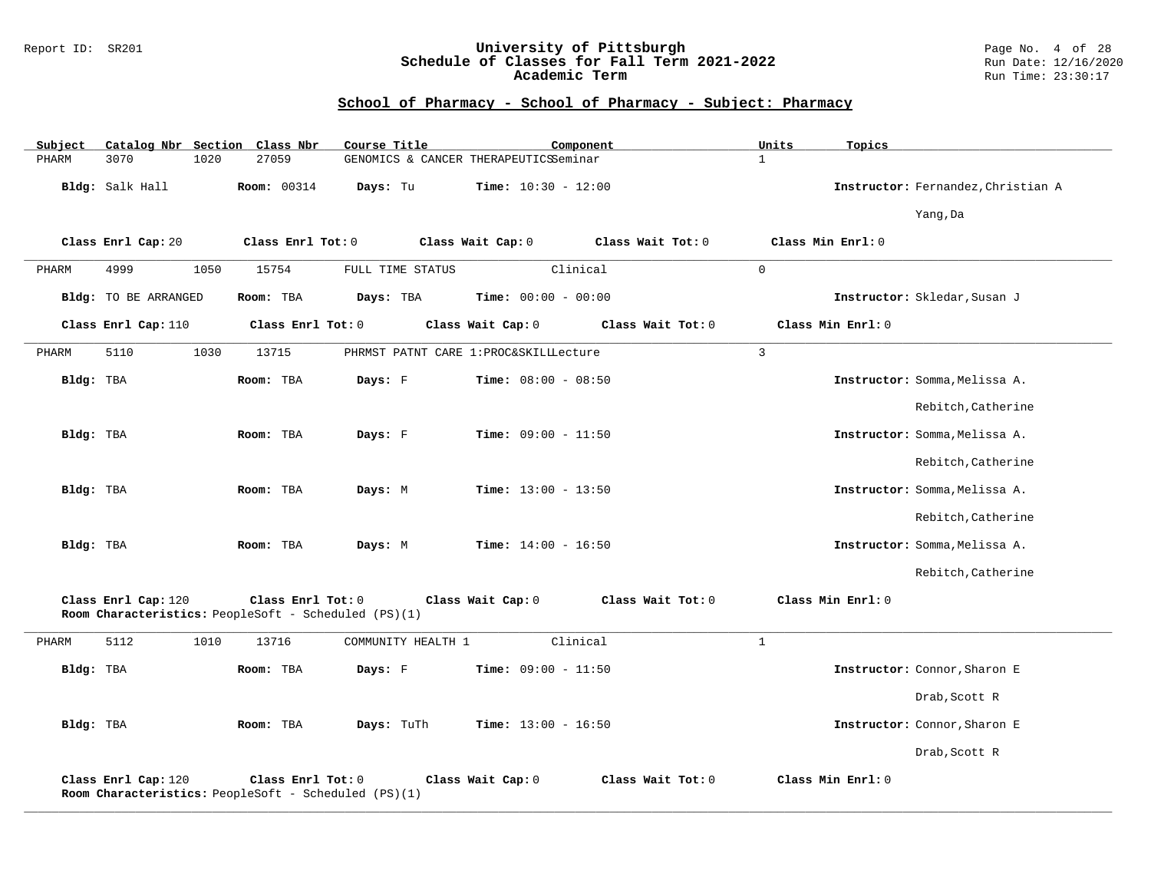### Report ID: SR201 **University of Pittsburgh** Page No. 4 of 28 **Schedule of Classes for Fall Term 2021-2022** Run Date: 12/16/2020 **Academic Term** Run Time: 23:30:17

| Subject   |                             |      | Catalog Nbr Section Class Nbr                                             | Course Title       |                                        | Component         | Units          | Topics                             |
|-----------|-----------------------------|------|---------------------------------------------------------------------------|--------------------|----------------------------------------|-------------------|----------------|------------------------------------|
| PHARM     | 3070                        | 1020 | 27059                                                                     |                    | GENOMICS & CANCER THERAPEUTICSSeminar  |                   | $\mathbf{1}$   |                                    |
|           | Bldg: Salk Hall             |      | <b>Room: 00314</b>                                                        | Days: Tu           | <b>Time:</b> $10:30 - 12:00$           |                   |                | Instructor: Fernandez, Christian A |
|           |                             |      |                                                                           |                    |                                        |                   |                | Yang, Da                           |
|           | Class Enrl Cap: 20          |      | Class Enrl Tot: 0                                                         |                    | Class Wait Cap: 0                      | Class Wait Tot: 0 |                | Class Min Enrl: 0                  |
| PHARM     | 4999                        | 1050 | 15754                                                                     | FULL TIME STATUS   |                                        | Clinical          | $\mathbf 0$    |                                    |
|           | <b>Bldg:</b> TO BE ARRANGED |      | Room: TBA                                                                 | Days: TBA          | Time: $00:00 - 00:00$                  |                   |                | Instructor: Skledar, Susan J       |
|           | Class Enrl Cap: 110         |      | Class Enrl Tot: 0                                                         |                    | Class Wait Cap: 0                      | Class Wait Tot: 0 |                | Class Min Enrl: 0                  |
| PHARM     | 5110                        | 1030 | 13715                                                                     |                    | PHRMST PATNT CARE 1: PROC&SKILLLecture |                   | $\overline{3}$ |                                    |
| Bldg: TBA |                             |      | Room: TBA                                                                 | Days: F            | <b>Time:</b> $08:00 - 08:50$           |                   |                | Instructor: Somma, Melissa A.      |
|           |                             |      |                                                                           |                    |                                        |                   |                | Rebitch, Catherine                 |
| Bldg: TBA |                             |      | Room: TBA                                                                 | Days: F            | <b>Time:</b> $09:00 - 11:50$           |                   |                | Instructor: Somma, Melissa A.      |
|           |                             |      |                                                                           |                    |                                        |                   |                | Rebitch, Catherine                 |
| Bldg: TBA |                             |      | Room: TBA                                                                 | Days: M            | <b>Time:</b> $13:00 - 13:50$           |                   |                | Instructor: Somma, Melissa A.      |
|           |                             |      |                                                                           |                    |                                        |                   |                | Rebitch, Catherine                 |
| Bldg: TBA |                             |      | Room: TBA                                                                 | Days: M            | <b>Time:</b> $14:00 - 16:50$           |                   |                | Instructor: Somma, Melissa A.      |
|           |                             |      |                                                                           |                    |                                        |                   |                | Rebitch, Catherine                 |
|           | Class Enrl Cap: 120         |      | Class Enrl Tot: 0<br>Room Characteristics: PeopleSoft - Scheduled (PS)(1) |                    | Class Wait Cap: 0                      | Class Wait Tot: 0 |                | Class Min Enrl: 0                  |
| PHARM     | 5112                        | 1010 | 13716                                                                     | COMMUNITY HEALTH 1 |                                        | Clinical          | $\mathbf{1}$   |                                    |
| Bldg: TBA |                             |      | Room: TBA                                                                 | Days: F            | <b>Time:</b> $09:00 - 11:50$           |                   |                | Instructor: Connor, Sharon E       |
|           |                             |      |                                                                           |                    |                                        |                   |                | Drab, Scott R                      |
| Bldg: TBA |                             |      | Room: TBA                                                                 | Days: TuTh         | <b>Time:</b> $13:00 - 16:50$           |                   |                | Instructor: Connor, Sharon E       |
|           |                             |      |                                                                           |                    |                                        |                   |                | Drab, Scott R                      |
|           | Class Enrl Cap: 120         |      | Class Enrl Tot: 0<br>Room Characteristics: PeopleSoft - Scheduled (PS)(1) |                    | Class Wait Cap: 0                      | Class Wait Tot: 0 |                | Class Min Enrl: 0                  |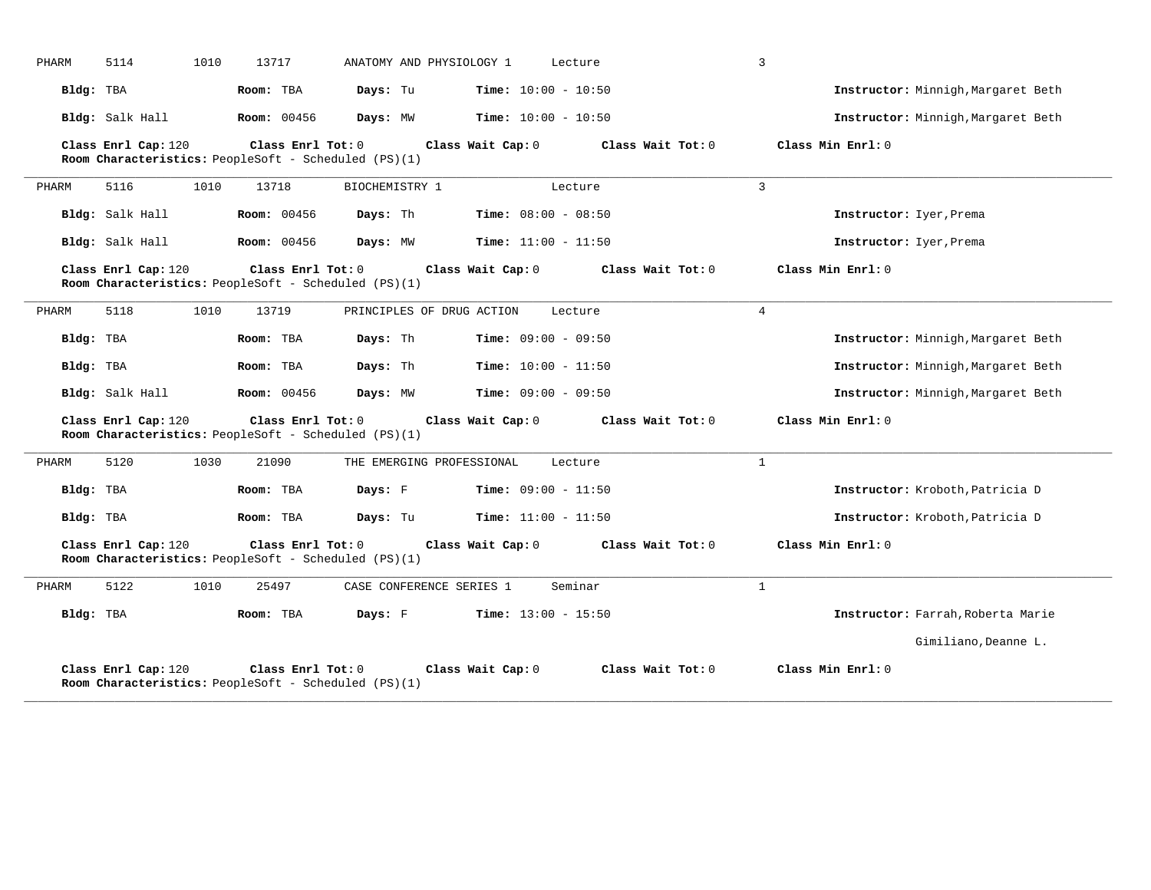| PHARM                                                                                                                                                           | 5114                | 1010 | 13717                                                                     |                | ANATOMY AND PHYSIOLOGY 1  |                   | Lecture                      |  |                   | 3              |                                    |
|-----------------------------------------------------------------------------------------------------------------------------------------------------------------|---------------------|------|---------------------------------------------------------------------------|----------------|---------------------------|-------------------|------------------------------|--|-------------------|----------------|------------------------------------|
| Bldg: TBA                                                                                                                                                       |                     |      | Room: TBA                                                                 | Days: Tu       |                           |                   | <b>Time:</b> $10:00 - 10:50$ |  |                   |                | Instructor: Minnigh, Margaret Beth |
|                                                                                                                                                                 | Bldg: Salk Hall     |      | <b>Room: 00456</b>                                                        | Days: MW       |                           |                   | <b>Time:</b> $10:00 - 10:50$ |  |                   |                | Instructor: Minnigh, Margaret Beth |
|                                                                                                                                                                 | Class Enrl Cap: 120 |      | Class Enrl Tot: 0<br>Room Characteristics: PeopleSoft - Scheduled (PS)(1) |                |                           | Class Wait Cap: 0 |                              |  | Class Wait Tot: 0 |                | Class Min Enrl: 0                  |
| PHARM                                                                                                                                                           | 5116                | 1010 | 13718                                                                     | BIOCHEMISTRY 1 |                           |                   | Lecture                      |  |                   | $\overline{3}$ |                                    |
|                                                                                                                                                                 | Bldg: Salk Hall     |      | <b>Room: 00456</b>                                                        | Days: Th       |                           |                   | Time: $08:00 - 08:50$        |  |                   |                | Instructor: Iyer, Prema            |
|                                                                                                                                                                 | Bldg: Salk Hall     |      | <b>Room: 00456</b>                                                        | Days: MW       |                           |                   | <b>Time:</b> $11:00 - 11:50$ |  |                   |                | Instructor: Iyer, Prema            |
|                                                                                                                                                                 | Class Enrl Cap: 120 |      | Class Enrl Tot: 0<br>Room Characteristics: PeopleSoft - Scheduled (PS)(1) |                |                           | Class Wait Cap: 0 |                              |  | Class Wait Tot: 0 |                | Class Min Enrl: 0                  |
| PHARM                                                                                                                                                           | 5118                | 1010 | 13719                                                                     |                | PRINCIPLES OF DRUG ACTION |                   | Lecture                      |  |                   | $\overline{4}$ |                                    |
| Bldg: TBA                                                                                                                                                       |                     |      | Room: TBA                                                                 | Days: Th       |                           |                   | Time: $09:00 - 09:50$        |  |                   |                | Instructor: Minnigh, Margaret Beth |
| Bldg: TBA                                                                                                                                                       |                     |      | Room: TBA                                                                 | Days: Th       |                           |                   | <b>Time:</b> $10:00 - 11:50$ |  |                   |                | Instructor: Minnigh, Margaret Beth |
|                                                                                                                                                                 | Bldg: Salk Hall     |      | <b>Room:</b> 00456                                                        | Days: MW       |                           |                   | <b>Time:</b> $09:00 - 09:50$ |  |                   |                | Instructor: Minnigh, Margaret Beth |
|                                                                                                                                                                 | Class Enrl Cap: 120 |      | Class Enrl Tot: 0<br>Room Characteristics: PeopleSoft - Scheduled (PS)(1) |                |                           | Class Wait Cap: 0 |                              |  | Class Wait Tot: 0 |                | Class Min Enrl: 0                  |
| PHARM                                                                                                                                                           | 5120                | 1030 | 21090                                                                     |                | THE EMERGING PROFESSIONAL |                   | Lecture                      |  |                   | $\mathbf{1}$   |                                    |
| Bldg: TBA                                                                                                                                                       |                     |      | Room: TBA                                                                 | Days: F        |                           |                   | Time: $09:00 - 11:50$        |  |                   |                | Instructor: Kroboth, Patricia D    |
| Bldg: TBA                                                                                                                                                       |                     |      | Room: TBA                                                                 | Days: Tu       |                           |                   | <b>Time:</b> $11:00 - 11:50$ |  |                   |                | Instructor: Kroboth, Patricia D    |
| Class Enrl Cap: 120<br>Class Enrl Tot: 0<br>Class Wait Cap: 0<br>Class Wait Tot: 0<br>Class Min Enrl: 0<br>Room Characteristics: PeopleSoft - Scheduled (PS)(1) |                     |      |                                                                           |                |                           |                   |                              |  |                   |                |                                    |
| PHARM                                                                                                                                                           | 5122                | 1010 | 25497                                                                     |                | CASE CONFERENCE SERIES 1  |                   | Seminar                      |  |                   | $\mathbf{1}$   |                                    |
| Bldg: TBA                                                                                                                                                       |                     |      | Room: TBA                                                                 | Days: F        |                           |                   | <b>Time:</b> $13:00 - 15:50$ |  |                   |                | Instructor: Farrah, Roberta Marie  |
|                                                                                                                                                                 |                     |      |                                                                           |                |                           |                   |                              |  |                   |                | Gimiliano, Deanne L.               |
|                                                                                                                                                                 | Class Enrl Cap: 120 |      | Class Enrl Tot: 0<br>Room Characteristics: PeopleSoft - Scheduled (PS)(1) |                |                           | Class Wait Cap: 0 |                              |  | Class Wait Tot: 0 |                | Class Min Enrl: 0                  |

**\_\_\_\_\_\_\_\_\_\_\_\_\_\_\_\_\_\_\_\_\_\_\_\_\_\_\_\_\_\_\_\_\_\_\_\_\_\_\_\_\_\_\_\_\_\_\_\_\_\_\_\_\_\_\_\_\_\_\_\_\_\_\_\_\_\_\_\_\_\_\_\_\_\_\_\_\_\_\_\_\_\_\_\_\_\_\_\_\_\_\_\_\_\_\_\_\_\_\_\_\_\_\_\_\_\_\_\_\_\_\_\_\_\_\_\_\_\_\_\_\_\_\_\_\_\_\_\_\_\_\_\_\_\_\_\_\_\_\_\_\_\_\_\_\_\_\_\_\_\_\_\_\_\_\_\_**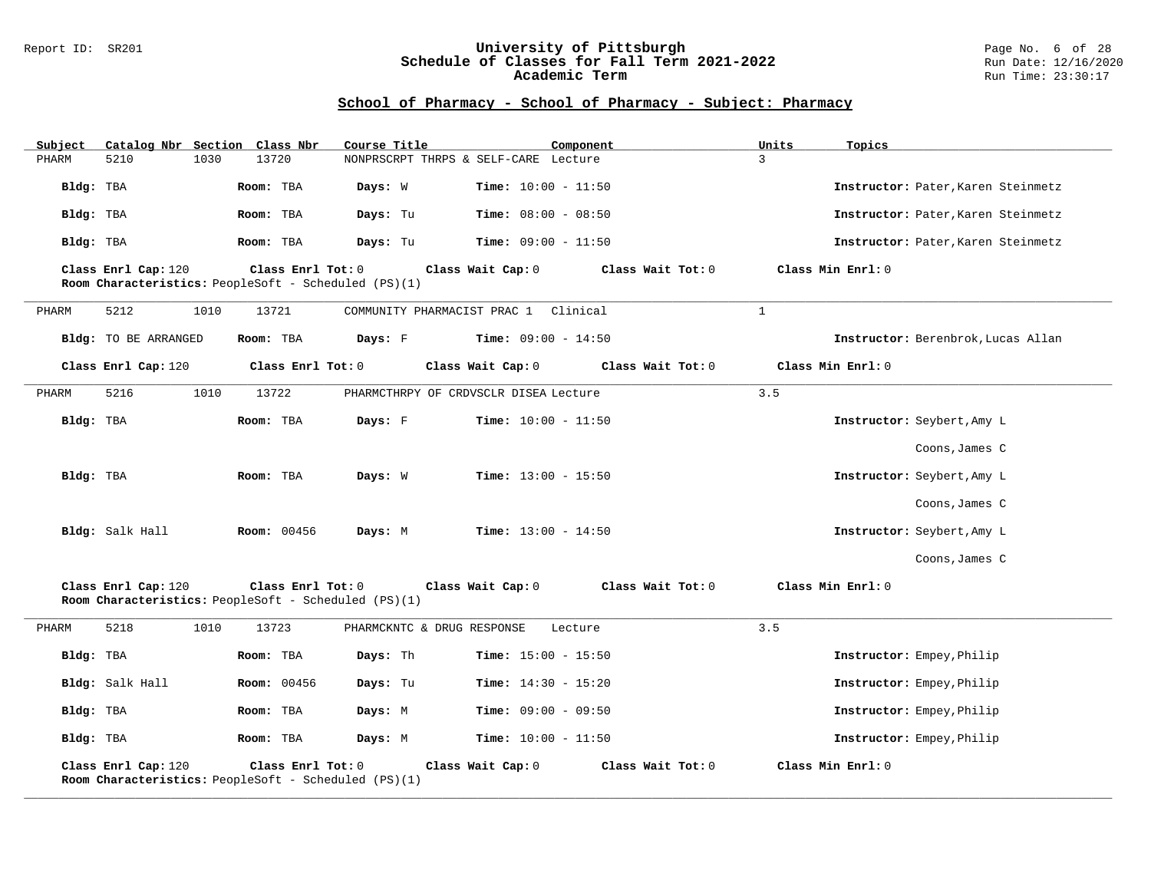#### Report ID: SR201 **University of Pittsburgh** Page No. 6 of 28 **Schedule of Classes for Fall Term 2021-2022** Run Date: 12/16/2020 **Academic Term** Run Time: 23:30:17

| Subject   | Catalog Nbr Section Class Nbr                                                                           | Course Title                                                                     | Component                               | Units<br>Topics                    |  |  |  |  |  |
|-----------|---------------------------------------------------------------------------------------------------------|----------------------------------------------------------------------------------|-----------------------------------------|------------------------------------|--|--|--|--|--|
| PHARM     | 5210<br>1030                                                                                            | 13720                                                                            | NONPRSCRPT THRPS & SELF-CARE Lecture    | $\overline{3}$                     |  |  |  |  |  |
| Bldg: TBA |                                                                                                         | Room: TBA<br>Days: W                                                             | Time: $10:00 - 11:50$                   | Instructor: Pater, Karen Steinmetz |  |  |  |  |  |
| Bldg: TBA |                                                                                                         | Days: Tu<br>Room: TBA                                                            | <b>Time:</b> $08:00 - 08:50$            | Instructor: Pater, Karen Steinmetz |  |  |  |  |  |
| Bldg: TBA |                                                                                                         | Room: TBA<br>Days: Tu                                                            | <b>Time:</b> $09:00 - 11:50$            | Instructor: Pater, Karen Steinmetz |  |  |  |  |  |
|           | Class Enrl Tot: 0<br>Class Min Enrl: 0<br>Class Enrl Cap: 120<br>Class Wait Cap: 0<br>Class Wait Tot: 0 |                                                                                  |                                         |                                    |  |  |  |  |  |
|           |                                                                                                         | Room Characteristics: PeopleSoft - Scheduled (PS)(1)                             |                                         |                                    |  |  |  |  |  |
| PHARM     | 5212<br>1010                                                                                            | 13721                                                                            | COMMUNITY PHARMACIST PRAC 1<br>Clinical | $\mathbf{1}$                       |  |  |  |  |  |
|           | <b>Bldg:</b> TO BE ARRANGED                                                                             | Room: TBA<br>Days: F                                                             | <b>Time:</b> $09:00 - 14:50$            | Instructor: Berenbrok, Lucas Allan |  |  |  |  |  |
|           | Class Enrl Cap: 120                                                                                     | Class Enrl Tot: 0                                                                | Class Wait Cap: 0<br>Class Wait Tot: 0  | Class Min Enrl: 0                  |  |  |  |  |  |
| PHARM     | 1010<br>5216                                                                                            | 13722                                                                            | PHARMCTHRPY OF CRDVSCLR DISEA Lecture   | 3.5                                |  |  |  |  |  |
| Bldg: TBA |                                                                                                         | Room: TBA<br>Days: F                                                             | Time: $10:00 - 11:50$                   | Instructor: Seybert, Amy L         |  |  |  |  |  |
|           |                                                                                                         |                                                                                  |                                         | Coons, James C                     |  |  |  |  |  |
| Bldg: TBA |                                                                                                         | Room: TBA<br>Days: W                                                             | <b>Time:</b> $13:00 - 15:50$            | Instructor: Seybert, Amy L         |  |  |  |  |  |
|           |                                                                                                         |                                                                                  |                                         | Coons, James C                     |  |  |  |  |  |
|           | Bldg: Salk Hall                                                                                         | Room: 00456<br>Days: M                                                           | <b>Time:</b> $13:00 - 14:50$            | Instructor: Seybert, Amy L         |  |  |  |  |  |
|           |                                                                                                         |                                                                                  |                                         | Coons, James C                     |  |  |  |  |  |
|           | Class Enrl Cap: 120                                                                                     | Class Enrl Tot: 0<br>Room Characteristics: PeopleSoft - Scheduled (PS)(1)        | Class Wait Tot: 0<br>Class Wait Cap: 0  | Class Min Enrl: 0                  |  |  |  |  |  |
| PHARM     | 5218<br>1010                                                                                            | 13723                                                                            | PHARMCKNTC & DRUG RESPONSE<br>Lecture   | 3.5                                |  |  |  |  |  |
| Bldg: TBA |                                                                                                         | Room: TBA<br>Days: Th                                                            | <b>Time:</b> $15:00 - 15:50$            | Instructor: Empey, Philip          |  |  |  |  |  |
|           | Bldg: Salk Hall                                                                                         | <b>Room: 00456</b><br>Days: Tu                                                   | <b>Time:</b> $14:30 - 15:20$            | Instructor: Empey, Philip          |  |  |  |  |  |
| Bldg: TBA |                                                                                                         | Room: TBA<br>Days: M                                                             | <b>Time:</b> $09:00 - 09:50$            | Instructor: Empey, Philip          |  |  |  |  |  |
| Bldg: TBA |                                                                                                         | Room: TBA<br>Days: M                                                             | <b>Time:</b> $10:00 - 11:50$            | Instructor: Empey, Philip          |  |  |  |  |  |
|           | Class Enrl Cap: 120                                                                                     | Class Enrl Tot: 0<br><b>Room Characteristics:</b> PeopleSoft - Scheduled (PS)(1) | Class Wait Cap: 0<br>Class Wait Tot: 0  | Class Min Enrl: 0                  |  |  |  |  |  |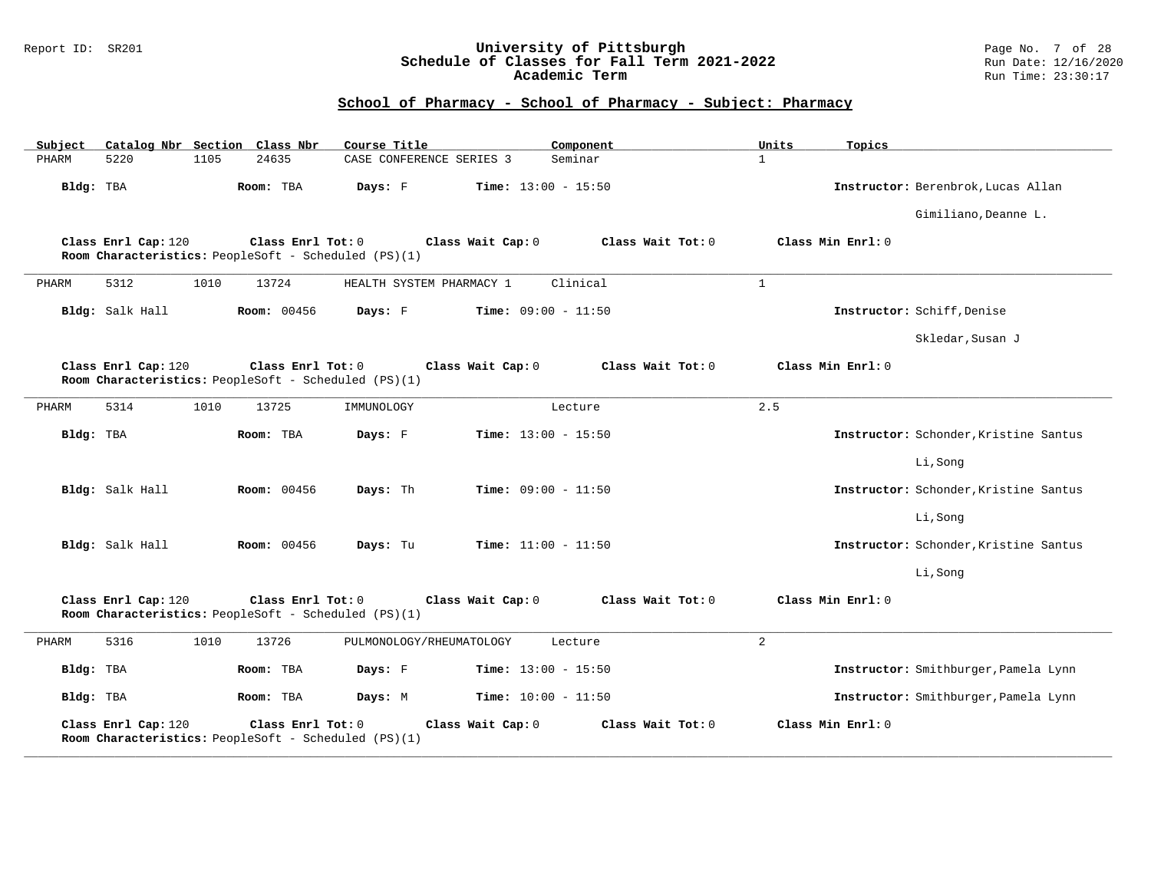### Report ID: SR201 **University of Pittsburgh** Page No. 7 of 28 **Schedule of Classes for Fall Term 2021-2022** Run Date: 12/16/2020 **Academic Term** Run Time: 23:30:17

| Subject   |                     |      | Catalog Nbr Section Class Nbr                                             | Course Title |                              | Component         | Units          | Topics                                |
|-----------|---------------------|------|---------------------------------------------------------------------------|--------------|------------------------------|-------------------|----------------|---------------------------------------|
| PHARM     | 5220                | 1105 | 24635                                                                     |              | CASE CONFERENCE SERIES 3     | Seminar           | $\mathbf{1}$   |                                       |
| Bldg: TBA |                     |      | Room: TBA                                                                 | Days: F      | <b>Time:</b> $13:00 - 15:50$ |                   |                | Instructor: Berenbrok, Lucas Allan    |
|           |                     |      |                                                                           |              |                              |                   |                | Gimiliano, Deanne L.                  |
|           | Class Enrl Cap: 120 |      | Class Enrl Tot: 0<br>Room Characteristics: PeopleSoft - Scheduled (PS)(1) |              | Class Wait Cap: 0            | Class Wait Tot: 0 |                | Class Min Enrl: 0                     |
| PHARM     | 5312                | 1010 | 13724                                                                     |              | HEALTH SYSTEM PHARMACY 1     | Clinical          | $\mathbf{1}$   |                                       |
|           | Bldg: Salk Hall     |      | <b>Room: 00456</b>                                                        | Days: F      | <b>Time:</b> $09:00 - 11:50$ |                   |                | Instructor: Schiff, Denise            |
|           |                     |      |                                                                           |              |                              |                   |                | Skledar, Susan J                      |
|           | Class Enrl Cap: 120 |      | Class Enrl Tot: 0<br>Room Characteristics: PeopleSoft - Scheduled (PS)(1) |              | Class Wait Cap: 0            | Class Wait Tot: 0 |                | Class Min Enrl: 0                     |
| PHARM     | 5314                | 1010 | 13725                                                                     | IMMUNOLOGY   |                              | Lecture           | 2.5            |                                       |
| Bldg: TBA |                     |      | Room: TBA                                                                 | Days: F      | Time: $13:00 - 15:50$        |                   |                | Instructor: Schonder, Kristine Santus |
|           |                     |      |                                                                           |              |                              |                   |                | Li, Song                              |
|           | Bldg: Salk Hall     |      | Room: 00456                                                               | Days: Th     | <b>Time:</b> $09:00 - 11:50$ |                   |                | Instructor: Schonder, Kristine Santus |
|           |                     |      |                                                                           |              |                              |                   |                | Li, Song                              |
|           | Bldg: Salk Hall     |      | Room: 00456                                                               | Days: Tu     | <b>Time:</b> $11:00 - 11:50$ |                   |                | Instructor: Schonder, Kristine Santus |
|           |                     |      |                                                                           |              |                              |                   |                | Li, Song                              |
|           | Class Enrl Cap: 120 |      | Class Enrl Tot: 0<br>Room Characteristics: PeopleSoft - Scheduled (PS)(1) |              | Class Wait Cap: 0            | Class Wait Tot: 0 |                | Class Min Enrl: 0                     |
| PHARM     | 5316                | 1010 | 13726                                                                     |              | PULMONOLOGY/RHEUMATOLOGY     | Lecture           | $\overline{a}$ |                                       |
| Bldg: TBA |                     |      | Room: TBA                                                                 | Days: F      | Time: $13:00 - 15:50$        |                   |                | Instructor: Smithburger, Pamela Lynn  |
| Bldg: TBA |                     |      | Room: TBA                                                                 | Days: M      | <b>Time:</b> $10:00 - 11:50$ |                   |                | Instructor: Smithburger, Pamela Lynn  |
|           | Class Enrl Cap: 120 |      | Class Enrl Tot: 0<br>Room Characteristics: PeopleSoft - Scheduled (PS)(1) |              | Class Wait Cap: 0            | Class Wait Tot: 0 |                | Class Min Enrl: 0                     |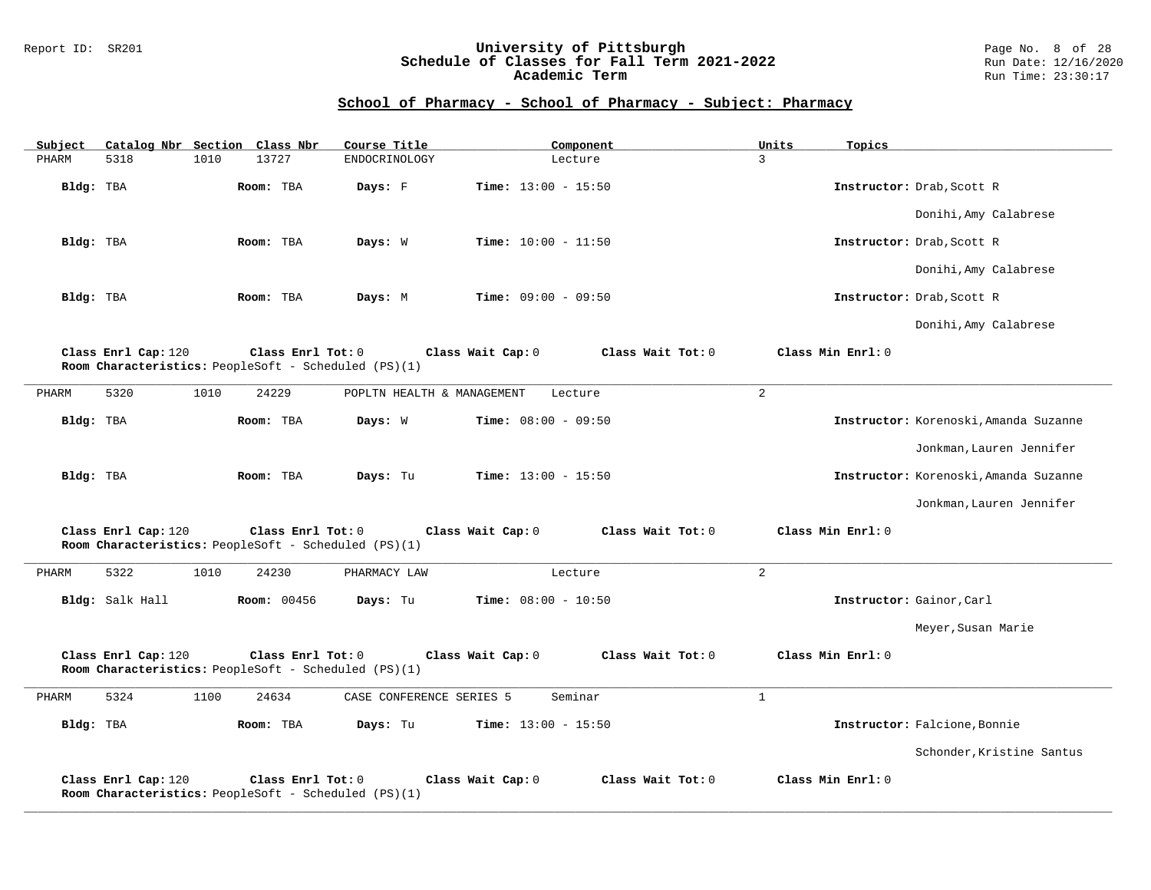### Report ID: SR201 **University of Pittsburgh** Page No. 8 of 28 **Schedule of Classes for Fall Term 2021-2022** Run Date: 12/16/2020 **Academic Term** Run Time: 23:30:17

| Subject   |                     |      | Catalog Nbr Section Class Nbr                                             | Course Title               | Component                              | Units<br>Topics   |                                       |
|-----------|---------------------|------|---------------------------------------------------------------------------|----------------------------|----------------------------------------|-------------------|---------------------------------------|
| PHARM     | 5318                | 1010 | 13727                                                                     | ENDOCRINOLOGY              | Lecture                                | $\overline{3}$    |                                       |
| Bldg: TBA |                     |      | Room: TBA                                                                 | Days: F                    | <b>Time:</b> $13:00 - 15:50$           |                   | Instructor: Drab, Scott R             |
|           |                     |      |                                                                           |                            |                                        |                   | Donihi, Amy Calabrese                 |
| Bldg: TBA |                     |      | Room: TBA                                                                 | Days: W                    | <b>Time:</b> $10:00 - 11:50$           |                   | Instructor: Drab, Scott R             |
|           |                     |      |                                                                           |                            |                                        |                   | Donihi, Amy Calabrese                 |
| Bldg: TBA |                     |      | Room: TBA                                                                 | Days: M                    | <b>Time:</b> $09:00 - 09:50$           |                   | Instructor: Drab, Scott R             |
|           |                     |      |                                                                           |                            |                                        |                   | Donihi, Amy Calabrese                 |
|           | Class Enrl Cap: 120 |      | Class Enrl Tot: 0<br>Room Characteristics: PeopleSoft - Scheduled (PS)(1) |                            | Class Wait Cap: 0<br>Class Wait Tot: 0 | Class Min Enrl: 0 |                                       |
| PHARM     | 5320                | 1010 | 24229                                                                     | POPLTN HEALTH & MANAGEMENT | Lecture                                | $\overline{a}$    |                                       |
| Bldg: TBA |                     |      | Room: TBA                                                                 | Days: W                    | <b>Time:</b> $08:00 - 09:50$           |                   | Instructor: Korenoski, Amanda Suzanne |
|           |                     |      |                                                                           |                            |                                        |                   | Jonkman, Lauren Jennifer              |
| Bldg: TBA |                     |      | Room: TBA                                                                 | Days: Tu                   | <b>Time:</b> $13:00 - 15:50$           |                   | Instructor: Korenoski, Amanda Suzanne |
|           |                     |      |                                                                           |                            |                                        |                   | Jonkman, Lauren Jennifer              |
|           | Class Enrl Cap: 120 |      | Class Enrl Tot: 0<br>Room Characteristics: PeopleSoft - Scheduled (PS)(1) |                            | Class Wait Cap: 0<br>Class Wait Tot: 0 | Class Min Enrl: 0 |                                       |
| PHARM     | 5322                | 1010 | 24230                                                                     | PHARMACY LAW               | Lecture                                | 2                 |                                       |
|           | Bldg: Salk Hall     |      | <b>Room: 00456</b>                                                        | Days: Tu                   | <b>Time:</b> $08:00 - 10:50$           |                   | Instructor: Gainor, Carl              |
|           |                     |      |                                                                           |                            |                                        |                   | Meyer, Susan Marie                    |
|           | Class Enrl Cap: 120 |      | Class Enrl Tot: 0<br>Room Characteristics: PeopleSoft - Scheduled (PS)(1) |                            | Class Wait Cap: 0<br>Class Wait Tot: 0 | Class Min Enrl: 0 |                                       |
| PHARM     | 5324                | 1100 | 24634                                                                     | CASE CONFERENCE SERIES 5   | Seminar                                | $\mathbf{1}$      |                                       |
| Bldg: TBA |                     |      | Room: TBA                                                                 | Days: Tu                   | <b>Time:</b> $13:00 - 15:50$           |                   | Instructor: Falcione, Bonnie          |
|           |                     |      |                                                                           |                            |                                        |                   | Schonder, Kristine Santus             |
|           | Class Enrl Cap: 120 |      | Class Enrl Tot: 0<br>Room Characteristics: PeopleSoft - Scheduled (PS)(1) |                            | Class Wait Cap: 0<br>Class Wait Tot: 0 | Class Min Enrl: 0 |                                       |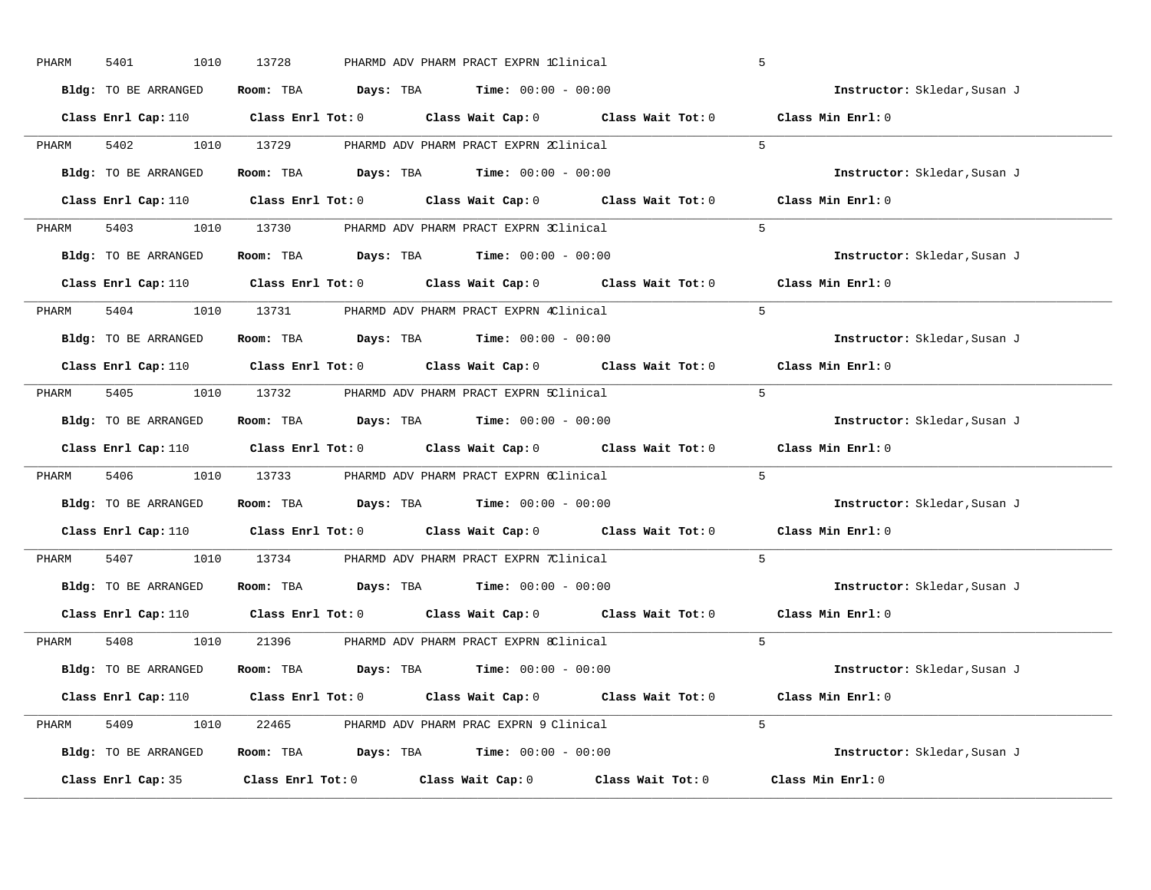| PHARM | 5401<br>1010         | 13728                                                                                                | PHARMD ADV PHARM PRACT EXPRN 1Clinical |                   | 5                            |
|-------|----------------------|------------------------------------------------------------------------------------------------------|----------------------------------------|-------------------|------------------------------|
|       | Bldg: TO BE ARRANGED | Room: TBA $\rule{1em}{0.15mm}$ Days: TBA Time: $00:00 - 00:00$                                       |                                        |                   | Instructor: Skledar, Susan J |
|       |                      | Class Enrl Cap: 110 $\qquad$ Class Enrl Tot: 0 $\qquad$ Class Wait Cap: 0 $\qquad$ Class Wait Tot: 0 |                                        |                   | Class Min Enrl: 0            |
| PHARM | 5402                 | 1010 13729                                                                                           | PHARMD ADV PHARM PRACT EXPRN 2Clinical |                   | 5 <sub>1</sub>               |
|       | Bldg: TO BE ARRANGED | Room: TBA $Days: TBA$ Time: $00:00 - 00:00$                                                          |                                        |                   | Instructor: Skledar, Susan J |
|       |                      | Class Enrl Cap: 110 $\qquad$ Class Enrl Tot: 0 $\qquad$ Class Wait Cap: 0 $\qquad$ Class Wait Tot: 0 |                                        |                   | Class Min Enrl: 0            |
| PHARM |                      | 5403 1010 13730 PHARMD ADV PHARM PRACT EXPRN 3Clinical                                               |                                        |                   | -5                           |
|       | Bldg: TO BE ARRANGED | Room: TBA $Days:$ TBA Time: $00:00 - 00:00$                                                          |                                        |                   | Instructor: Skledar, Susan J |
|       |                      | Class Enrl Cap: 110 Class Enrl Tot: 0 Class Wait Cap: 0 Class Wait Tot: 0                            |                                        |                   | Class Min Enrl: 0            |
| PHARM | 5404                 | 1010 13731 PHARMD ADV PHARM PRACT EXPRN 4Clinical                                                    |                                        |                   | $5^{\circ}$                  |
|       | Bldg: TO BE ARRANGED | Room: TBA $Days: TBA$ Time: $00:00 - 00:00$                                                          |                                        |                   | Instructor: Skledar, Susan J |
|       |                      | Class Enrl Cap: 110 $\qquad$ Class Enrl Tot: 0 $\qquad$ Class Wait Cap: 0 $\qquad$ Class Wait Tot: 0 |                                        |                   | Class Min Enrl: 0            |
| PHARM | 5405<br>1010         | 13732 PHARMD ADV PHARM PRACT EXPRN 5Clinical                                                         |                                        |                   | $5^{\circ}$                  |
|       | Bldg: TO BE ARRANGED | Room: TBA $Days: TBA$ Time: $00:00 - 00:00$                                                          |                                        |                   | Instructor: Skledar, Susan J |
|       |                      | Class Enrl Cap: 110 Class Enrl Tot: 0 Class Wait Cap: 0 Class Wait Tot: 0                            |                                        |                   | Class Min Enrl: 0            |
| PHARM | 5406<br>1010         | 13733 PHARMD ADV PHARM PRACT EXPRN 6Clinical                                                         |                                        |                   | $5^{\circ}$                  |
|       | Bldg: TO BE ARRANGED | Room: TBA $Days: TBA$ Time: $00:00 - 00:00$                                                          |                                        |                   | Instructor: Skledar, Susan J |
|       | Class Enrl Cap: 110  | Class Enrl Tot: $0$ Class Wait Cap: $0$ Class Wait Tot: $0$                                          |                                        |                   | Class Min Enrl: 0            |
| PHARM | 5407<br>1010         | 13734                                                                                                | PHARMD ADV PHARM PRACT EXPRN 7Clinical |                   | $5^{\circ}$                  |
|       | Bldg: TO BE ARRANGED | Room: TBA $Days:$ TBA $Time: 00:00 - 00:00$                                                          |                                        |                   | Instructor: Skledar, Susan J |
|       |                      | Class Enrl Cap: 110 $\qquad$ Class Enrl Tot: 0 $\qquad$ Class Wait Cap: 0 $\qquad$ Class Wait Tot: 0 |                                        |                   | Class Min Enrl: 0            |
| PHARM | 5408<br>1010         | 21396                                                                                                | PHARMD ADV PHARM PRACT EXPRN 8Clinical |                   | $5^{\circ}$                  |
|       | Bldg: TO BE ARRANGED | Room: TBA $Days: TBA$ Time: $00:00 - 00:00$                                                          |                                        |                   | Instructor: Skledar, Susan J |
|       |                      | Class Enrl Cap: 110 $\qquad$ Class Enrl Tot: 0 $\qquad$ Class Wait Cap: 0 $\qquad$ Class Wait Tot: 0 |                                        |                   | Class Min Enrl: 0            |
| PHARM |                      | 5409 1010 22465 PHARMD ADV PHARM PRAC EXPRN 9 Clinical                                               |                                        |                   | $5^{\circ}$                  |
|       | Bldg: TO BE ARRANGED | Room: TBA $Days: TBA$ Time: $00:00 - 00:00$                                                          |                                        |                   | Instructor: Skledar, Susan J |
|       | Class Enrl Cap: 35   | $Class$ $Enr1$ $Tot: 0$                                                                              | Class Wait Cap: 0                      | Class Wait Tot: 0 | Class Min Enrl: 0            |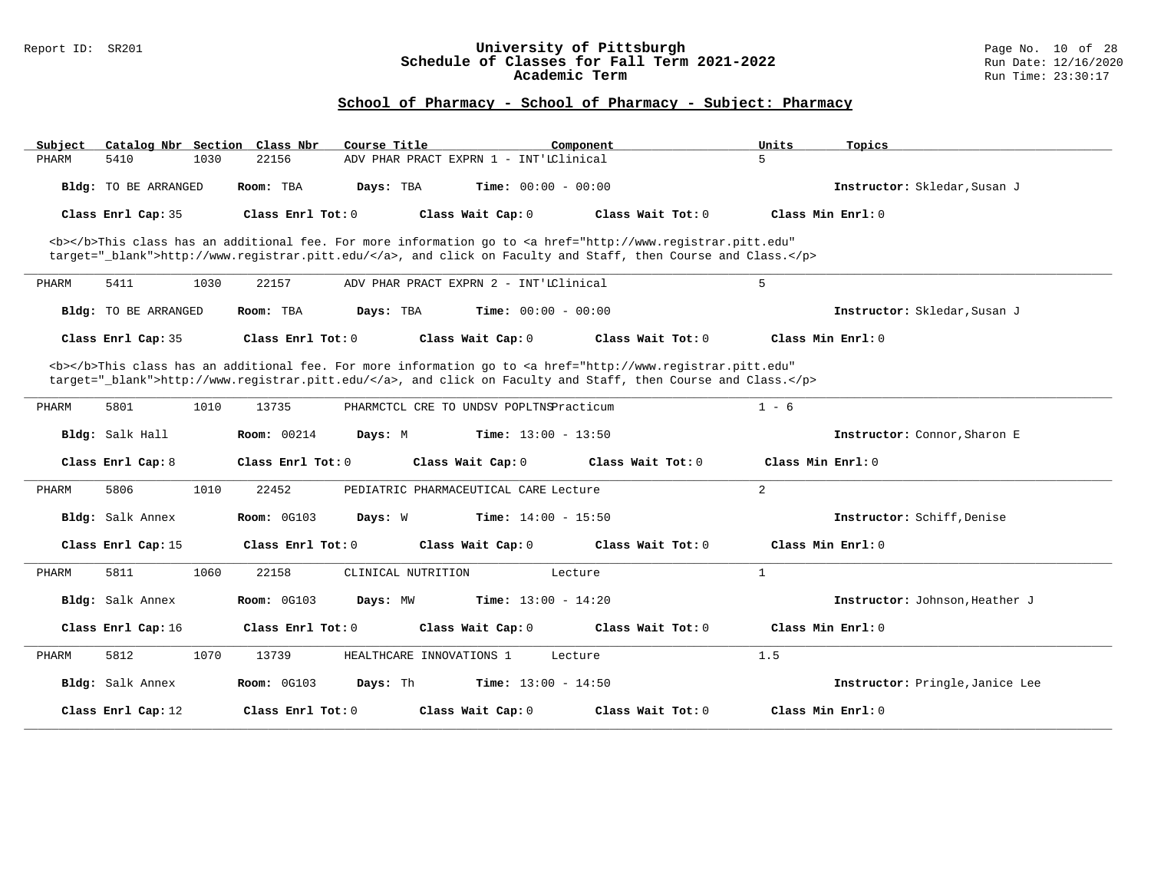### Report ID: SR201 **University of Pittsburgh** Page No. 10 of 28 **Schedule of Classes for Fall Term 2021-2022** Run Date: 12/16/2020 **Academic Term** Run Time: 23:30:17

| Catalog Nbr Section Class Nbr<br>Subject                                                                                                                                                                                           | Course Title                                                                                                                                                                                                                       | Units<br>Component  | Topics                          |  |  |  |  |  |
|------------------------------------------------------------------------------------------------------------------------------------------------------------------------------------------------------------------------------------|------------------------------------------------------------------------------------------------------------------------------------------------------------------------------------------------------------------------------------|---------------------|---------------------------------|--|--|--|--|--|
| PHARM<br>5410<br>1030                                                                                                                                                                                                              | ADV PHAR PRACT EXPRN 1 - INT'IClinical<br>22156                                                                                                                                                                                    | 5                   |                                 |  |  |  |  |  |
| Bldg: TO BE ARRANGED                                                                                                                                                                                                               | Time: $00:00 - 00:00$<br>Room: TBA<br>Days: TBA                                                                                                                                                                                    |                     | Instructor: Skledar, Susan J    |  |  |  |  |  |
| Class Enrl Cap: 35                                                                                                                                                                                                                 | Class Enrl Tot: 0<br>Class Wait Cap: 0                                                                                                                                                                                             | Class Wait Tot: 0   | Class Min $Enr1: 0$             |  |  |  |  |  |
|                                                                                                                                                                                                                                    | <b></b> This class has an additional fee. For more information go to <a <br="" href="http://www.registrar.pitt.edu">target="_blank"&gt;http://www.registrar.pitt.edu/</a> , and click on Faculty and Staff, then Course and Class. |                     |                                 |  |  |  |  |  |
| 5411<br>1030<br>PHARM                                                                                                                                                                                                              | 22157<br>ADV PHAR PRACT EXPRN 2 - INT'LClinical                                                                                                                                                                                    | 5                   |                                 |  |  |  |  |  |
| Bldg: TO BE ARRANGED                                                                                                                                                                                                               | <b>Time:</b> $00:00 - 00:00$<br>Room: TBA<br>Days: TBA                                                                                                                                                                             |                     | Instructor: Skledar, Susan J    |  |  |  |  |  |
| Class Enrl Cap: 35                                                                                                                                                                                                                 | Class Enrl Tot: 0<br>Class Wait Cap: 0                                                                                                                                                                                             | Class Wait Tot: 0   | Class Min Enrl: 0               |  |  |  |  |  |
| <b></b> This class has an additional fee. For more information go to <a <br="" href="http://www.registrar.pitt.edu">target="_blank"&gt;http://www.registrar.pitt.edu/</a> , and click on Faculty and Staff, then Course and Class. |                                                                                                                                                                                                                                    |                     |                                 |  |  |  |  |  |
| 5801<br>1010<br>PHARM                                                                                                                                                                                                              | 13735<br>PHARMCTCL CRE TO UNDSV POPLTNSPracticum                                                                                                                                                                                   | $1 - 6$             |                                 |  |  |  |  |  |
| Bldg: Salk Hall                                                                                                                                                                                                                    | <b>Room: 00214</b><br>Days: M<br><b>Time:</b> $13:00 - 13:50$                                                                                                                                                                      |                     | Instructor: Connor, Sharon E    |  |  |  |  |  |
| Class Enrl Cap: 8                                                                                                                                                                                                                  | Class Enrl Tot: 0<br>Class Wait Cap: 0                                                                                                                                                                                             | Class Wait Tot: $0$ | Class Min $Enr1: 0$             |  |  |  |  |  |
| 5806<br>1010<br>PHARM                                                                                                                                                                                                              | 22452<br>PEDIATRIC PHARMACEUTICAL CARE Lecture                                                                                                                                                                                     | 2                   |                                 |  |  |  |  |  |
| Bldg: Salk Annex                                                                                                                                                                                                                   | Room: 0G103<br><b>Time:</b> $14:00 - 15:50$<br>Days: W                                                                                                                                                                             |                     | Instructor: Schiff, Denise      |  |  |  |  |  |
| Class Enrl Cap: 15                                                                                                                                                                                                                 | Class Enrl Tot: 0<br>Class Wait Cap: 0                                                                                                                                                                                             | Class Wait Tot: 0   | $Class Min Ernst: 0$            |  |  |  |  |  |
| 5811<br>1060<br>PHARM                                                                                                                                                                                                              | 22158<br>CLINICAL NUTRITION<br>Lecture                                                                                                                                                                                             | $\mathbf{1}$        |                                 |  |  |  |  |  |
| Bldg: Salk Annex                                                                                                                                                                                                                   | <b>Room: 0G103</b><br>Days: MW<br><b>Time:</b> $13:00 - 14:20$                                                                                                                                                                     |                     | Instructor: Johnson, Heather J  |  |  |  |  |  |
| Class Enrl Cap: 16                                                                                                                                                                                                                 | Class Enrl Tot: 0<br>Class Wait Cap: 0                                                                                                                                                                                             | Class Wait Tot: 0   | Class Min Enrl: 0               |  |  |  |  |  |
| 5812<br>1070<br>PHARM                                                                                                                                                                                                              | HEALTHCARE INNOVATIONS 1<br>13739<br>Lecture                                                                                                                                                                                       | 1.5                 |                                 |  |  |  |  |  |
| Bldg: Salk Annex                                                                                                                                                                                                                   | <b>Room: 0G103</b><br>Days: Th<br><b>Time:</b> $13:00 - 14:50$                                                                                                                                                                     |                     | Instructor: Pringle, Janice Lee |  |  |  |  |  |
| Class Enrl Cap: 12                                                                                                                                                                                                                 | Class Enrl Tot: 0<br>Class Wait Cap: 0                                                                                                                                                                                             | Class Wait Tot: 0   | Class Min Enrl: 0               |  |  |  |  |  |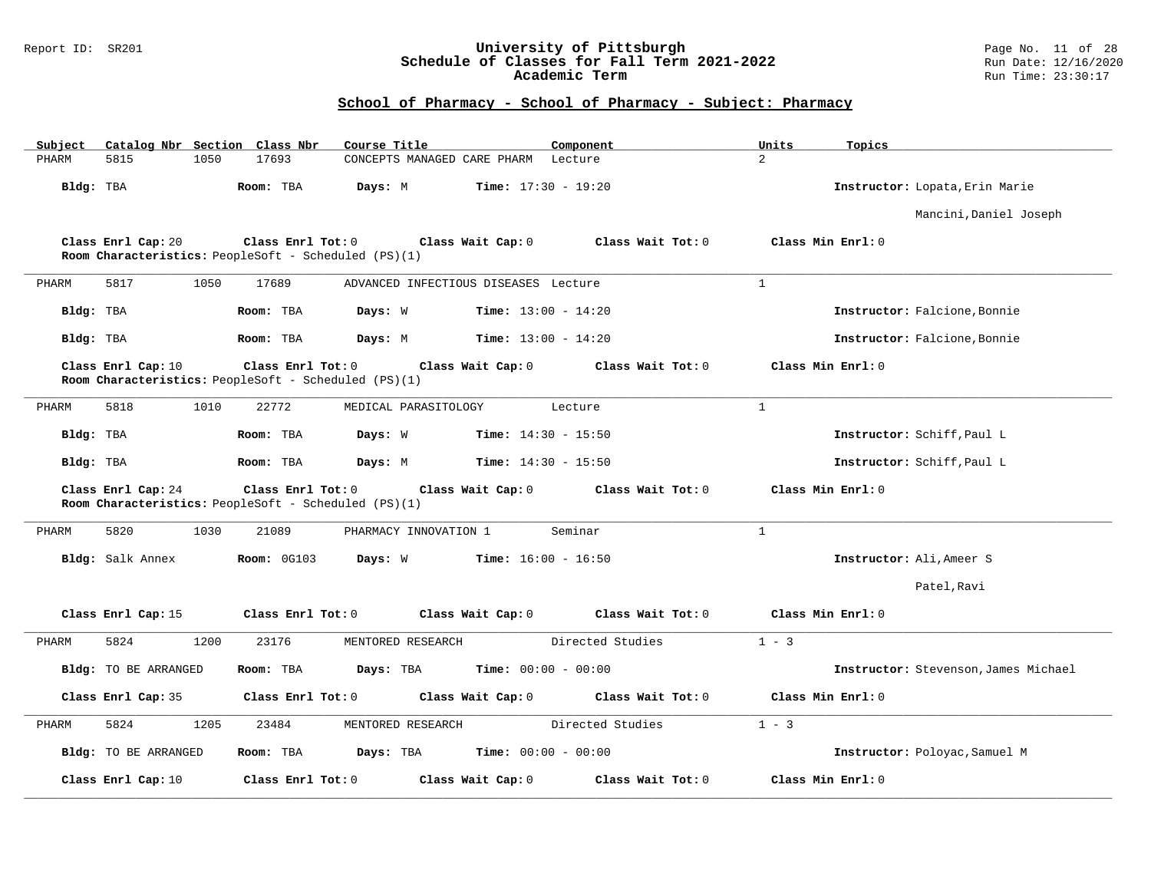### Report ID: SR201 **University of Pittsburgh** Page No. 11 of 28 **Schedule of Classes for Fall Term 2021-2022** Run Date: 12/16/2020 **Academic Term** Run Time: 23:30:17

| Subject   |                      |      | Catalog Nbr Section Class Nbr                                             | Course Title                         |                              | Component         | Units          | Topics                               |
|-----------|----------------------|------|---------------------------------------------------------------------------|--------------------------------------|------------------------------|-------------------|----------------|--------------------------------------|
| PHARM     | 5815                 | 1050 | 17693                                                                     | CONCEPTS MANAGED CARE PHARM Lecture  |                              |                   | $\overline{2}$ |                                      |
| Bldg: TBA |                      |      | Room: TBA                                                                 | Days: M                              | <b>Time:</b> $17:30 - 19:20$ |                   |                | Instructor: Lopata, Erin Marie       |
|           |                      |      |                                                                           |                                      |                              |                   |                | Mancini, Daniel Joseph               |
|           | Class Enrl Cap: 20   |      | Class Enrl Tot: 0<br>Room Characteristics: PeopleSoft - Scheduled (PS)(1) |                                      | Class Wait Cap: 0            | Class Wait Tot: 0 |                | Class Min Enrl: 0                    |
| PHARM     | 5817                 | 1050 | 17689                                                                     | ADVANCED INFECTIOUS DISEASES Lecture |                              |                   | $\mathbf{1}$   |                                      |
| Bldg: TBA |                      |      | Room: TBA                                                                 | Days: W                              | <b>Time:</b> $13:00 - 14:20$ |                   |                | Instructor: Falcione, Bonnie         |
| Bldg: TBA |                      |      | Room: TBA                                                                 | Days: M                              | <b>Time:</b> $13:00 - 14:20$ |                   |                | Instructor: Falcione, Bonnie         |
|           | Class Enrl Cap: 10   |      | Class Enrl Tot: 0<br>Room Characteristics: PeopleSoft - Scheduled (PS)(1) |                                      | Class Wait Cap: 0            | Class Wait Tot: 0 |                | Class Min Enrl: 0                    |
| PHARM     | 5818                 | 1010 | 22772                                                                     | MEDICAL PARASITOLOGY                 |                              | Lecture           | $\mathbf{1}$   |                                      |
| Bldg: TBA |                      |      | Room: TBA                                                                 | Days: W                              | <b>Time:</b> $14:30 - 15:50$ |                   |                | Instructor: Schiff, Paul L           |
| Bldg: TBA |                      |      | Room: TBA                                                                 | Days: M                              | $Time: 14:30 - 15:50$        |                   |                | Instructor: Schiff, Paul L           |
|           | Class Enrl Cap: 24   |      | Class Enrl Tot: 0<br>Room Characteristics: PeopleSoft - Scheduled (PS)(1) |                                      | Class Wait Cap: 0            | Class Wait Tot: 0 |                | Class Min Enrl: 0                    |
| PHARM     | 5820                 | 1030 | 21089                                                                     | PHARMACY INNOVATION 1                |                              | Seminar           | $\mathbf{1}$   |                                      |
|           | Bldg: Salk Annex     |      | <b>Room: 0G103</b>                                                        | Days: W                              | <b>Time:</b> $16:00 - 16:50$ |                   |                | Instructor: Ali, Ameer S             |
|           |                      |      |                                                                           |                                      |                              |                   |                | Patel, Ravi                          |
|           | Class Enrl Cap: 15   |      | Class Enrl Tot: 0                                                         |                                      | Class Wait Cap: 0            | Class Wait Tot: 0 |                | Class Min Enrl: 0                    |
| PHARM     | 5824                 | 1200 | 23176                                                                     | MENTORED RESEARCH                    |                              | Directed Studies  | $1 - 3$        |                                      |
|           | Bldg: TO BE ARRANGED |      | Room: TBA                                                                 | Days: TBA                            | <b>Time:</b> $00:00 - 00:00$ |                   |                | Instructor: Stevenson, James Michael |
|           | Class Enrl Cap: 35   |      | Class Enrl Tot: 0                                                         |                                      | Class Wait Cap: 0            | Class Wait Tot: 0 |                | Class Min Enrl: 0                    |
| PHARM     | 5824                 | 1205 | 23484                                                                     | MENTORED RESEARCH                    |                              | Directed Studies  | $1 - 3$        |                                      |
|           | Bldg: TO BE ARRANGED |      | Room: TBA                                                                 | Days: TBA                            | <b>Time:</b> $00:00 - 00:00$ |                   |                | Instructor: Poloyac, Samuel M        |
|           | Class Enrl Cap: 10   |      | Class Enrl Tot: 0                                                         |                                      | Class Wait Cap: 0            | Class Wait Tot: 0 |                | Class Min Enrl: 0                    |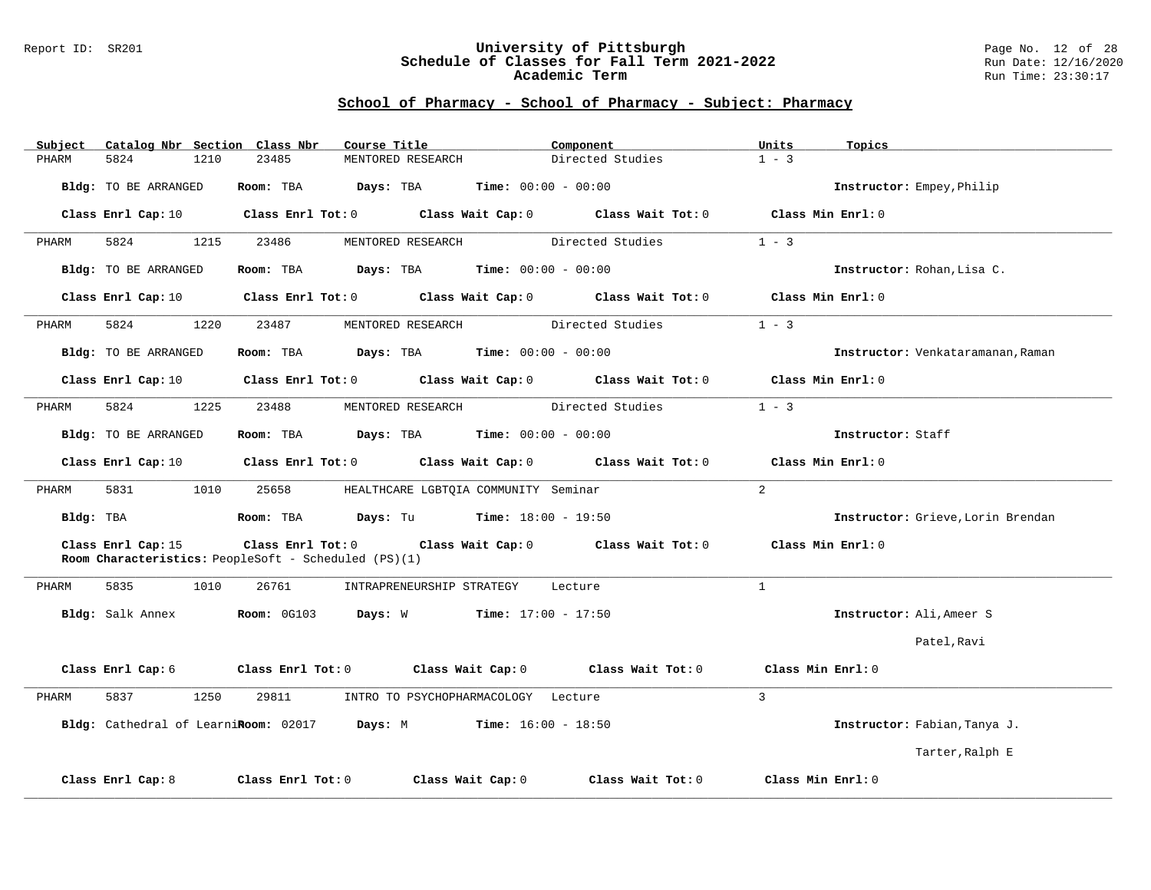#### Report ID: SR201 **University of Pittsburgh** Page No. 12 of 28 **Schedule of Classes for Fall Term 2021-2022** Run Date: 12/16/2020 **Academic Term** Run Time: 23:30:17

|           | Subject Catalog Nbr Section Class Nbr | Course Title                                                                                                                   | Component                          | Units<br>Topics                   |
|-----------|---------------------------------------|--------------------------------------------------------------------------------------------------------------------------------|------------------------------------|-----------------------------------|
| PHARM     | 5824<br>1210                          | 23485<br>MENTORED RESEARCH                                                                                                     | Directed Studies                   | $1 - 3$                           |
|           | Bldg: TO BE ARRANGED                  | Room: TBA $Days:$ TBA $Time: 00:00 - 00:00$                                                                                    |                                    | Instructor: Empey, Philip         |
|           |                                       | Class Enrl Cap: 10 $\qquad$ Class Enrl Tot: 0 $\qquad$ Class Wait Cap: 0 $\qquad$ Class Wait Tot: 0                            |                                    | Class Min Enrl: 0                 |
| PHARM     | 5824<br>1215                          | 23486<br>MENTORED RESEARCH                                                                                                     | Directed Studies                   | $1 - 3$                           |
|           | Bldg: TO BE ARRANGED                  | <b>Room:</b> TBA <b>Days:</b> TBA <b>Time:</b> 00:00 - 00:00                                                                   |                                    | Instructor: Rohan, Lisa C.        |
|           |                                       | Class Enrl Cap: 10 Class Enrl Tot: 0 Class Wait Cap: 0 Class Wait Tot: 0                                                       |                                    | Class Min Enrl: 0                 |
| PHARM     | 5824<br>1220                          | 23487                                                                                                                          | MENTORED RESEARCH Directed Studies | $1 - 3$                           |
|           | Bldg: TO BE ARRANGED                  | Room: TBA $Days:$ TBA $Time: 00:00 - 00:00$                                                                                    |                                    | Instructor: Venkataramanan, Raman |
|           | Class Enrl Cap: 10                    | Class Enrl Tot: 0 Class Wait Cap: 0 Class Wait Tot: 0                                                                          |                                    | Class Min Enrl: 0                 |
| PHARM     | 5824<br>1225                          | 23488<br>MENTORED RESEARCH                                                                                                     | Directed Studies                   | $1 - 3$                           |
|           | Bldg: TO BE ARRANGED                  | <b>Room:</b> TBA <b>Days:</b> TBA <b>Time:</b> 00:00 - 00:00                                                                   |                                    | Instructor: Staff                 |
|           |                                       | Class Enrl Cap: 10 $\qquad$ Class Enrl Tot: 0 $\qquad$ Class Wait Cap: 0 $\qquad$ Class Wait Tot: 0 $\qquad$ Class Min Enrl: 0 |                                    |                                   |
| PHARM     | 5831<br>1010                          | 25658 HEALTHCARE LGBTQIA COMMUNITY Seminar                                                                                     |                                    | 2                                 |
| Bldg: TBA |                                       | <b>Room:</b> TBA $\qquad \qquad$ <b>Days:</b> Tu $\qquad \qquad$ <b>Time:</b> $18:00 - 19:50$                                  |                                    | Instructor: Grieve, Lorin Brendan |
|           | Class Enrl Cap: 15                    | Class Enrl Tot: 0 Class Wait Cap: 0 Class Wait Tot: 0<br>Room Characteristics: PeopleSoft - Scheduled (PS)(1)                  |                                    | Class Min $Enr1:0$                |
| PHARM     | 5835<br>1010                          | 26761<br>INTRAPRENEURSHIP STRATEGY Lecture                                                                                     |                                    | $\mathbf{1}$                      |
|           | Bldg: Salk Annex                      | <b>Room:</b> $0G103$ <b>Days:</b> W <b>Time:</b> $17:00 - 17:50$                                                               |                                    | Instructor: Ali, Ameer S          |
|           |                                       |                                                                                                                                |                                    | Patel, Ravi                       |
|           |                                       | Class Enrl Cap: $6$ Class Enrl Tot: $0$ Class Wait Cap: $0$                                                                    | Class Wait Tot: 0                  | Class Min Enrl: 0                 |
| PHARM     | 5837<br>1250                          | 29811<br>INTRO TO PSYCHOPHARMACOLOGY Lecture                                                                                   |                                    | $\mathbf{3}$                      |
|           |                                       | Bldg: Cathedral of LearniRoom: 02017 Days: M                                                                                   | $Time: 16:00 - 18:50$              | Instructor: Fabian, Tanya J.      |
|           |                                       |                                                                                                                                |                                    | Tarter, Ralph E                   |
|           | Class Enrl Cap: 8                     | Class Wait Cap: 0<br>Class Enrl Tot: 0                                                                                         | Class Wait Tot: 0                  | Class Min Enrl: 0                 |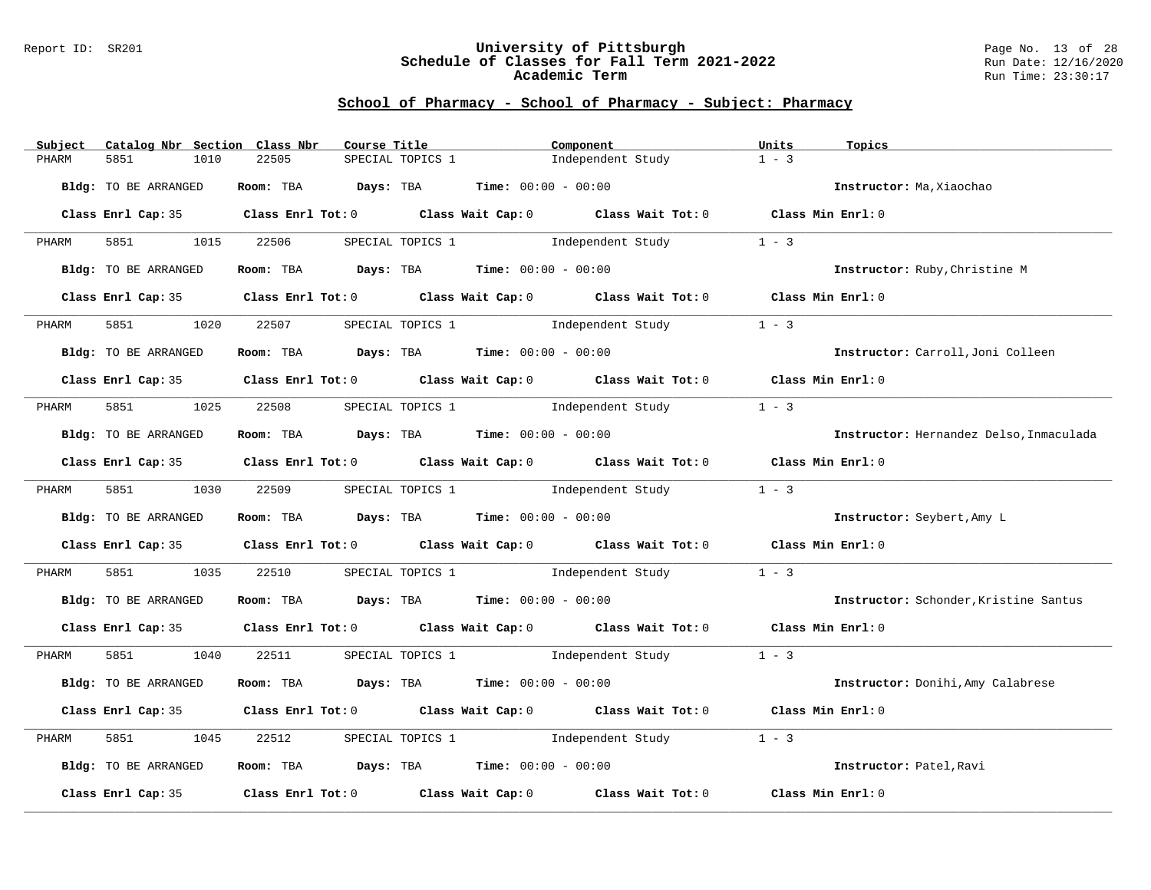#### Report ID: SR201 **University of Pittsburgh** Page No. 13 of 28 **Schedule of Classes for Fall Term 2021-2022** Run Date: 12/16/2020 **Academic Term** Run Time: 23:30:17

| Subject | Catalog Nbr Section Class Nbr | Course Title                                                                               |                  | Component                              |                                                  | Units             | Topics                                  |
|---------|-------------------------------|--------------------------------------------------------------------------------------------|------------------|----------------------------------------|--------------------------------------------------|-------------------|-----------------------------------------|
| PHARM   | 5851<br>1010                  | 22505                                                                                      | SPECIAL TOPICS 1 |                                        | Independent Study                                | $1 - 3$           |                                         |
|         |                               |                                                                                            |                  |                                        |                                                  |                   |                                         |
|         | Bldg: TO BE ARRANGED          | Room: TBA $Days:$ TBA $Time: 00:00 - 00:00$                                                |                  |                                        |                                                  |                   | Instructor: Ma, Xiaochao                |
|         |                               | Class Enrl Cap: 35 Class Enrl Tot: 0 Class Wait Cap: 0 Class Wait Tot: 0 Class Min Enrl: 0 |                  |                                        |                                                  |                   |                                         |
| PHARM   | 5851 1015                     | 22506                                                                                      |                  |                                        | SPECIAL TOPICS 1 1 and independent Study 1 - 3   |                   |                                         |
|         | Bldg: TO BE ARRANGED          | Room: TBA $Days:$ TBA $Time: 00:00 - 00:00$                                                |                  |                                        |                                                  |                   | Instructor: Ruby, Christine M           |
|         | Class Enrl Cap: 35            | Class Enrl Tot: $0$ Class Wait Cap: $0$ Class Wait Tot: $0$ Class Min Enrl: $0$            |                  |                                        |                                                  |                   |                                         |
| PHARM   | 5851<br>1020                  | 22507                                                                                      |                  | SPECIAL TOPICS 1 1 Independent Study   |                                                  | $1 - 3$           |                                         |
|         | Bldg: TO BE ARRANGED          | Room: TBA $Days:$ TBA $Time: 00:00 - 00:00$                                                |                  |                                        |                                                  |                   | Instructor: Carroll, Joni Colleen       |
|         |                               | Class Enrl Cap: 35 Class Enrl Tot: 0 Class Wait Cap: 0 Class Wait Tot: 0 Class Min Enrl: 0 |                  |                                        |                                                  |                   |                                         |
| PHARM   | 5851 1025 22508               |                                                                                            |                  | SPECIAL TOPICS 1 1 1 Independent Study |                                                  | $1 - 3$           |                                         |
|         | Bldg: TO BE ARRANGED          | Room: TBA $Days:$ TBA $Time: 00:00 - 00:00$                                                |                  |                                        |                                                  |                   | Instructor: Hernandez Delso, Inmaculada |
|         |                               | Class Enrl Cap: 35 Class Enrl Tot: 0 Class Wait Cap: 0 Class Wait Tot: 0 Class Min Enrl: 0 |                  |                                        |                                                  |                   |                                         |
| PHARM   | 5851 1030 22509               |                                                                                            |                  | SPECIAL TOPICS 1 1 1 Independent Study |                                                  | $1 - 3$           |                                         |
|         | Bldg: TO BE ARRANGED          | Room: TBA $Days:$ TBA $Time: 00:00 - 00:00$                                                |                  |                                        |                                                  |                   | Instructor: Seybert, Amy L              |
|         |                               | Class Enrl Cap: 35 Class Enrl Tot: 0 Class Wait Cap: 0 Class Wait Tot: 0 Class Min Enrl: 0 |                  |                                        |                                                  |                   |                                         |
| PHARM   | 5851 38                       | 1035 22510                                                                                 |                  |                                        | SPECIAL TOPICS 1 1 1ndependent Study             | $1 - 3$           |                                         |
|         | Bldg: TO BE ARRANGED          | Room: TBA $Days:$ TBA $Time:$ 00:00 - 00:00                                                |                  |                                        |                                                  |                   | Instructor: Schonder, Kristine Santus   |
|         |                               | Class Enrl Cap: 35 Class Enrl Tot: 0 Class Wait Cap: 0 Class Wait Tot: 0 Class Min Enrl: 0 |                  |                                        |                                                  |                   |                                         |
| PHARM   | 5851 1040                     |                                                                                            |                  |                                        | 22511 SPECIAL TOPICS 1 1 Independent Study 1 - 3 |                   |                                         |
|         | Bldg: TO BE ARRANGED          | Room: TBA $Days:$ TBA $Time: 00:00 - 00:00$                                                |                  |                                        |                                                  |                   | Instructor: Donihi, Amy Calabrese       |
|         |                               | Class Enrl Cap: 35 Class Enrl Tot: 0 Class Wait Cap: 0 Class Wait Tot: 0 Class Min Enrl: 0 |                  |                                        |                                                  |                   |                                         |
| PHARM   | 5851<br>1045                  | 22512                                                                                      |                  | SPECIAL TOPICS 1 1 1ndependent Study   |                                                  | $1 - 3$           |                                         |
|         | Bldg: TO BE ARRANGED          | Room: TBA $Days:$ TBA $Time: 00:00 - 00:00$                                                |                  |                                        |                                                  |                   | Instructor: Patel, Ravi                 |
|         |                               | Class Enrl Cap: 35 Class Enrl Tot: 0 Class Wait Cap: 0 Class Wait Tot: 0                   |                  |                                        |                                                  | Class Min Enrl: 0 |                                         |
|         |                               |                                                                                            |                  |                                        |                                                  |                   |                                         |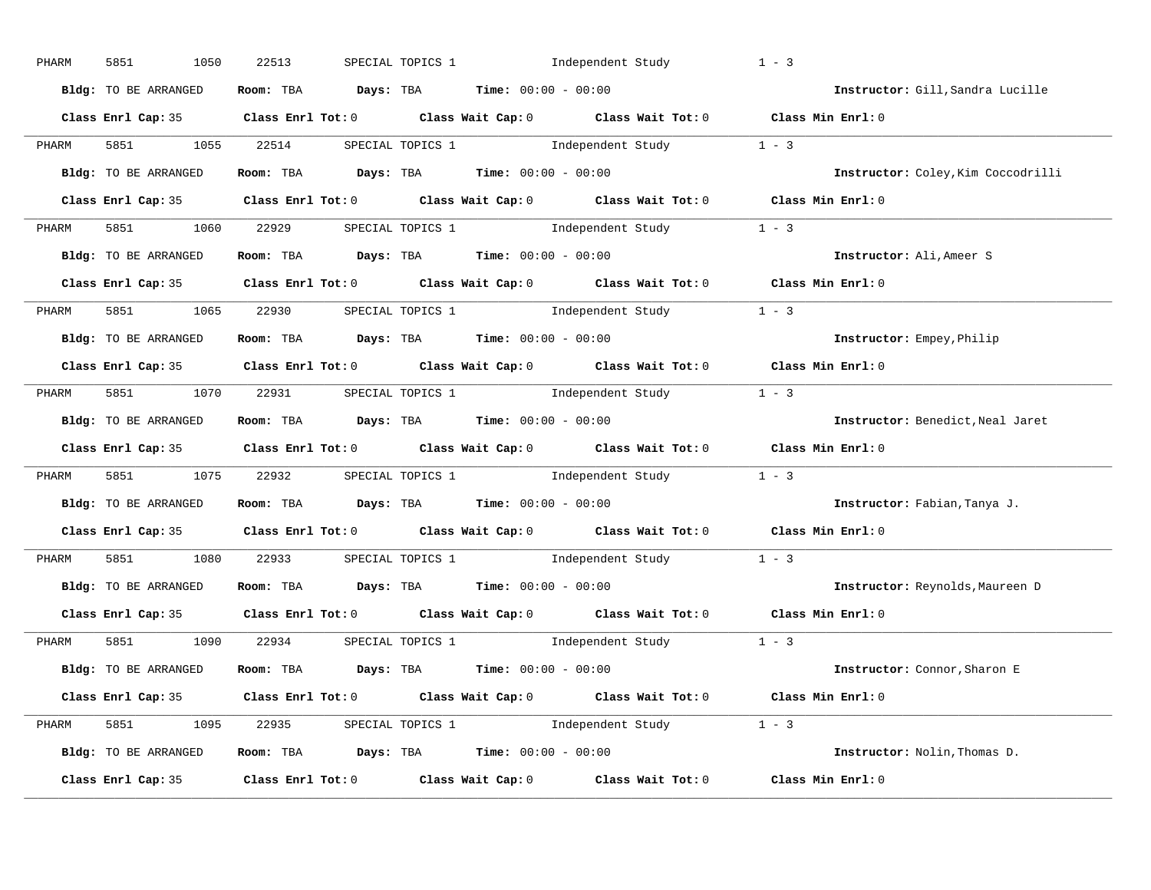| PHARM | 5851<br>1050         | 22513 | SPECIAL TOPICS 1 1 Independent Study                                                       | $1 - 3$                            |
|-------|----------------------|-------|--------------------------------------------------------------------------------------------|------------------------------------|
|       | Bldg: TO BE ARRANGED |       | Room: TBA $Days:$ TBA $Time: 00:00 - 00:00$                                                | Instructor: Gill, Sandra Lucille   |
|       |                      |       | Class Enrl Cap: 35 Class Enrl Tot: 0 Class Wait Cap: 0 Class Wait Tot: 0 Class Min Enrl: 0 |                                    |
| PHARM | 5851 1055 22514      |       | SPECIAL TOPICS 1 1 1 1 1 1 1 1 1 1 1 1 2 1 2 1 2 3                                         |                                    |
|       | Bldg: TO BE ARRANGED |       | Room: TBA $Days:$ TBA $Time: 00:00 - 00:00$                                                | Instructor: Coley, Kim Coccodrilli |
|       |                      |       | Class Enrl Cap: 35 Class Enrl Tot: 0 Class Wait Cap: 0 Class Wait Tot: 0 Class Min Enrl: 0 |                                    |
|       |                      |       | PHARM 5851 1060 22929 SPECIAL TOPICS 1 Independent Study 1 - 3                             |                                    |
|       | Bldg: TO BE ARRANGED |       | Room: TBA $Days:$ TBA $Time: 00:00 - 00:00$                                                | Instructor: Ali, Ameer S           |
|       |                      |       | Class Enrl Cap: 35 Class Enrl Tot: 0 Class Wait Cap: 0 Class Wait Tot: 0 Class Min Enrl: 0 |                                    |
| PHARM |                      |       | 5851 1065 22930 SPECIAL TOPICS 1 Independent Study 1 - 3                                   |                                    |
|       | Bldg: TO BE ARRANGED |       | Room: TBA $Days:$ TBA $Time: 00:00 - 00:00$                                                | Instructor: Empey, Philip          |
|       |                      |       | Class Enrl Cap: 35 Class Enrl Tot: 0 Class Wait Cap: 0 Class Wait Tot: 0 Class Min Enrl: 0 |                                    |
| PHARM |                      |       | 5851 1070 22931 SPECIAL TOPICS 1 Independent Study 1 - 3                                   |                                    |
|       | Bldg: TO BE ARRANGED |       | Room: TBA $Days:$ TBA $Time:$ $00:00 - 00:00$                                              | Instructor: Benedict, Neal Jaret   |
|       |                      |       | Class Enrl Cap: 35 Class Enrl Tot: 0 Class Wait Cap: 0 Class Wait Tot: 0 Class Min Enrl: 0 |                                    |
| PHARM |                      |       | 5851 1075 22932 SPECIAL TOPICS 1 Independent Study 1 - 3                                   |                                    |
|       | Bldg: TO BE ARRANGED |       | Room: TBA $Days:$ TBA $Time: 00:00 - 00:00$                                                | Instructor: Fabian, Tanya J.       |
|       |                      |       | Class Enrl Cap: 35 Class Enrl Tot: 0 Class Wait Cap: 0 Class Wait Tot: 0 Class Min Enrl: 0 |                                    |
| PHARM |                      |       | 5851 1080 22933 SPECIAL TOPICS 1 Independent Study 1 - 3                                   |                                    |
|       | Bldg: TO BE ARRANGED |       | Room: TBA $Days: TBA$ Time: $00:00 - 00:00$                                                | Instructor: Reynolds, Maureen D    |
|       |                      |       | Class Enrl Cap: 35 Class Enrl Tot: 0 Class Wait Cap: 0 Class Wait Tot: 0                   | Class Min Enrl: 0                  |
| PHARM |                      |       | 5851 1090 22934 SPECIAL TOPICS 1 Independent Study 1 - 3                                   |                                    |
|       | Bldg: TO BE ARRANGED |       | Room: TBA $Days:$ TBA $Time: 00:00 - 00:00$                                                | Instructor: Connor, Sharon E       |
|       |                      |       | Class Enrl Cap: 35 Class Enrl Tot: 0 Class Wait Cap: 0 Class Wait Tot: 0 Class Min Enrl: 0 |                                    |
|       |                      |       | PHARM 5851 1095 22935 SPECIAL TOPICS 1 Independent Study 1 - 3                             |                                    |
|       | Bldg: TO BE ARRANGED |       | Room: TBA $Days:$ TBA $Time: 00:00 - 00:00$                                                | Instructor: Nolin, Thomas D.       |
|       | Class Enrl Cap: 35   |       | Class Enrl Tot: $0$ Class Wait Cap: $0$ Class Wait Tot: $0$ Class Min Enrl: $0$            |                                    |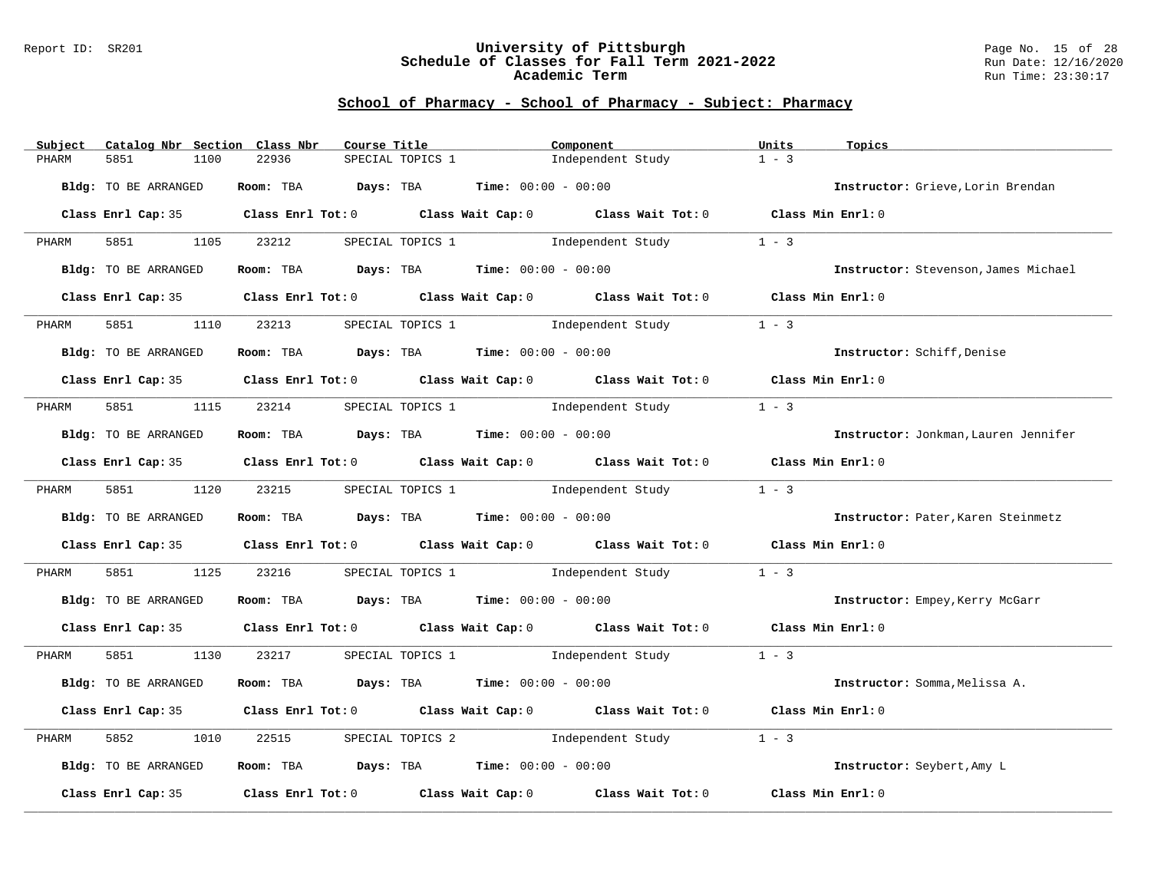#### Report ID: SR201 **University of Pittsburgh** Page No. 15 of 28 **Schedule of Classes for Fall Term 2021-2022** Run Date: 12/16/2020 **Academic Term** Run Time: 23:30:17

| Subject | Catalog Nbr Section Class Nbr | Course Title                                                                                 |                                    | Component         |                                              | Units             | Topics                               |
|---------|-------------------------------|----------------------------------------------------------------------------------------------|------------------------------------|-------------------|----------------------------------------------|-------------------|--------------------------------------|
| PHARM   | 5851<br>1100                  | 22936                                                                                        | SPECIAL TOPICS 1                   |                   | Independent Study                            | $1 - 3$           |                                      |
|         |                               |                                                                                              |                                    |                   |                                              |                   |                                      |
|         | Bldg: TO BE ARRANGED          | Room: TBA $\rule{1em}{0.15mm}$ Days: TBA $\rule{1em}{0.15mm}$ Time: $00:00 - 00:00$          |                                    |                   |                                              |                   | Instructor: Grieve, Lorin Brendan    |
|         |                               | Class Enrl Cap: 35 Class Enrl Tot: 0 Class Wait Cap: 0 Class Wait Tot: 0 Class Min Enrl: 0   |                                    |                   |                                              |                   |                                      |
| PHARM   | 5851 1105 23212               |                                                                                              |                                    |                   | SPECIAL TOPICS 1 5 Independent Study         | $1 - 3$           |                                      |
|         | Bldg: TO BE ARRANGED          | Room: TBA $Days:$ TBA $Time: 00:00 - 00:00$                                                  |                                    |                   |                                              |                   | Instructor: Stevenson, James Michael |
|         |                               | Class Enrl Cap: 35 Class Enrl Tot: 0 Class Wait Cap: 0 Class Wait Tot: 0 Class Min Enrl: 0   |                                    |                   |                                              |                   |                                      |
| PHARM   | 5851<br>1110                  | 23213                                                                                        |                                    |                   | SPECIAL TOPICS 1 1 Independent Study         | $1 - 3$           |                                      |
|         | Bldg: TO BE ARRANGED          | Room: TBA $Days:$ TBA $Time: 00:00 - 00:00$                                                  |                                    |                   |                                              |                   | Instructor: Schiff, Denise           |
|         |                               | Class Enrl Cap: 35 Class Enrl Tot: 0 Class Wait Cap: 0 Class Wait Tot: 0 Class Min Enrl: 0   |                                    |                   |                                              |                   |                                      |
| PHARM   | 5851 1115 23214               |                                                                                              | SPECIAL TOPICS 1                   | Independent Study |                                              | $1 - 3$           |                                      |
|         | Bldg: TO BE ARRANGED          | Room: TBA $Days:$ TBA $Time: 00:00 - 00:00$                                                  |                                    |                   |                                              |                   | Instructor: Jonkman, Lauren Jennifer |
|         |                               | Class Enrl Cap: 35 Class Enrl Tot: 0 Class Wait Cap: 0 Class Wait Tot: 0 Class Min Enrl: 0   |                                    |                   |                                              |                   |                                      |
| PHARM   | 5851 1120 23215               |                                                                                              |                                    |                   | SPECIAL TOPICS 1 1 1 Independent Study       | $1 - 3$           |                                      |
|         | Bldg: TO BE ARRANGED          | Room: TBA $Days:$ TBA $Time: 00:00 - 00:00$                                                  |                                    |                   |                                              |                   | Instructor: Pater, Karen Steinmetz   |
|         |                               | Class Enrl Cap: 35 Class Enrl Tot: 0 Class Wait Cap: 0 Class Wait Tot: 0 Class Min Enrl: 0   |                                    |                   |                                              |                   |                                      |
| PHARM   | 5851 38                       | 1125 23216                                                                                   |                                    |                   | SPECIAL TOPICS 1 1 1 Independent Study       | $1 - 3$           |                                      |
|         | Bldg: TO BE ARRANGED          | Room: TBA $Days:$ TBA $Time:$ 00:00 - 00:00                                                  |                                    |                   |                                              |                   | Instructor: Empey, Kerry McGarr      |
|         |                               | Class Enrl Cap: 35 Class Enrl Tot: 0 Class Wait Cap: 0 Class Wait Tot: 0 Class Min Enrl: 0   |                                    |                   |                                              |                   |                                      |
| PHARM   | 5851 1130                     | 23217                                                                                        |                                    |                   | SPECIAL TOPICS $1$ Independent Study $1 - 3$ |                   |                                      |
|         | Bldg: TO BE ARRANGED          | Room: TBA $Days:$ TBA $Time: 00:00 - 00:00$                                                  |                                    |                   |                                              |                   | Instructor: Somma, Melissa A.        |
|         |                               | Class Enrl Cap: 35 Class Enrl Tot: 0 Class Wait Cap: 0 Class Wait Tot: 0 Class Min Enrl: 0   |                                    |                   |                                              |                   |                                      |
| PHARM   | 5852<br>1010                  | 22515                                                                                        | SPECIAL TOPICS 2 1ndependent Study |                   |                                              | $1 - 3$           |                                      |
|         | Bldg: TO BE ARRANGED          | Room: TBA $Days:$ TBA $Time: 00:00 - 00:00$                                                  |                                    |                   |                                              |                   | Instructor: Seybert, Amy L           |
|         |                               | Class Enrl Cap: 35 $\,$ Class Enrl Tot: 0 $\,$ Class Wait Cap: 0 $\,$ Class Wait Tot: 0 $\,$ |                                    |                   |                                              | Class Min Enrl: 0 |                                      |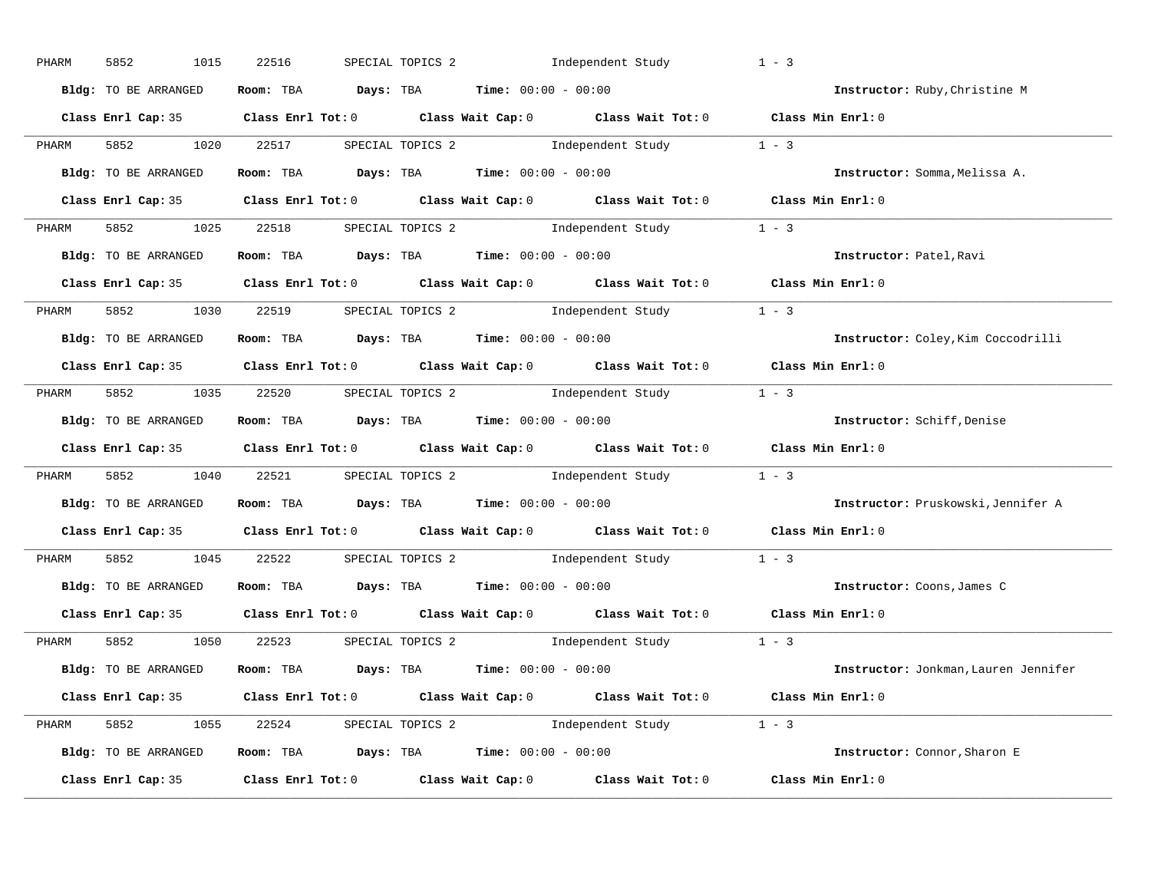| PHARM | 5852<br>1015         | 22516 | SPECIAL TOPICS 2 1ndependent Study                                                         | $1 - 3$                              |
|-------|----------------------|-------|--------------------------------------------------------------------------------------------|--------------------------------------|
|       | Bldg: TO BE ARRANGED |       | Room: TBA $Days:$ TBA $Time: 00:00 - 00:00$                                                | Instructor: Ruby, Christine M        |
|       |                      |       | Class Enrl Cap: 35 Class Enrl Tot: 0 Class Wait Cap: 0 Class Wait Tot: 0 Class Min Enrl: 0 |                                      |
| PHARM |                      |       | 5852 1020 22517 SPECIAL TOPICS 2 Independent Study 1 - 3                                   |                                      |
|       | Bldg: TO BE ARRANGED |       | Room: TBA $Days:$ TBA $Time: 00:00 - 00:00$                                                | Instructor: Somma, Melissa A.        |
|       |                      |       | Class Enrl Cap: 35 Class Enrl Tot: 0 Class Wait Cap: 0 Class Wait Tot: 0 Class Min Enrl: 0 |                                      |
|       |                      |       | PHARM 5852 1025 22518 SPECIAL TOPICS 2 Independent Study 1 - 3                             |                                      |
|       | Bldg: TO BE ARRANGED |       | Room: TBA $Days:$ TBA $Time: 00:00 - 00:00$                                                | Instructor: Patel, Ravi              |
|       |                      |       | Class Enrl Cap: 35 Class Enrl Tot: 0 Class Wait Cap: 0 Class Wait Tot: 0 Class Min Enrl: 0 |                                      |
| PHARM |                      |       | 5852 1030 22519 SPECIAL TOPICS 2 Independent Study 1 - 3                                   |                                      |
|       | Bldg: TO BE ARRANGED |       | Room: TBA $Days:$ TBA $Time: 00:00 - 00:00$                                                | Instructor: Coley, Kim Coccodrilli   |
|       |                      |       | Class Enrl Cap: 35 Class Enrl Tot: 0 Class Wait Cap: 0 Class Wait Tot: 0 Class Min Enrl: 0 |                                      |
| PHARM |                      |       | 5852 1035 22520 SPECIAL TOPICS 2 Independent Study 1 - 3                                   |                                      |
|       | Bldg: TO BE ARRANGED |       | Room: TBA $Days:$ TBA $Time:$ $00:00 - 00:00$                                              | Instructor: Schiff, Denise           |
|       |                      |       | Class Enrl Cap: 35 Class Enrl Tot: 0 Class Wait Cap: 0 Class Wait Tot: 0 Class Min Enrl: 0 |                                      |
| PHARM |                      |       | 5852 1040 22521 SPECIAL TOPICS 2 Independent Study 1 - 3                                   |                                      |
|       | Bldg: TO BE ARRANGED |       | Room: TBA $Days:$ TBA $Time: 00:00 - 00:00$                                                | Instructor: Pruskowski, Jennifer A   |
|       |                      |       | Class Enrl Cap: 35 Class Enrl Tot: 0 Class Wait Cap: 0 Class Wait Tot: 0 Class Min Enrl: 0 |                                      |
| PHARM |                      |       | 5852 1045 22522 SPECIAL TOPICS 2 Independent Study 1 - 3                                   |                                      |
|       | Bldg: TO BE ARRANGED |       | Room: TBA $Days: TBA$ Time: $00:00 - 00:00$                                                | Instructor: Coons, James C           |
|       | Class Enrl Cap: 35   |       | Class Enrl Tot: $0$ Class Wait Cap: $0$ Class Wait Tot: $0$                                | Class Min Enrl: 0                    |
| PHARM |                      |       | 5852 1050 22523 SPECIAL TOPICS 2 Independent Study 1 - 3                                   |                                      |
|       | Bldg: TO BE ARRANGED |       | Room: TBA $Days:$ TBA $Time: 00:00 - 00:00$                                                | Instructor: Jonkman, Lauren Jennifer |
|       |                      |       | Class Enrl Cap: 35 Class Enrl Tot: 0 Class Wait Cap: 0 Class Wait Tot: 0 Class Min Enrl: 0 |                                      |
|       |                      |       | PHARM 5852 1055 22524 SPECIAL TOPICS 2 Independent Study 1 - 3                             |                                      |
|       | Bldg: TO BE ARRANGED |       | Room: TBA $Days:$ TBA $Time: 00:00 - 00:00$                                                | Instructor: Connor, Sharon E         |
|       | Class Enrl Cap: 35   |       | Class Enrl Tot: $0$ Class Wait Cap: $0$ Class Wait Tot: $0$ Class Min Enrl: $0$            |                                      |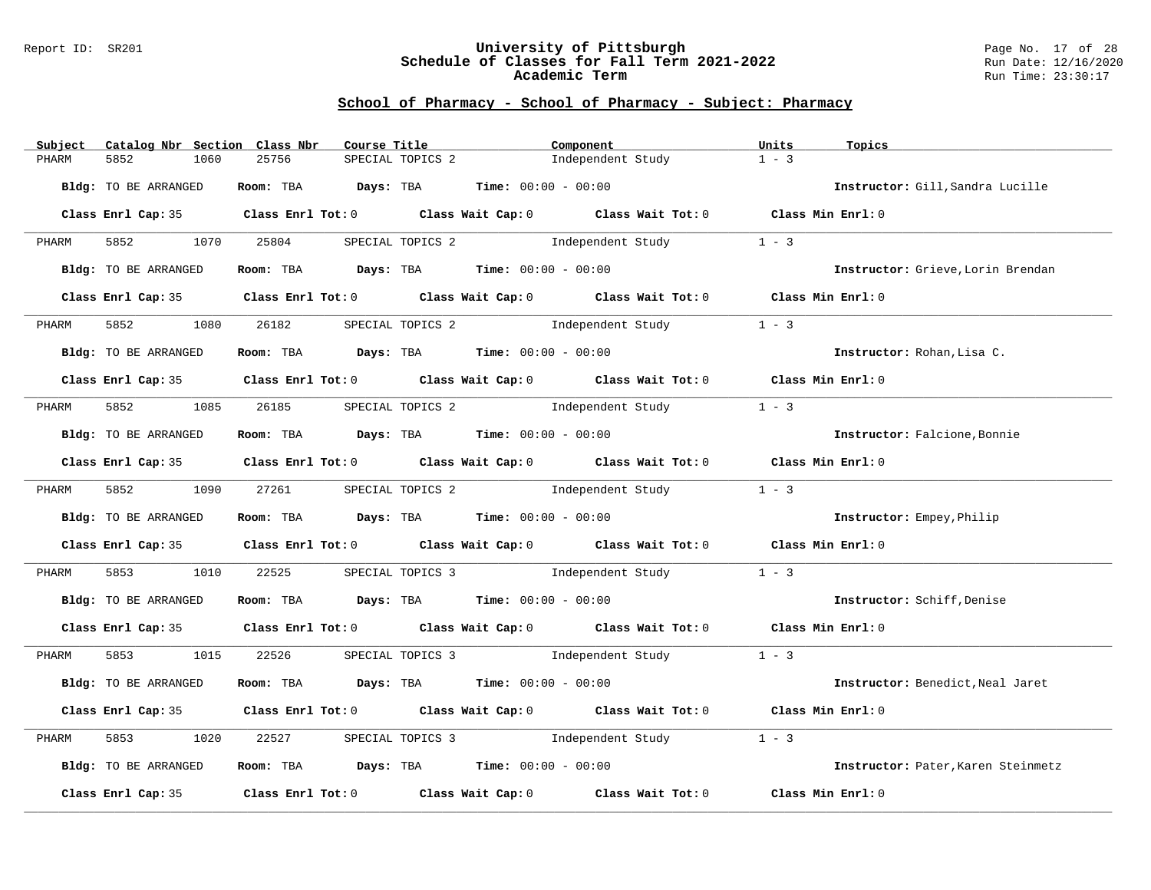#### Report ID: SR201 **University of Pittsburgh** Page No. 17 of 28 **Schedule of Classes for Fall Term 2021-2022** Run Date: 12/16/2020 **Academic Term** Run Time: 23:30:17

| Subject | Catalog Nbr Section Class Nbr | Course Title                                                                               |                  | Component                          |                                    | Units             | Topics                             |
|---------|-------------------------------|--------------------------------------------------------------------------------------------|------------------|------------------------------------|------------------------------------|-------------------|------------------------------------|
| PHARM   | 5852<br>1060                  | 25756                                                                                      | SPECIAL TOPICS 2 |                                    | Independent Study                  | $1 - 3$           |                                    |
|         | Bldg: TO BE ARRANGED          | Room: TBA $Days:$ TBA $Time: 00:00 - 00:00$                                                |                  |                                    |                                    |                   | Instructor: Gill, Sandra Lucille   |
|         |                               | Class Enrl Cap: 35 Class Enrl Tot: 0 Class Wait Cap: 0 Class Wait Tot: 0 Class Min Enrl: 0 |                  |                                    |                                    |                   |                                    |
| PHARM   | 5852 1070 25804               |                                                                                            |                  |                                    | SPECIAL TOPICS 2 1ndependent Study | $1 - 3$           |                                    |
|         | Bldg: TO BE ARRANGED          | Room: TBA $Days:$ TBA $Time: 00:00 - 00:00$                                                |                  |                                    |                                    |                   | Instructor: Grieve, Lorin Brendan  |
|         |                               | Class Enrl Cap: 35 Class Enrl Tot: 0 Class Wait Cap: 0 Class Wait Tot: 0 Class Min Enrl: 0 |                  |                                    |                                    |                   |                                    |
| PHARM   | 5852 200<br>1080              | 26182                                                                                      |                  |                                    | SPECIAL TOPICS 2 1ndependent Study | $1 - 3$           |                                    |
|         | Bldg: TO BE ARRANGED          | Room: TBA $Days:$ TBA $Time: 00:00 - 00:00$                                                |                  |                                    |                                    |                   | Instructor: Rohan, Lisa C.         |
|         |                               | Class Enrl Cap: 35 Class Enrl Tot: 0 Class Wait Cap: 0 Class Wait Tot: 0 Class Min Enrl: 0 |                  |                                    |                                    |                   |                                    |
| PHARM   |                               | 5852 1085 26185 SPECIAL TOPICS 2                                                           |                  | Independent Study                  |                                    | $1 - 3$           |                                    |
|         | Bldg: TO BE ARRANGED          | Room: TBA $Days:$ TBA $Time: 00:00 - 00:00$                                                |                  |                                    |                                    |                   | Instructor: Falcione, Bonnie       |
|         |                               | Class Enrl Cap: 35 Class Enrl Tot: 0 Class Wait Cap: 0 Class Wait Tot: 0 Class Min Enrl: 0 |                  |                                    |                                    |                   |                                    |
| PHARM   | 5852 1090 27261               |                                                                                            |                  |                                    | SPECIAL TOPICS 2 1ndependent Study | $1 - 3$           |                                    |
|         | Bldg: TO BE ARRANGED          | Room: TBA $Days:$ TBA $Time: 00:00 - 00:00$                                                |                  |                                    |                                    |                   | Instructor: Empey, Philip          |
|         |                               | Class Enrl Cap: 35 Class Enrl Tot: 0 Class Wait Cap: 0 Class Wait Tot: 0                   |                  |                                    |                                    | Class Min Enrl: 0 |                                    |
| PHARM   | 5853 7                        | 1010 22525 SPECIAL TOPICS 3 Independent Study                                              |                  |                                    |                                    | $1 - 3$           |                                    |
|         | Bldg: TO BE ARRANGED          | Room: TBA $\rule{1em}{0.15mm}$ Days: TBA Time: $00:00 - 00:00$                             |                  |                                    |                                    |                   | Instructor: Schiff, Denise         |
|         |                               | Class Enrl Cap: 35 Class Enrl Tot: 0 Class Wait Cap: 0 Class Wait Tot: 0 Class Min Enrl: 0 |                  |                                    |                                    |                   |                                    |
| PHARM   |                               | 5853 1015 22526 SPECIAL TOPICS 3 Independent Study 1 - 3                                   |                  |                                    |                                    |                   |                                    |
|         | Bldg: TO BE ARRANGED          | Room: TBA $Days:$ TBA $Time: 00:00 - 00:00$                                                |                  |                                    |                                    |                   | Instructor: Benedict, Neal Jaret   |
|         |                               | Class Enrl Cap: 35 Class Enrl Tot: 0 Class Wait Cap: 0 Class Wait Tot: 0 Class Min Enrl: 0 |                  |                                    |                                    |                   |                                    |
| PHARM   | 5853<br>1020                  | 22527                                                                                      |                  | SPECIAL TOPICS 3 1ndependent Study |                                    | $1 - 3$           |                                    |
|         | Bldg: TO BE ARRANGED          | Room: TBA $Days:$ TBA $Time: 00:00 - 00:00$                                                |                  |                                    |                                    |                   | Instructor: Pater, Karen Steinmetz |
|         |                               | Class Enrl Cap: 35 Class Enrl Tot: 0 Class Wait Cap: 0 Class Wait Tot: 0                   |                  |                                    |                                    | Class Min Enrl: 0 |                                    |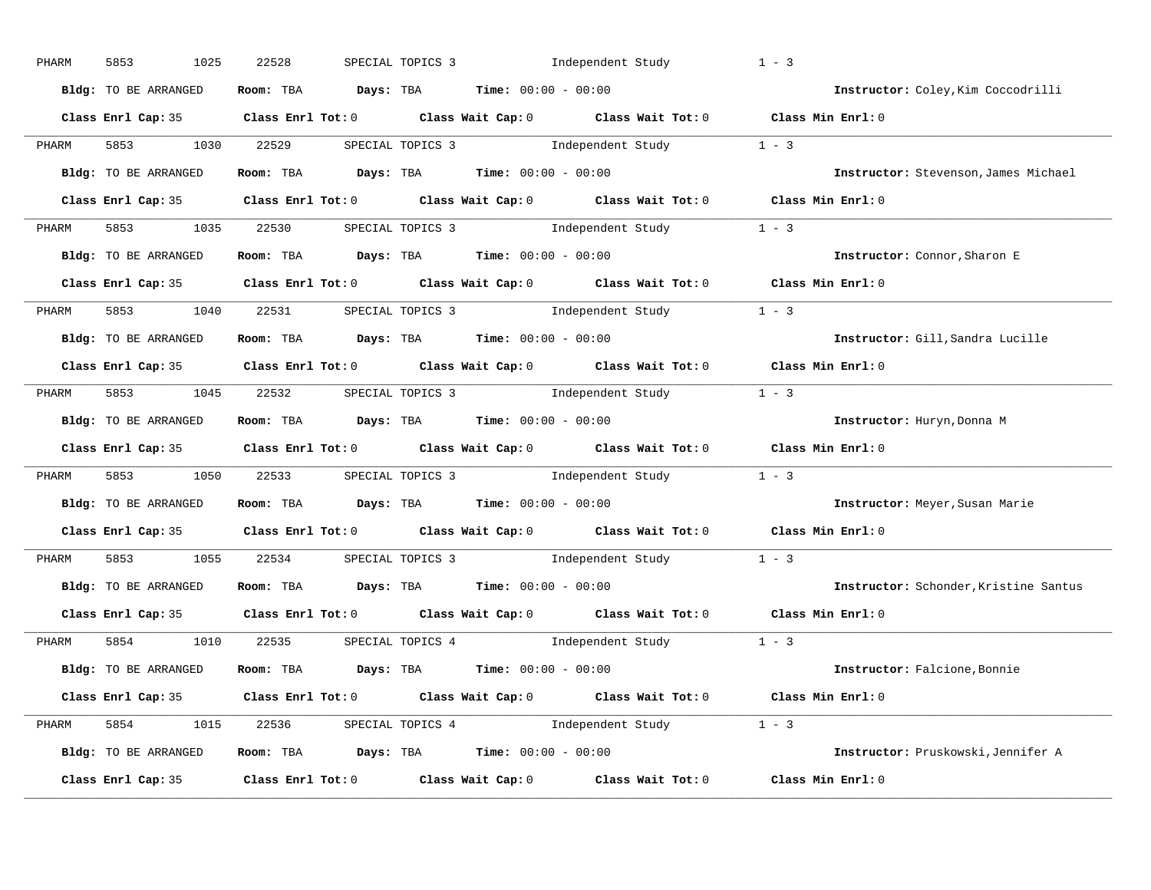| PHARM | 5853<br>1025         | 22528                                                                                  | SPECIAL TOPICS 3 | Independent Study                                                                                   | $1 - 3$                               |
|-------|----------------------|----------------------------------------------------------------------------------------|------------------|-----------------------------------------------------------------------------------------------------|---------------------------------------|
|       | Bldg: TO BE ARRANGED | Room: TBA $Days:$ TBA $Time: 00:00 - 00:00$                                            |                  |                                                                                                     | Instructor: Coley, Kim Coccodrilli    |
|       |                      |                                                                                        |                  | Class Enrl Cap: 35 Class Enrl Tot: 0 Class Wait Cap: 0 Class Wait Tot: 0 Class Min Enrl: 0          |                                       |
| PHARM | 5853 3               | 1030 22529                                                                             |                  | SPECIAL TOPICS 3 1ndependent Study 1 - 3                                                            |                                       |
|       | Bldg: TO BE ARRANGED | Room: TBA $Days:$ TBA $Time: 00:00 - 00:00$                                            |                  |                                                                                                     | Instructor: Stevenson, James Michael  |
|       |                      |                                                                                        |                  | Class Enrl Cap: 35 Class Enrl Tot: 0 Class Wait Cap: 0 Class Wait Tot: 0 Class Min Enrl: 0          |                                       |
| PHARM |                      |                                                                                        |                  | 5853 1035 22530 SPECIAL TOPICS 3 Independent Study 1 - 3                                            |                                       |
|       | Bldg: TO BE ARRANGED | Room: TBA $Days:$ TBA Time: $00:00 - 00:00$                                            |                  |                                                                                                     | Instructor: Connor, Sharon E          |
|       |                      |                                                                                        |                  | Class Enrl Cap: 35 Class Enrl Tot: 0 Class Wait Cap: 0 Class Wait Tot: 0 Class Min Enrl: 0          |                                       |
| PHARM | 5853 1040 22531      |                                                                                        |                  | SPECIAL TOPICS 3 1ndependent Study 1 - 3                                                            |                                       |
|       | Bldg: TO BE ARRANGED |                                                                                        |                  | Room: TBA $\rule{1em}{0.5em}$ Days: TBA $\rule{1.5em}{0.5em}$ Time: $00:00 - 00:00$                 | Instructor: Gill, Sandra Lucille      |
|       |                      |                                                                                        |                  | Class Enrl Cap: 35 Class Enrl Tot: 0 Class Wait Cap: 0 Class Wait Tot: 0 Class Min Enrl: 0          |                                       |
| PHARM |                      |                                                                                        |                  | 5853 1045 22532 SPECIAL TOPICS 3 Independent Study 1 - 3                                            |                                       |
|       | Bldg: TO BE ARRANGED | Room: TBA $Days:$ TBA $Time:$ 00:00 - 00:00                                            |                  |                                                                                                     | Instructor: Huryn, Donna M            |
|       |                      |                                                                                        |                  | Class Enrl Cap: 35 Class Enrl Tot: 0 Class Wait Cap: 0 Class Wait Tot: 0 Class Min Enrl: 0          |                                       |
| PHARM | 5853                 |                                                                                        |                  | 1050 22533 SPECIAL TOPICS 3 Independent Study 1 - 3                                                 |                                       |
|       | Bldg: TO BE ARRANGED | Room: TBA Days: TBA Time: $00:00 - 00:00$                                              |                  |                                                                                                     | Instructor: Meyer, Susan Marie        |
|       |                      |                                                                                        |                  | Class Enrl Cap: 35 Class Enrl Tot: 0 Class Wait Cap: 0 Class Wait Tot: 0 Class Min Enrl: 0          |                                       |
| PHARM | 5853 7<br>1055       | 22534                                                                                  |                  | SPECIAL TOPICS $3$ Independent Study $1 - 3$                                                        |                                       |
|       | Bldg: TO BE ARRANGED | Room: TBA $Days: TBA$ Time: $00:00 - 00:00$                                            |                  |                                                                                                     | Instructor: Schonder, Kristine Santus |
|       |                      |                                                                                        |                  | Class Enrl Cap: 35 $\qquad$ Class Enrl Tot: 0 $\qquad$ Class Wait Cap: 0 $\qquad$ Class Wait Tot: 0 | Class Min Enrl: 0                     |
| PHARM |                      |                                                                                        |                  | 5854 1010 22535 SPECIAL TOPICS 4 Independent Study 1 - 3                                            |                                       |
|       | Bldg: TO BE ARRANGED | Room: TBA $\rule{1em}{0.15mm}$ Days: TBA $\rule{1.15mm}{0.15mm}$ Time: $00:00 - 00:00$ |                  |                                                                                                     | Instructor: Falcione, Bonnie          |
|       |                      |                                                                                        |                  | Class Enrl Cap: 35 Class Enrl Tot: 0 Class Wait Cap: 0 Class Wait Tot: 0 Class Min Enrl: 0          |                                       |
| PHARM |                      |                                                                                        |                  | 5854 1015 22536 SPECIAL TOPICS 4 Independent Study 1 - 3                                            |                                       |
|       | Bldg: TO BE ARRANGED | Room: TBA $Days:$ TBA $Time:$ $00:00 - 00:00$                                          |                  |                                                                                                     | Instructor: Pruskowski, Jennifer A    |
|       | Class Enrl Cap: 35   |                                                                                        |                  | Class Enrl Tot: 0 Class Wait Cap: 0 Class Wait Tot: 0                                               | Class Min Enrl: 0                     |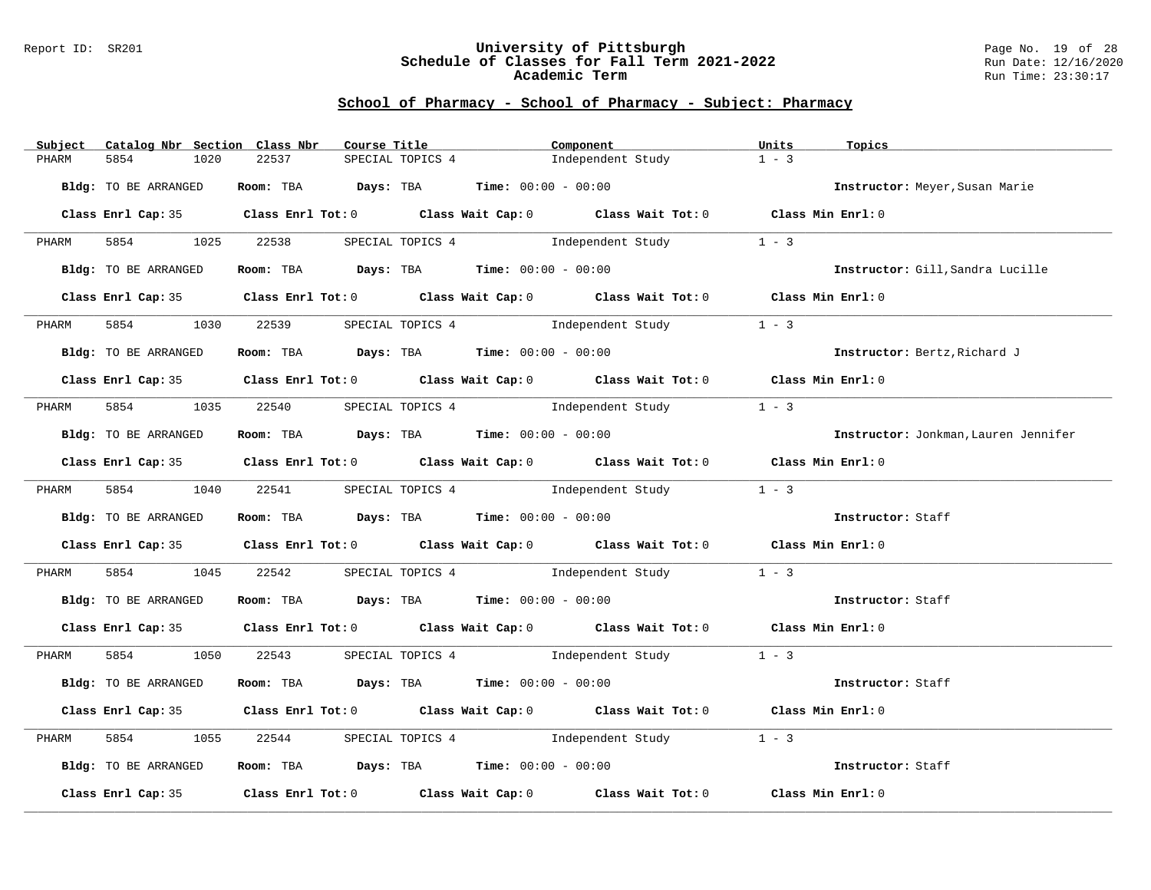#### Report ID: SR201 **University of Pittsburgh** Page No. 19 of 28 **Schedule of Classes for Fall Term 2021-2022** Run Date: 12/16/2020 **Academic Term** Run Time: 23:30:17

|               | Subject Catalog Nbr Section Class Nbr |                                                                                            | Course Title     | Component |                                                              | Units             | Topics                               |
|---------------|---------------------------------------|--------------------------------------------------------------------------------------------|------------------|-----------|--------------------------------------------------------------|-------------------|--------------------------------------|
| 5854<br>PHARM | 1020                                  | 22537                                                                                      | SPECIAL TOPICS 4 |           | Independent Study                                            | $1 - 3$           |                                      |
|               | Bldg: TO BE ARRANGED                  | Room: TBA $Days:$ TBA $Time: 00:00 - 00:00$                                                |                  |           |                                                              |                   | Instructor: Meyer, Susan Marie       |
|               |                                       | Class Enrl Cap: 35 Class Enrl Tot: 0 Class Wait Cap: 0 Class Wait Tot: 0 Class Min Enrl: 0 |                  |           |                                                              |                   |                                      |
| PHARM         |                                       | 5854 1025 22538                                                                            |                  |           | SPECIAL TOPICS 4 1ndependent Study                           | $1 - 3$           |                                      |
|               | Bldg: TO BE ARRANGED                  |                                                                                            |                  |           | <b>Room:</b> TBA <b>Days:</b> TBA <b>Time:</b> 00:00 - 00:00 |                   | Instructor: Gill, Sandra Lucille     |
|               |                                       | Class Enrl Cap: 35 Class Enrl Tot: 0 Class Wait Cap: 0 Class Wait Tot: 0 Class Min Enrl: 0 |                  |           |                                                              |                   |                                      |
| PHARM         | 5854 1030                             |                                                                                            |                  |           | 22539 SPECIAL TOPICS 4 1 Independent Study                   | $1 - 3$           |                                      |
|               | Bldg: TO BE ARRANGED                  | Room: TBA $Days: TBA$ Time: $00:00 - 00:00$                                                |                  |           |                                                              |                   | Instructor: Bertz, Richard J         |
|               |                                       | Class Enrl Cap: 35 Class Enrl Tot: 0 Class Wait Cap: 0 Class Wait Tot: 0 Class Min Enrl: 0 |                  |           |                                                              |                   |                                      |
| PHARM         |                                       | 5854 1035 22540 SPECIAL TOPICS 4 Independent Study                                         |                  |           |                                                              | $1 - 3$           |                                      |
|               | Bldg: TO BE ARRANGED                  | Room: TBA $Days: TBA$ Time: $00:00 - 00:00$                                                |                  |           |                                                              |                   | Instructor: Jonkman, Lauren Jennifer |
|               |                                       | Class Enrl Cap: 35 Class Enrl Tot: 0 Class Wait Cap: 0 Class Wait Tot: 0 Class Min Enrl: 0 |                  |           |                                                              |                   |                                      |
|               |                                       | PHARM 5854 1040 22541 SPECIAL TOPICS 4 Independent Study 1 - 3                             |                  |           |                                                              |                   |                                      |
|               | Bldg: TO BE ARRANGED                  | Room: TBA $\rule{1em}{0.15mm}$ Days: TBA Time: $00:00 - 00:00$                             |                  |           |                                                              |                   | Instructor: Staff                    |
|               |                                       | Class Enrl Cap: 35 Class Enrl Tot: 0 Class Wait Cap: 0 Class Wait Tot: 0 Class Min Enrl: 0 |                  |           |                                                              |                   |                                      |
| PHARM         |                                       | 5854 1045 22542 SPECIAL TOPICS 4 Independent Study                                         |                  |           |                                                              | $1 - 3$           |                                      |
|               | Bldg: TO BE ARRANGED                  | Room: TBA $Days:$ TBA Time: $00:00 - 00:00$                                                |                  |           |                                                              |                   | Instructor: Staff                    |
|               |                                       | Class Enrl Cap: 35 Class Enrl Tot: 0 Class Wait Cap: 0 Class Wait Tot: 0 Class Min Enrl: 0 |                  |           |                                                              |                   |                                      |
|               |                                       | PHARM 5854 1050 22543 SPECIAL TOPICS 4 Independent Study 1 - 3                             |                  |           |                                                              |                   |                                      |
|               | Bldg: TO BE ARRANGED                  | Room: TBA $Days:$ TBA $Time:$ $00:00 - 00:00$                                              |                  |           |                                                              |                   | Instructor: Staff                    |
|               |                                       | Class Enrl Cap: 35 Class Enrl Tot: 0 Class Wait Cap: 0 Class Wait Tot: 0 Class Min Enrl: 0 |                  |           |                                                              |                   |                                      |
| 5854<br>PHARM | 1055                                  | 22544                                                                                      |                  |           | SPECIAL TOPICS 4 1ndependent Study                           | $1 - 3$           |                                      |
|               | Bldg: TO BE ARRANGED                  | Room: TBA $Days:$ TBA Time: $00:00 - 00:00$                                                |                  |           |                                                              |                   | Instructor: Staff                    |
|               |                                       | Class Enrl Cap: 35 Class Enrl Tot: 0 Class Wait Cap: 0 Class Wait Tot: 0                   |                  |           |                                                              | Class Min Enrl: 0 |                                      |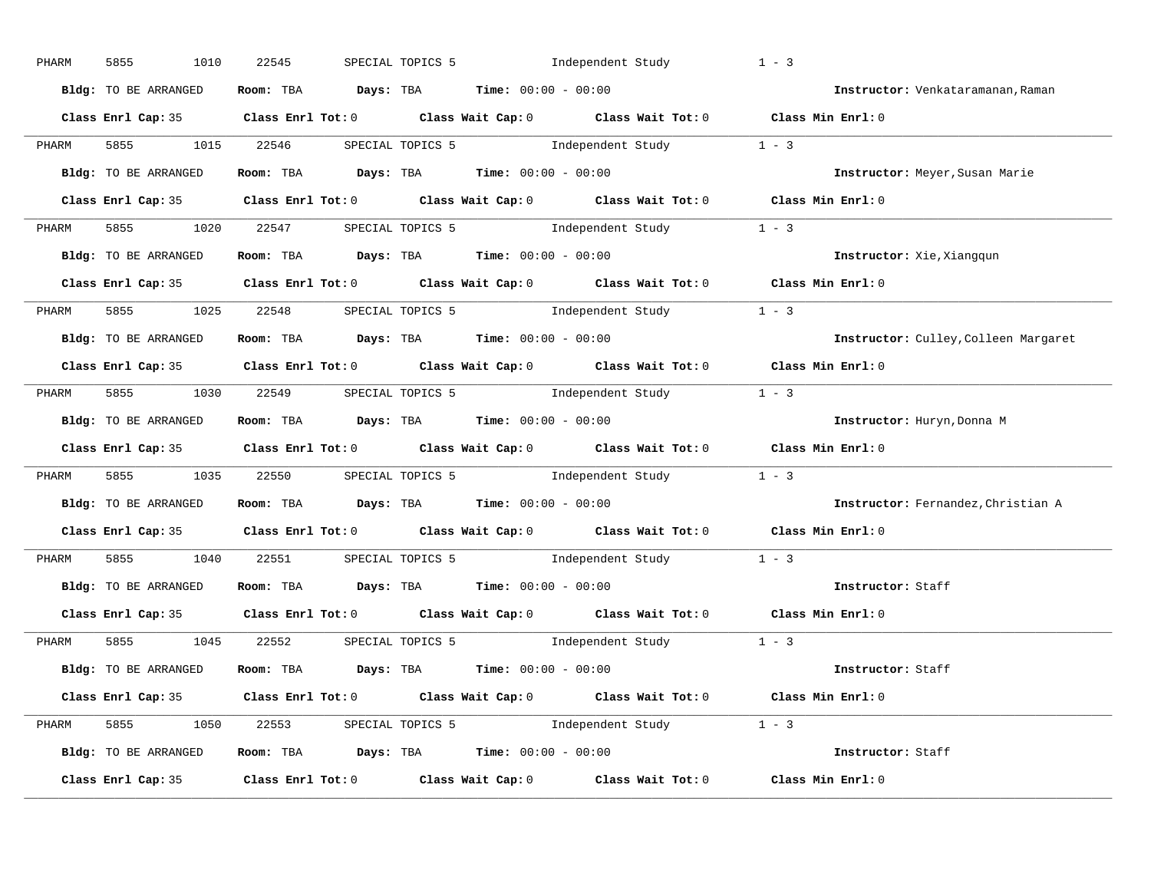| PHARM | 5855<br>1010         | 22545 | SPECIAL TOPICS 5 1ndependent Study                                                         | $1 - 3$                              |
|-------|----------------------|-------|--------------------------------------------------------------------------------------------|--------------------------------------|
|       | Bldg: TO BE ARRANGED |       | Room: TBA $Days:$ TBA $Time: 00:00 - 00:00$                                                | Instructor: Venkataramanan, Raman    |
|       |                      |       | Class Enrl Cap: 35 Class Enrl Tot: 0 Class Wait Cap: 0 Class Wait Tot: 0 Class Min Enrl: 0 |                                      |
| PHARM |                      |       | 5855 1015 22546 SPECIAL TOPICS 5 1ndependent Study 1 - 3                                   |                                      |
|       | Bldg: TO BE ARRANGED |       | Room: TBA $\rule{1em}{0.15mm}$ Days: TBA $\rule{1.5mm}{0.15mm}$ Time: $00:00 - 00:00$      | Instructor: Meyer, Susan Marie       |
|       |                      |       | Class Enrl Cap: 35 Class Enrl Tot: 0 Class Wait Cap: 0 Class Wait Tot: 0 Class Min Enrl: 0 |                                      |
| PHARM |                      |       | 5855 1020 22547 SPECIAL TOPICS 5 1ndependent Study 1 - 3                                   |                                      |
|       |                      |       | Bldg: TO BE ARRANGED Room: TBA Days: TBA Time: 00:00 - 00:00                               | Instructor: Xie, Xiangqun            |
|       |                      |       | Class Enrl Cap: 35 Class Enrl Tot: 0 Class Wait Cap: 0 Class Wait Tot: 0 Class Min Enrl: 0 |                                      |
|       |                      |       | PHARM 5855 1025 22548 SPECIAL TOPICS 5 Independent Study 1 - 3                             |                                      |
|       | Bldg: TO BE ARRANGED |       | Room: TBA $Days:$ TBA Time: $00:00 - 00:00$                                                | Instructor: Culley, Colleen Margaret |
|       |                      |       | Class Enrl Cap: 35 Class Enrl Tot: 0 Class Wait Cap: 0 Class Wait Tot: 0 Class Min Enrl: 0 |                                      |
| PHARM |                      |       | 5855 1030 22549 SPECIAL TOPICS 5 1ndependent Study 1 - 3                                   |                                      |
|       | Bldg: TO BE ARRANGED |       | Room: TBA $\rule{1em}{0.15mm}$ Days: TBA Time: $00:00 - 00:00$                             | Instructor: Huryn, Donna M           |
|       |                      |       | Class Enrl Cap: 35 Class Enrl Tot: 0 Class Wait Cap: 0 Class Wait Tot: 0 Class Min Enrl: 0 |                                      |
| PHARM |                      |       | 5855 1035 22550 SPECIAL TOPICS 5 1ndependent Study 1 - 3                                   |                                      |
|       |                      |       |                                                                                            |                                      |
|       | Bldg: TO BE ARRANGED |       | Room: TBA Days: TBA Time: $00:00 - 00:00$                                                  | Instructor: Fernandez, Christian A   |
|       |                      |       | Class Enrl Cap: 35 Class Enrl Tot: 0 Class Wait Cap: 0 Class Wait Tot: 0 Class Min Enrl: 0 |                                      |
| PHARM |                      |       | 5855 1040 22551 SPECIAL TOPICS 5 Independent Study 1 - 3                                   |                                      |
|       | Bldg: TO BE ARRANGED |       | Room: TBA $\rule{1em}{0.15mm}$ Days: TBA $\rule{1.5mm}{0.15mm}$ Time: $00:00 - 00:00$      | Instructor: Staff                    |
|       |                      |       | Class Enrl Cap: 35 Class Enrl Tot: 0 Class Wait Cap: 0 Class Wait Tot: 0 Class Min Enrl: 0 |                                      |
| PHARM |                      |       | 5855 1045 22552 SPECIAL TOPICS 5 1ndependent Study 1 - 3                                   |                                      |
|       | Bldg: TO BE ARRANGED |       | Room: TBA $Days:$ TBA $Time: 00:00 - 00:00$                                                | Instructor: Staff                    |
|       |                      |       | Class Enrl Cap: 35 Class Enrl Tot: 0 Class Wait Cap: 0 Class Wait Tot: 0 Class Min Enrl: 0 |                                      |
|       |                      |       | PHARM 5855 1050 22553 SPECIAL TOPICS 5 Independent Study 1 - 3                             |                                      |
|       | Bldg: TO BE ARRANGED |       | Room: TBA $Days:$ TBA $Time:$ $00:00 - 00:00$                                              | Instructor: Staff                    |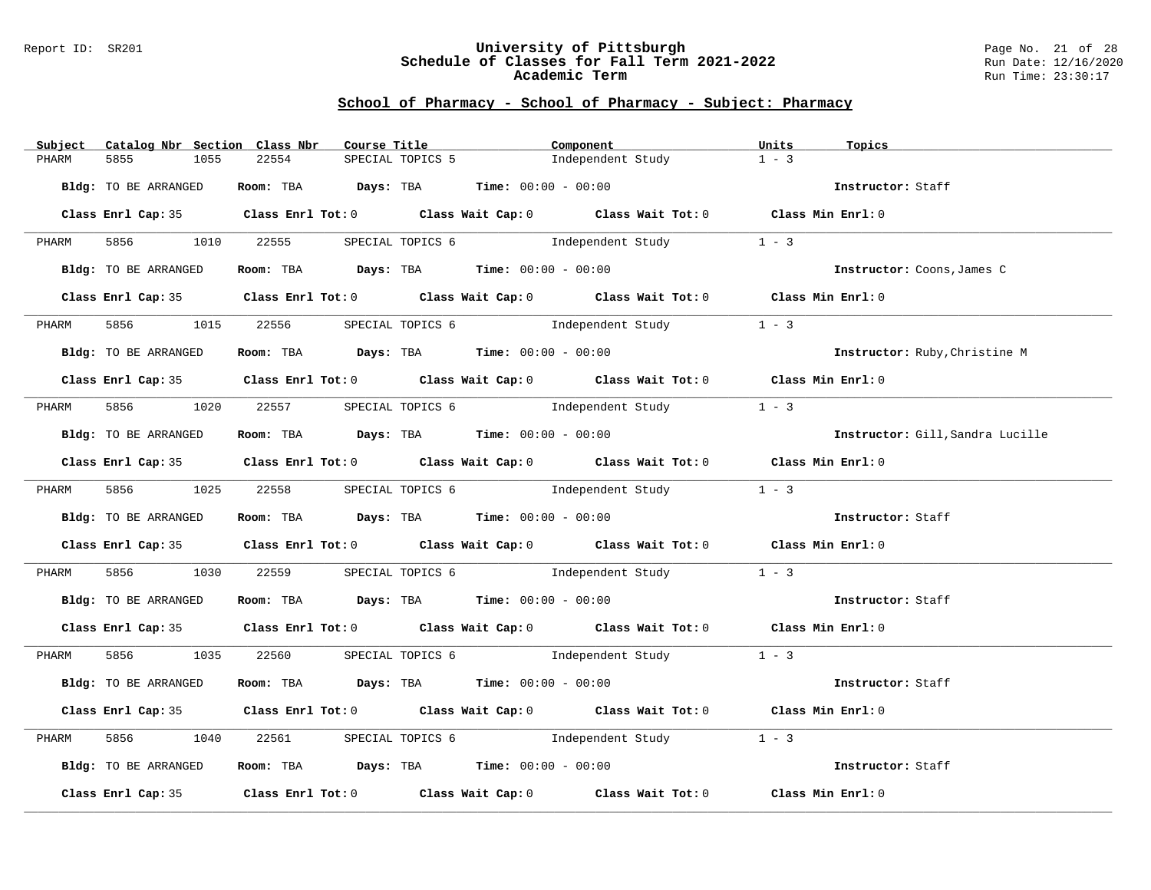#### Report ID: SR201 **University of Pittsburgh** Page No. 21 of 28 **Schedule of Classes for Fall Term 2021-2022** Run Date: 12/16/2020 **Academic Term** Run Time: 23:30:17

| Subject Catalog Nbr Section Class Nbr |                 |       | Course Title | Component                                                    |                                                                                            | Units             | Topics                           |
|---------------------------------------|-----------------|-------|--------------|--------------------------------------------------------------|--------------------------------------------------------------------------------------------|-------------------|----------------------------------|
| 5855<br>PHARM                         | 1055            | 22554 |              | SPECIAL TOPICS 5                                             | Independent Study                                                                          | $1 - 3$           |                                  |
| Bldg: TO BE ARRANGED                  |                 |       |              | Room: TBA $Days:$ TBA $Time: 00:00 - 00:00$                  |                                                                                            |                   | Instructor: Staff                |
|                                       |                 |       |              |                                                              | Class Enrl Cap: 35 Class Enrl Tot: 0 Class Wait Cap: 0 Class Wait Tot: 0 Class Min Enrl: 0 |                   |                                  |
| PHARM                                 | 5856 1010 22555 |       |              |                                                              | SPECIAL TOPICS 6 1 Independent Study 1 - 3                                                 |                   |                                  |
| Bldg: TO BE ARRANGED                  |                 |       |              |                                                              | <b>Room:</b> TBA <b>Days:</b> TBA <b>Time:</b> 00:00 - 00:00                               |                   | Instructor: Coons, James C       |
|                                       |                 |       |              |                                                              | Class Enrl Cap: 35 Class Enrl Tot: 0 Class Wait Cap: 0 Class Wait Tot: 0 Class Min Enrl: 0 |                   |                                  |
| 5856 700<br>PHARM                     |                 |       |              |                                                              | 1015 22556 SPECIAL TOPICS 6 1ndependent Study                                              | $1 - 3$           |                                  |
| Bldg: TO BE ARRANGED                  |                 |       |              | <b>Room:</b> TBA <b>Days:</b> TBA <b>Time:</b> 00:00 - 00:00 |                                                                                            |                   | Instructor: Ruby, Christine M    |
|                                       |                 |       |              |                                                              | Class Enrl Cap: 35 Class Enrl Tot: 0 Class Wait Cap: 0 Class Wait Tot: 0 Class Min Enrl: 0 |                   |                                  |
| PHARM                                 |                 |       |              |                                                              | 5856 1020 22557 SPECIAL TOPICS 6 Independent Study 1 - 3                                   |                   |                                  |
| Bldg: TO BE ARRANGED                  |                 |       |              | Room: TBA $Days:$ TBA $Time: 00:00 - 00:00$                  |                                                                                            |                   | Instructor: Gill, Sandra Lucille |
|                                       |                 |       |              |                                                              | Class Enrl Cap: 35 Class Enrl Tot: 0 Class Wait Cap: 0 Class Wait Tot: 0 Class Min Enrl: 0 |                   |                                  |
|                                       |                 |       |              |                                                              | PHARM 5856 1025 22558 SPECIAL TOPICS 6 Independent Study 1 - 3                             |                   |                                  |
| Bldg: TO BE ARRANGED                  |                 |       |              | Room: TBA  Days: TBA Time: $00:00 - 00:00$                   |                                                                                            |                   | Instructor: Staff                |
|                                       |                 |       |              |                                                              | Class Enrl Cap: 35 Class Enrl Tot: 0 Class Wait Cap: 0 Class Wait Tot: 0 Class Min Enrl: 0 |                   |                                  |
| PHARM                                 |                 |       |              |                                                              | 5856 1030 22559 SPECIAL TOPICS 6 1ndependent Study 1 - 3                                   |                   |                                  |
| Bldg: TO BE ARRANGED                  |                 |       |              | Room: TBA $Days:$ TBA $Time:$ 00:00 - 00:00                  |                                                                                            |                   | Instructor: Staff                |
|                                       |                 |       |              |                                                              | Class Enrl Cap: 35 Class Enrl Tot: 0 Class Wait Cap: 0 Class Wait Tot: 0 Class Min Enrl: 0 |                   |                                  |
|                                       |                 |       |              |                                                              | PHARM 5856 1035 22560 SPECIAL TOPICS 6 Independent Study 1 - 3                             |                   |                                  |
| Bldg: TO BE ARRANGED                  |                 |       |              | Room: TBA $Days:$ TBA $Time:$ 00:00 - 00:00                  |                                                                                            |                   | Instructor: Staff                |
|                                       |                 |       |              |                                                              | Class Enrl Cap: 35 Class Enrl Tot: 0 Class Wait Cap: 0 Class Wait Tot: 0 Class Min Enrl: 0 |                   |                                  |
| 5856 700<br>PHARM                     | 1040            |       |              |                                                              | 22561 SPECIAL TOPICS 6 1ndependent Study                                                   | $1 - 3$           |                                  |
| Bldg: TO BE ARRANGED                  |                 |       |              | Room: TBA $Days:$ TBA Time: $00:00 - 00:00$                  |                                                                                            |                   | Instructor: Staff                |
|                                       |                 |       |              |                                                              | Class Enrl Cap: 35 Class Enrl Tot: 0 Class Wait Cap: 0 Class Wait Tot: 0                   | Class Min Enrl: 0 |                                  |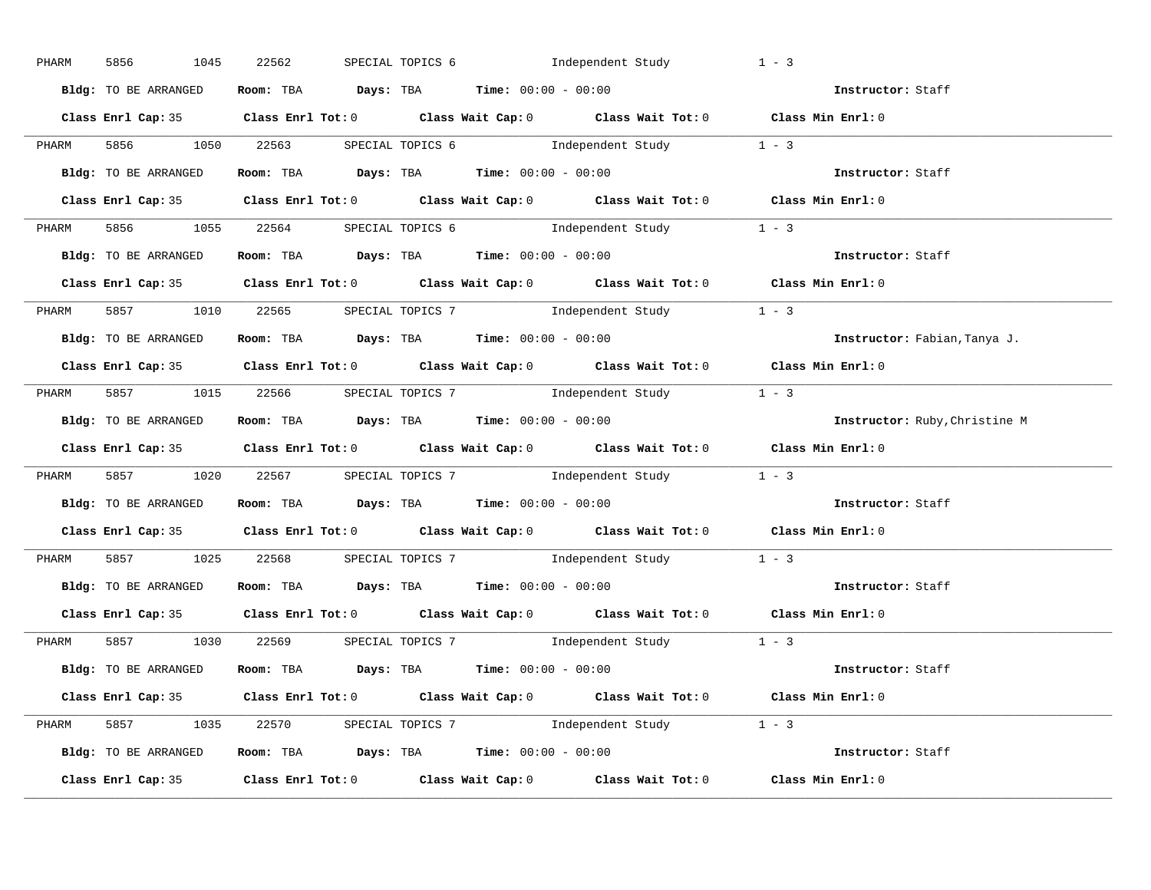| PHARM | 1045<br>5856         | 22562 | SPECIAL TOPICS 6 1ndependent Study                                                         | $1 - 3$                                                        |
|-------|----------------------|-------|--------------------------------------------------------------------------------------------|----------------------------------------------------------------|
|       | Bldg: TO BE ARRANGED |       | Room: TBA $Days:$ TBA $Time:$ $00:00 - 00:00$                                              | Instructor: Staff                                              |
|       |                      |       | Class Enrl Cap: 35 Class Enrl Tot: 0 Class Wait Cap: 0 Class Wait Tot: 0 Class Min Enrl: 0 |                                                                |
|       |                      |       | PHARM 5856 1050 22563 SPECIAL TOPICS 6 1ndependent Study 1 - 3                             |                                                                |
|       | Bldg: TO BE ARRANGED |       | Room: TBA $Days:$ TBA $Time: 00:00 - 00:00$                                                | Instructor: Staff                                              |
|       |                      |       | Class Enrl Cap: 35 Class Enrl Tot: 0 Class Wait Cap: 0 Class Wait Tot: 0 Class Min Enrl: 0 |                                                                |
|       |                      |       | PHARM 5856 1055 22564 SPECIAL TOPICS 6 1ndependent Study 1 - 3                             |                                                                |
|       |                      |       | Bldg: TO BE ARRANGED Room: TBA Days: TBA Time: 00:00 - 00:00                               | Instructor: Staff                                              |
|       |                      |       | Class Enrl Cap: 35 Class Enrl Tot: 0 Class Wait Cap: 0 Class Wait Tot: 0 Class Min Enrl: 0 |                                                                |
|       |                      |       | PHARM 5857 1010 22565 SPECIAL TOPICS 7 1 Independent Study 1 - 3                           |                                                                |
|       | Bldg: TO BE ARRANGED |       | Room: TBA $\rule{1em}{0.15mm}$ Days: TBA $\rule{1.15mm}]{0.15mm}$ Time: $00:00 - 00:00$    | Instructor: Fabian, Tanya J.                                   |
|       |                      |       | Class Enrl Cap: 35 Class Enrl Tot: 0 Class Wait Cap: 0 Class Wait Tot: 0 Class Min Enrl: 0 |                                                                |
|       |                      |       | PHARM 5857 1015 22566 SPECIAL TOPICS 7 1ndependent Study 1 - 3                             |                                                                |
|       | Bldg: TO BE ARRANGED |       | Room: TBA $Days:$ TBA Time: $00:00 - 00:00$                                                | Instructor: Ruby, Christine M                                  |
|       |                      |       | Class Enrl Cap: 35 Class Enrl Tot: 0 Class Wait Cap: 0 Class Wait Tot: 0 Class Min Enrl: 0 |                                                                |
| PHARM |                      |       | 5857 1020 22567 SPECIAL TOPICS 7 Independent Study 1 - 3                                   |                                                                |
|       |                      |       | Bldg: TO BE ARRANGED Room: TBA Days: TBA Time: 00:00 - 00:00                               | Instructor: Staff                                              |
|       |                      |       | Class Enrl Cap: 35 Class Enrl Tot: 0 Class Wait Cap: 0 Class Wait Tot: 0 Class Min Enrl: 0 |                                                                |
| PHARM |                      |       | 5857 1025 22568 SPECIAL TOPICS 7 Independent Study 1 - 3                                   |                                                                |
|       |                      |       | Bldg: TO BE ARRANGED Room: TBA Days: TBA Time: 00:00 - 00:00                               | Instructor: Staff                                              |
|       |                      |       | Class Enrl Cap: 35 Class Enrl Tot: 0 Class Wait Cap: 0 Class Wait Tot: 0 Class Min Enrl: 0 |                                                                |
|       |                      |       | PHARM 5857 1030 22569 SPECIAL TOPICS 7 1 Independent Study 1 - 3                           |                                                                |
|       |                      |       | <b>Bldg:</b> TO BE ARRANGED <b>Room:</b> TBA <b>Days:</b> TBA <b>Time:</b> $00:00 - 00:00$ | Instructor: Staff                                              |
|       |                      |       | Class Enrl Cap: 35 Class Enrl Tot: 0 Class Wait Cap: 0 Class Wait Tot: 0 Class Min Enrl: 0 |                                                                |
|       |                      |       | PHARM 5857 1035 22570 SPECIAL TOPICS 7 1 Independent Study 1 - 3                           |                                                                |
|       |                      |       |                                                                                            | Bldg: TO BE ARRANGED Room: TBA Days: TBA Time: $00:00 - 00:00$ |
|       |                      |       | Class Enrl Cap: 35 Class Enrl Tot: 0 Class Wait Cap: 0 Class Wait Tot: 0 Class Min Enrl: 0 |                                                                |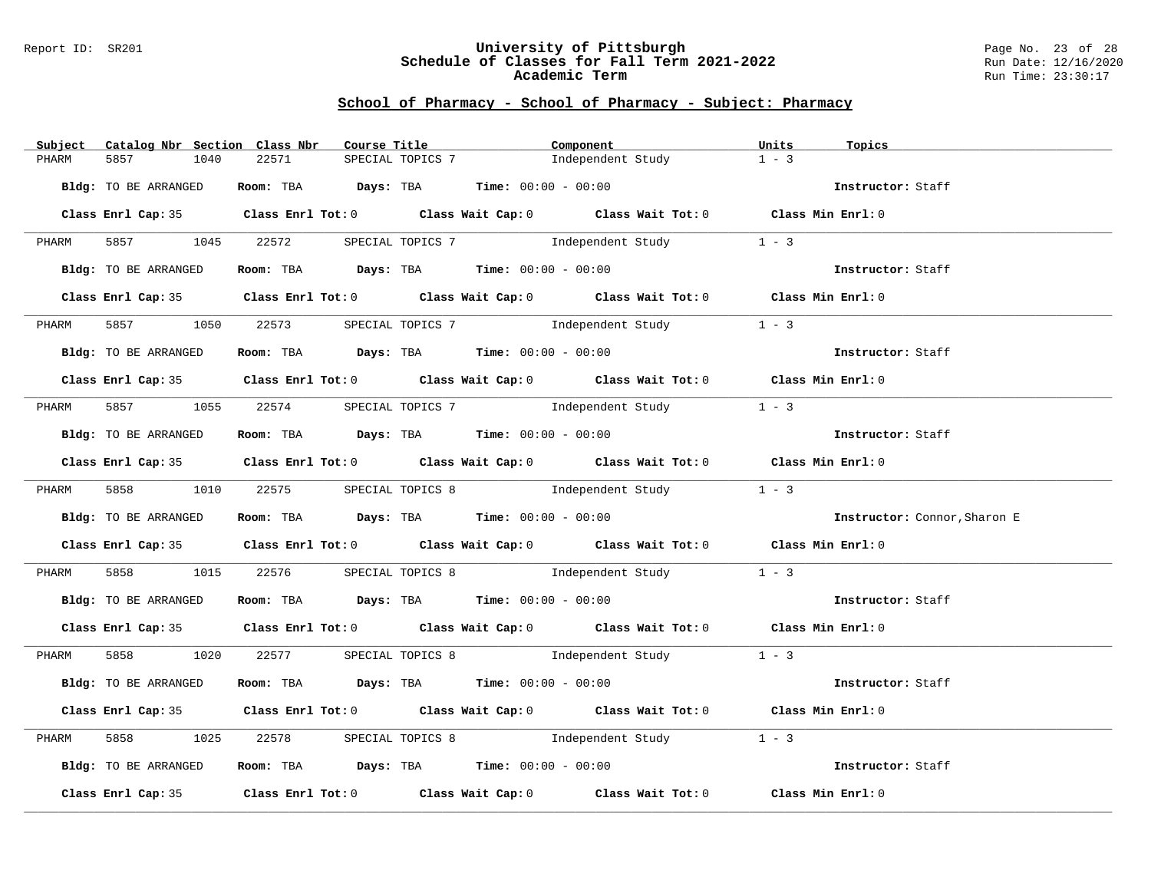#### Report ID: SR201 **University of Pittsburgh** Page No. 23 of 28 **Schedule of Classes for Fall Term 2021-2022** Run Date: 12/16/2020 **Academic Term** Run Time: 23:30:17

| Subject Catalog Nbr Section Class Nbr |               | Course Title <b>Source Search</b>                                                      | Component                                                                                  | Units<br>Topics                                                      |  |
|---------------------------------------|---------------|----------------------------------------------------------------------------------------|--------------------------------------------------------------------------------------------|----------------------------------------------------------------------|--|
| 5857<br>PHARM                         | 22571<br>1040 | SPECIAL TOPICS 7                                                                       | Independent Study                                                                          | $1 - 3$                                                              |  |
| Bldg: TO BE ARRANGED                  |               | Room: TBA $Days:$ TBA $Time: 00:00 - 00:00$                                            |                                                                                            | Instructor: Staff                                                    |  |
|                                       |               |                                                                                        | Class Enrl Cap: 35 Class Enrl Tot: 0 Class Wait Cap: 0 Class Wait Tot: 0 Class Min Enrl: 0 |                                                                      |  |
|                                       |               |                                                                                        | PHARM 5857 1045 22572 SPECIAL TOPICS 7 Independent Study 1 - 3                             |                                                                      |  |
| Bldg: TO BE ARRANGED                  |               |                                                                                        |                                                                                            | Room: TBA Days: TBA Time: $00:00 - 00:00$ The come instructor: Staff |  |
|                                       |               |                                                                                        | Class Enrl Cap: 35 Class Enrl Tot: 0 Class Wait Cap: 0 Class Wait Tot: 0 Class Min Enrl: 0 |                                                                      |  |
| PHARM                                 |               |                                                                                        | 5857 1050 22573 SPECIAL TOPICS 7 1ndependent Study 1 - 3                                   |                                                                      |  |
| Bldg: TO BE ARRANGED                  |               | Room: TBA $\rule{1em}{0.15mm}$ Days: TBA $\rule{1.15mm}{0.15mm}$ Time: $00:00 - 00:00$ |                                                                                            | Instructor: Staff                                                    |  |
|                                       |               |                                                                                        | Class Enrl Cap: 35 Class Enrl Tot: 0 Class Wait Cap: 0 Class Wait Tot: 0 Class Min Enrl: 0 |                                                                      |  |
| PHARM                                 |               |                                                                                        | 5857 1055 22574 SPECIAL TOPICS 7 1ndependent Study 1 - 3                                   |                                                                      |  |
| Bldg: TO BE ARRANGED                  |               | Room: TBA $Days:$ TBA Time: $00:00 - 00:00$                                            |                                                                                            | Instructor: Staff                                                    |  |
|                                       |               |                                                                                        | Class Enrl Cap: 35 Class Enrl Tot: 0 Class Wait Cap: 0 Class Wait Tot: 0 Class Min Enrl: 0 |                                                                      |  |
|                                       |               |                                                                                        | PHARM 5858 1010 22575 SPECIAL TOPICS 8 Independent Study 1 - 3                             |                                                                      |  |
| Bldg: TO BE ARRANGED                  |               | Room: TBA $Days:$ TBA $Time: 00:00 - 00:00$                                            |                                                                                            | Instructor: Connor, Sharon E                                         |  |
|                                       |               |                                                                                        | Class Enrl Cap: 35 Class Enrl Tot: 0 Class Wait Cap: 0 Class Wait Tot: 0 Class Min Enrl: 0 |                                                                      |  |
| PHARM                                 |               |                                                                                        | 5858 1015 22576 SPECIAL TOPICS 8 Independent Study 1 - 3                                   |                                                                      |  |
|                                       |               | Bldg: TO BE ARRANGED ROOM: TBA Days: TBA Time: 00:00 - 00:00                           |                                                                                            | Instructor: Staff                                                    |  |
|                                       |               |                                                                                        | Class Enrl Cap: 35 Class Enrl Tot: 0 Class Wait Cap: 0 Class Wait Tot: 0 Class Min Enrl: 0 |                                                                      |  |
|                                       |               |                                                                                        | PHARM 5858 1020 22577 SPECIAL TOPICS 8 Independent Study 1 - 3                             |                                                                      |  |
| Bldg: TO BE ARRANGED                  |               |                                                                                        | <b>Room:</b> TBA <b>Days:</b> TBA <b>Time:</b> 00:00 - 00:00                               | Instructor: Staff                                                    |  |
|                                       |               |                                                                                        | Class Enrl Cap: 35 Class Enrl Tot: 0 Class Wait Cap: 0 Class Wait Tot: 0 Class Min Enrl: 0 |                                                                      |  |
| 5858 38<br>PHARM                      |               |                                                                                        | 1025 22578 SPECIAL TOPICS 8 Independent Study 1 - 3                                        |                                                                      |  |
| Bldg: TO BE ARRANGED                  |               | Room: TBA $Days:$ TBA Time: $00:00 - 00:00$                                            |                                                                                            | Instructor: Staff                                                    |  |
|                                       |               |                                                                                        | Class Enrl Cap: 35 Class Enrl Tot: 0 Class Wait Cap: 0 Class Wait Tot: 0 Class Min Enrl: 0 |                                                                      |  |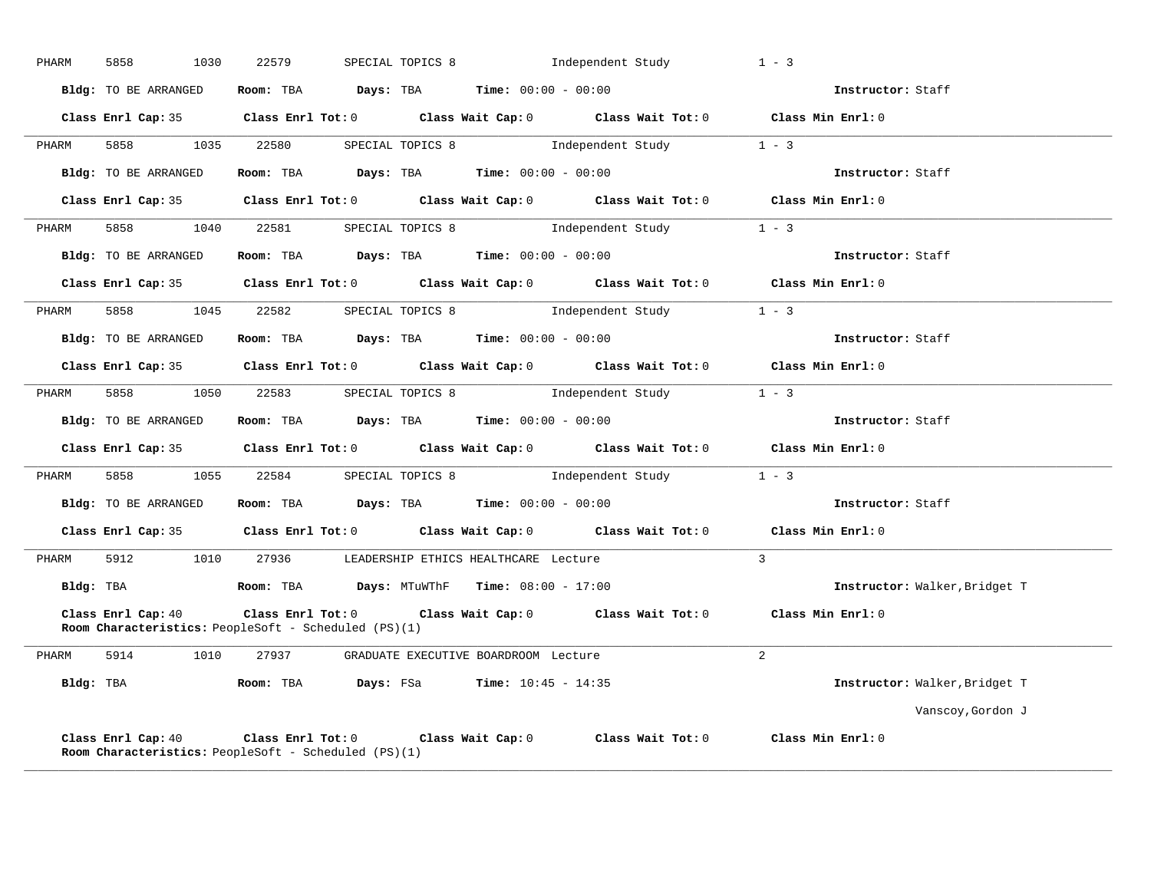| PHARM     | 5858<br>1030                                                                      | 22579      | SPECIAL TOPICS 8                                                            | Independent Study                                                                          | $1 - 3$                       |
|-----------|-----------------------------------------------------------------------------------|------------|-----------------------------------------------------------------------------|--------------------------------------------------------------------------------------------|-------------------------------|
|           | Bldg: TO BE ARRANGED                                                              |            | Room: TBA $Days: TBA$ Time: $00:00 - 00:00$                                 |                                                                                            | Instructor: Staff             |
|           |                                                                                   |            |                                                                             | Class Enrl Cap: 35 Class Enrl Tot: 0 Class Wait Cap: 0 Class Wait Tot: 0 Class Min Enrl: 0 |                               |
| PHARM     | 5858 38                                                                           | 1035 22580 |                                                                             | SPECIAL TOPICS 8 1ndependent Study 1 - 3                                                   |                               |
|           | Bldg: TO BE ARRANGED                                                              |            | Room: TBA $\rule{1em}{0.15mm}$ Days: TBA $\qquad$ Time: $00:00 - 00:00$     |                                                                                            | Instructor: Staff             |
|           | Class Enrl Cap: 35                                                                |            |                                                                             | Class Enrl Tot: 0 Class Wait Cap: 0 Class Wait Tot: 0                                      | Class Min Enrl: 0             |
| PHARM     | 5858 1040 22581                                                                   |            |                                                                             | SPECIAL TOPICS 8 1ndependent Study 1 - 3                                                   |                               |
|           | Bldg: TO BE ARRANGED                                                              |            | Room: TBA $Days:$ TBA $Time:$ $00:00 - 00:00$                               |                                                                                            | Instructor: Staff             |
|           |                                                                                   |            |                                                                             | Class Enrl Cap: 35 Class Enrl Tot: 0 Class Wait Cap: 0 Class Wait Tot: 0 Class Min Enrl: 0 |                               |
| PHARM     | 5858<br>1045                                                                      | 22582      |                                                                             | SPECIAL TOPICS 8 1ndependent Study                                                         | $1 - 3$                       |
|           | Bldg: TO BE ARRANGED                                                              |            | Room: TBA $Days:$ TBA $Time:$ $00:00 - 00:00$                               |                                                                                            | Instructor: Staff             |
|           |                                                                                   |            |                                                                             | Class Enrl Cap: 35 Class Enrl Tot: 0 Class Wait Cap: 0 Class Wait Tot: 0 Class Min Enrl: 0 |                               |
| PHARM     | 5858 1050 22583                                                                   |            |                                                                             | SPECIAL TOPICS 8 1ndependent Study 1 - 3                                                   |                               |
|           | Bldg: TO BE ARRANGED                                                              |            |                                                                             | Room: TBA $Days:$ TBA $Time:$ $00:00 - 00:00$                                              | Instructor: Staff             |
|           |                                                                                   |            |                                                                             | Class Enrl Cap: 35 Class Enrl Tot: 0 Class Wait Cap: 0 Class Wait Tot: 0 Class Min Enrl: 0 |                               |
| PHARM     |                                                                                   |            |                                                                             | 5858 1055 22584 SPECIAL TOPICS 8 Independent Study 1 - 3                                   |                               |
|           | Bldg: TO BE ARRANGED                                                              |            | Room: TBA $Days: TBA$ Time: $00:00 - 00:00$                                 |                                                                                            | Instructor: Staff             |
|           |                                                                                   |            |                                                                             | Class Enrl Cap: 35 Class Enrl Tot: 0 Class Wait Cap: 0 Class Wait Tot: 0                   | Class Min Enrl: 0             |
| PHARM     | 5912<br>1010                                                                      | 27936      | LEADERSHIP ETHICS HEALTHCARE Lecture                                        |                                                                                            | $\mathbf{3}$                  |
|           | Bldg: TBA                                                                         |            | <b>Room:</b> TBA $\qquad$ <b>Days:</b> MTuWThF <b>Time:</b> $08:00 - 17:00$ |                                                                                            | Instructor: Walker, Bridget T |
|           | Class Enrl Cap: 40<br><b>Room Characteristics:</b> PeopleSoft - Scheduled (PS)(1) |            |                                                                             | Class Enrl Tot: 0 Class Wait Cap: 0 Class Wait Tot: 0                                      | Class Min Enrl: 0             |
| PHARM     | 5914<br>1010                                                                      | 27937      | GRADUATE EXECUTIVE BOARDROOM Lecture                                        |                                                                                            | 2                             |
| Bldg: TBA |                                                                                   |            | <b>Room:</b> TBA <b>Days:</b> FSa <b>Time:</b> $10:45 - 14:35$              |                                                                                            | Instructor: Walker, Bridget T |
|           |                                                                                   |            |                                                                             |                                                                                            | Vanscoy, Gordon J             |
|           | Class Enrl Cap: 40<br>Room Characteristics: PeopleSoft - Scheduled (PS)(1)        |            |                                                                             | Class Enrl Tot: $0$ Class Wait Cap: $0$ Class Wait Tot: $0$                                | Class Min Enrl: 0             |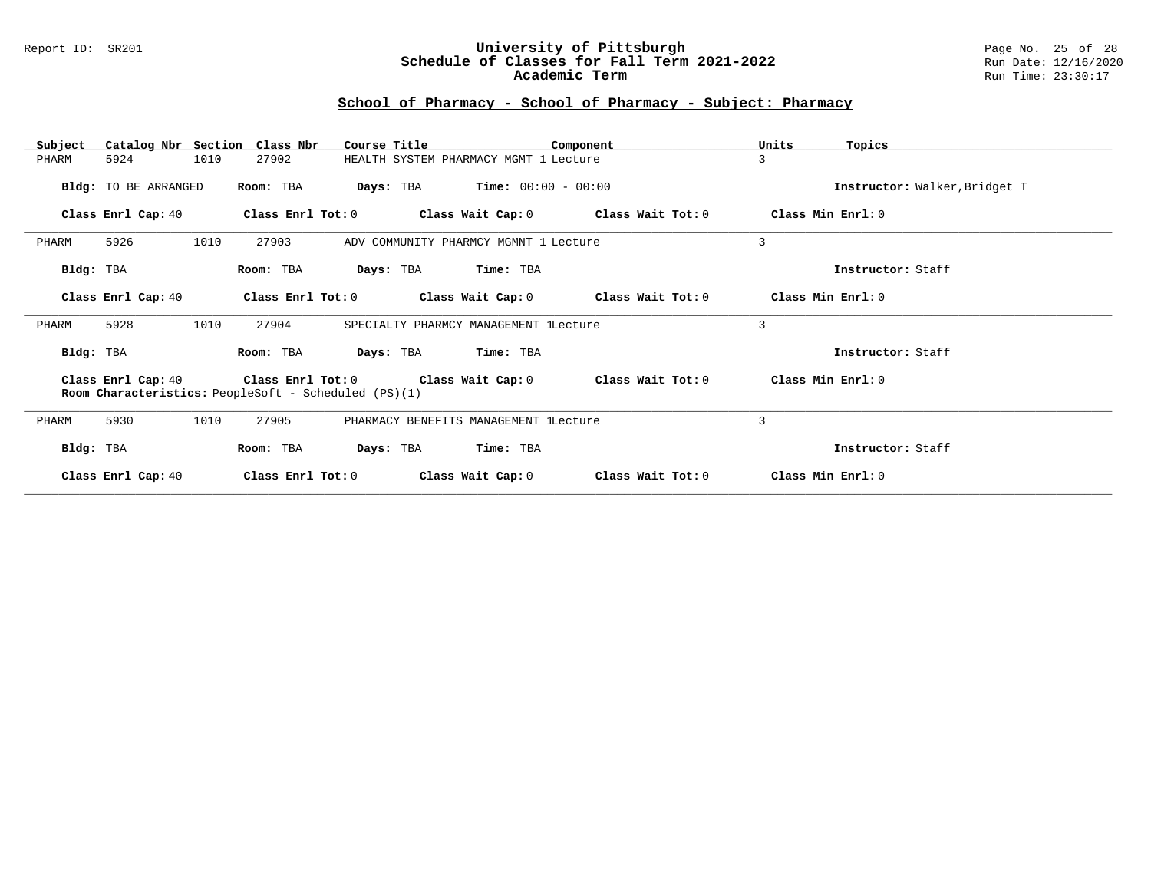### Report ID: SR201 **University of Pittsburgh** Page No. 25 of 28 **Schedule of Classes for Fall Term 2021-2022** Run Date: 12/16/2020 **Academic Term** Run Time: 23:30:17

| Subject   |                      |      | Catalog Nbr Section Class Nbr | Course Title                                         |                                       | Component                                                                | Units             | Topics                        |
|-----------|----------------------|------|-------------------------------|------------------------------------------------------|---------------------------------------|--------------------------------------------------------------------------|-------------------|-------------------------------|
| PHARM     | 5924                 | 1010 | 27902                         |                                                      | HEALTH SYSTEM PHARMACY MGMT 1 Lecture |                                                                          | 3                 |                               |
|           | Bldg: TO BE ARRANGED |      | Room: TBA                     | Days: TBA                                            | $Time: 00:00 - 00:00$                 |                                                                          |                   | Instructor: Walker, Bridget T |
|           | Class Enrl Cap: 40   |      | Class Enrl Tot: 0             |                                                      |                                       | Class Wait Cap: 0 Class Wait Tot: 0                                      |                   | Class Min Enrl: 0             |
| PHARM     | 5926                 | 1010 | 27903                         |                                                      | ADV COMMUNITY PHARMCY MGMNT 1 Lecture |                                                                          | 3                 |                               |
| Bldg: TBA |                      |      | Room: TBA                     |                                                      | Days: TBA Time: TBA                   |                                                                          |                   | Instructor: Staff             |
|           | Class Enrl Cap: 40   |      | Class Enrl Tot: 0             |                                                      | Class Wait Cap: 0                     | Class Wait Tot: 0                                                        |                   | Class Min Enrl: 0             |
| PHARM     | 5928                 | 1010 | 27904                         |                                                      | SPECIALTY PHARMCY MANAGEMENT lLecture |                                                                          | 3                 |                               |
| Bldg: TBA |                      |      | Room: TBA                     |                                                      | Days: TBA Time: TBA                   |                                                                          |                   | Instructor: Staff             |
|           |                      |      |                               | Room Characteristics: PeopleSoft - Scheduled (PS)(1) |                                       | Class Enrl Cap: 40 Class Enrl Tot: 0 Class Wait Cap: 0 Class Wait Tot: 0 | Class Min Enrl: 0 |                               |
| PHARM     | 5930                 | 1010 | 27905                         |                                                      | PHARMACY BENEFITS MANAGEMENT LLecture |                                                                          | 3                 |                               |
| Bldg: TBA |                      |      | Room: TBA                     |                                                      | Days: TBA Time: TBA                   |                                                                          |                   | Instructor: Staff             |
|           | Class Enrl Cap: 40   |      | Class Enrl Tot: 0             |                                                      | Class Wait Cap: 0                     | Class Wait Tot: 0                                                        |                   | Class Min Enrl: 0             |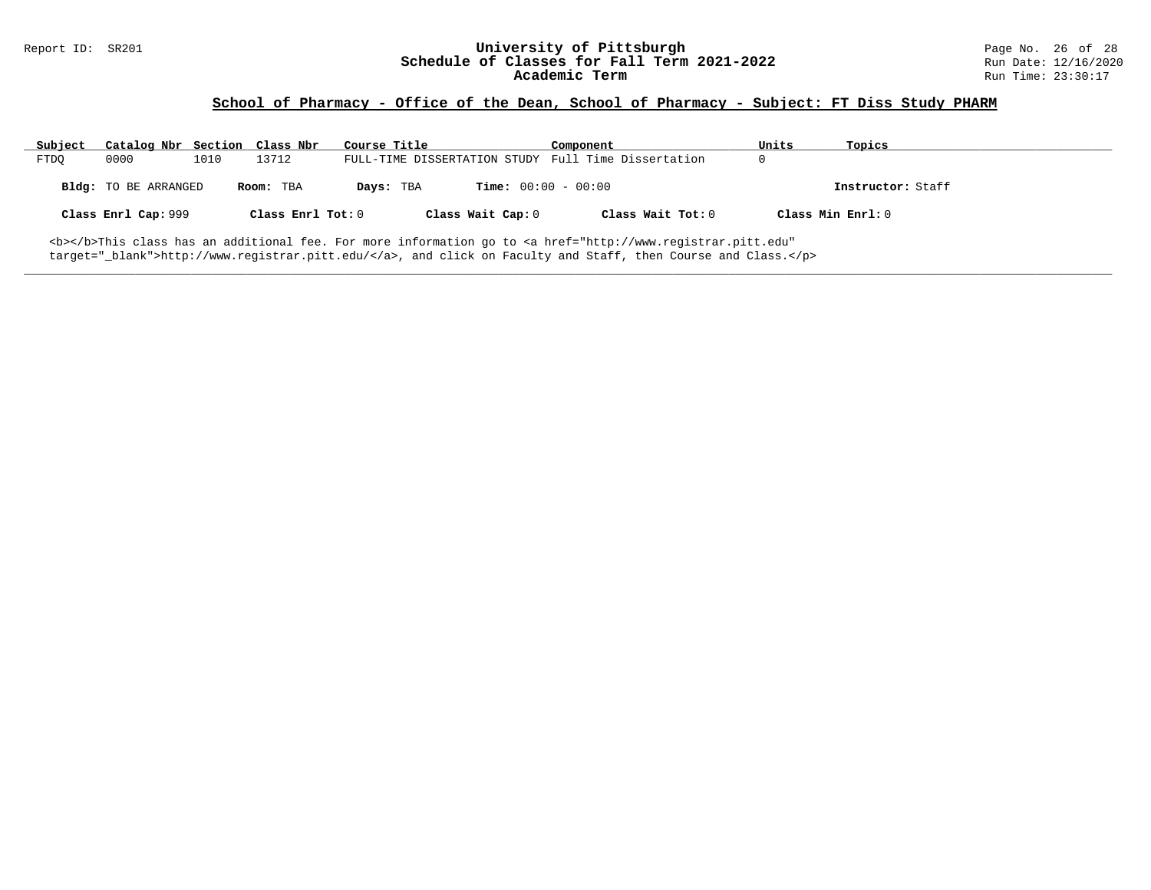### **School of Pharmacy - Office of the Dean, School of Pharmacy - Subject: FT Diss Study PHARM**

| Subject                                                                                                                      | Catalog Nbr Section Class Nbr |      |                   | Course Title |                              | Component                                           | Units | Topics            |  |
|------------------------------------------------------------------------------------------------------------------------------|-------------------------------|------|-------------------|--------------|------------------------------|-----------------------------------------------------|-------|-------------------|--|
| <b>FTDO</b>                                                                                                                  | 0000                          | 1010 | 13712             |              |                              | FULL-TIME DISSERTATION STUDY Full Time Dissertation | 0     |                   |  |
|                                                                                                                              | <b>Bldg:</b> TO BE ARRANGED   |      | Room: TBA         | Days: TBA    | <b>Time:</b> $00:00 - 00:00$ |                                                     |       | Instructor: Staff |  |
|                                                                                                                              | Class Enrl Cap: 999           |      | Class Enrl Tot: 0 |              | Class Wait Cap: 0            | Class Wait Tot: 0                                   |       | Class Min Enrl: 0 |  |
| <b></b> This class has an additional fee. For more information go to <a <="" href="http://www.registrar.pitt.edu" td=""></a> |                               |      |                   |              |                              |                                                     |       |                   |  |

**\_\_\_\_\_\_\_\_\_\_\_\_\_\_\_\_\_\_\_\_\_\_\_\_\_\_\_\_\_\_\_\_\_\_\_\_\_\_\_\_\_\_\_\_\_\_\_\_\_\_\_\_\_\_\_\_\_\_\_\_\_\_\_\_\_\_\_\_\_\_\_\_\_\_\_\_\_\_\_\_\_\_\_\_\_\_\_\_\_\_\_\_\_\_\_\_\_\_\_\_\_\_\_\_\_\_\_\_\_\_\_\_\_\_\_\_\_\_\_\_\_\_\_\_\_\_\_\_\_\_\_\_\_\_\_\_\_\_\_\_\_\_\_\_\_\_\_\_\_\_\_\_\_\_\_\_**

target="\_blank">http://www.registrar.pitt.edu/</a>, and click on Faculty and Staff, then Course and Class.</p>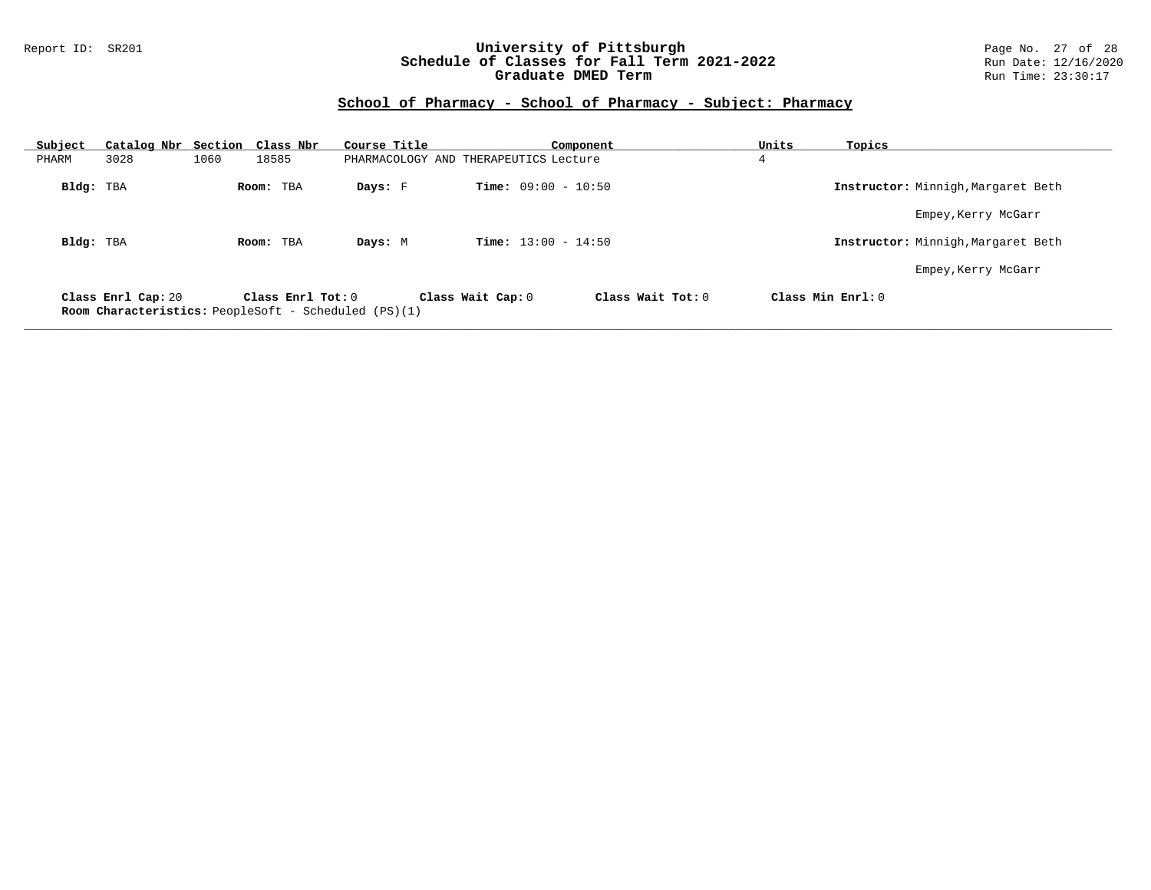### Report ID: SR201 **University of Pittsburgh** Page No. 27 of 28 **Schedule of Classes for Fall Term 2021-2022** Run Date: 12/16/2020 **Graduate DMED Term Run Time: 23:30:17**

# **School of Pharmacy - School of Pharmacy - Subject: Pharmacy**

| Subject   | Catalog Nbr Section Class Nbr                                                     |      |                       | Course Title                          |                              | Component         | Units             | Topics                             |
|-----------|-----------------------------------------------------------------------------------|------|-----------------------|---------------------------------------|------------------------------|-------------------|-------------------|------------------------------------|
| PHARM     | 3028                                                                              | 1060 | 18585                 | PHARMACOLOGY AND THERAPEUTICS Lecture |                              |                   | 4                 |                                    |
| Bldg: TBA |                                                                                   |      | Room: TBA             | Days: F                               | <b>Time:</b> $09:00 - 10:50$ |                   |                   | Instructor: Minnigh, Margaret Beth |
|           |                                                                                   |      |                       |                                       |                              |                   |                   | Empey, Kerry McGarr                |
| Bldg: TBA |                                                                                   |      | Room: TBA             | Days: M                               | <b>Time:</b> $13:00 - 14:50$ |                   |                   | Instructor: Minnigh, Margaret Beth |
|           |                                                                                   |      |                       |                                       |                              |                   |                   | Empey, Kerry McGarr                |
|           | Class Enrl Cap: 20<br><b>Room Characteristics:</b> PeopleSoft - Scheduled (PS)(1) |      | Class $Enrl$ Tot: $0$ |                                       | Class Wait Cap: 0            | Class Wait Tot: 0 | Class Min Enrl: 0 |                                    |

**\_\_\_\_\_\_\_\_\_\_\_\_\_\_\_\_\_\_\_\_\_\_\_\_\_\_\_\_\_\_\_\_\_\_\_\_\_\_\_\_\_\_\_\_\_\_\_\_\_\_\_\_\_\_\_\_\_\_\_\_\_\_\_\_\_\_\_\_\_\_\_\_\_\_\_\_\_\_\_\_\_\_\_\_\_\_\_\_\_\_\_\_\_\_\_\_\_\_\_\_\_\_\_\_\_\_\_\_\_\_\_\_\_\_\_\_\_\_\_\_\_\_\_\_\_\_\_\_\_\_\_\_\_\_\_\_\_\_\_\_\_\_\_\_\_\_\_\_\_\_\_\_\_\_\_\_**